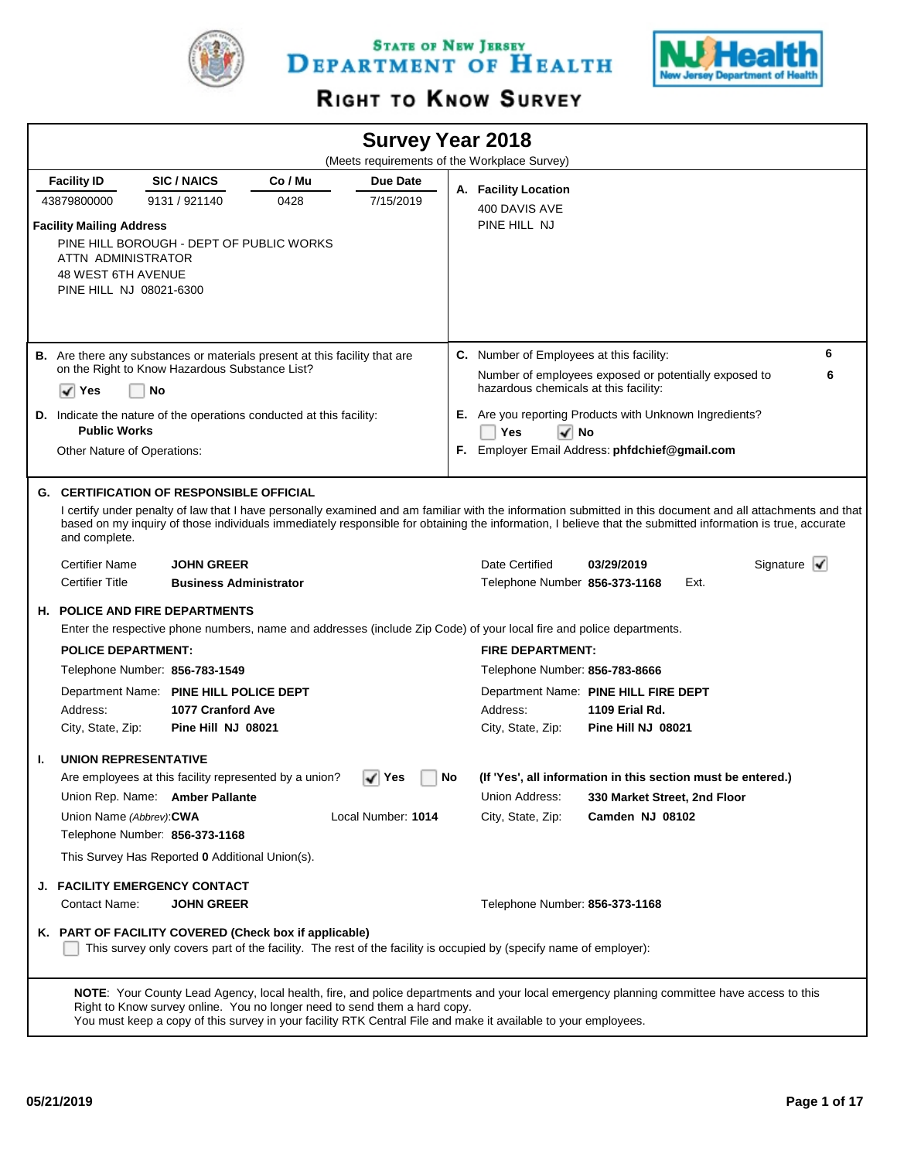

STATE OF NEW JERSEY DEPARTMENT OF HEALTH



# RIGHT TO KNOW SURVEY

|    |                                                                                                                                                                                                                    |                                                                           |         |                    |    | <b>Survey Year 2018</b>                                                                                                                                                                                                              |                                                                                                                                                                                                                                                                                                                                                                                         |                                |
|----|--------------------------------------------------------------------------------------------------------------------------------------------------------------------------------------------------------------------|---------------------------------------------------------------------------|---------|--------------------|----|--------------------------------------------------------------------------------------------------------------------------------------------------------------------------------------------------------------------------------------|-----------------------------------------------------------------------------------------------------------------------------------------------------------------------------------------------------------------------------------------------------------------------------------------------------------------------------------------------------------------------------------------|--------------------------------|
|    |                                                                                                                                                                                                                    |                                                                           |         |                    |    | (Meets requirements of the Workplace Survey)                                                                                                                                                                                         |                                                                                                                                                                                                                                                                                                                                                                                         |                                |
|    | <b>Facility ID</b>                                                                                                                                                                                                 | <b>SIC/NAICS</b>                                                          | Co / Mu | Due Date           |    | A. Facility Location                                                                                                                                                                                                                 |                                                                                                                                                                                                                                                                                                                                                                                         |                                |
|    | 43879800000                                                                                                                                                                                                        | 9131 / 921140                                                             | 0428    | 7/15/2019          |    | 400 DAVIS AVE                                                                                                                                                                                                                        |                                                                                                                                                                                                                                                                                                                                                                                         |                                |
|    | <b>Facility Mailing Address</b><br>PINE HILL BOROUGH - DEPT OF PUBLIC WORKS<br>ATTN ADMINISTRATOR<br><b>48 WEST 6TH AVENUE</b><br>PINE HILL NJ 08021-6300                                                          |                                                                           |         |                    |    | PINE HILL NJ                                                                                                                                                                                                                         |                                                                                                                                                                                                                                                                                                                                                                                         |                                |
|    | <b>B.</b> Are there any substances or materials present at this facility that are                                                                                                                                  |                                                                           |         |                    |    | C. Number of Employees at this facility:                                                                                                                                                                                             |                                                                                                                                                                                                                                                                                                                                                                                         | 6                              |
|    | on the Right to Know Hazardous Substance List?                                                                                                                                                                     |                                                                           |         |                    |    |                                                                                                                                                                                                                                      | Number of employees exposed or potentially exposed to                                                                                                                                                                                                                                                                                                                                   | 6                              |
|    | No<br>✓<br>Yes                                                                                                                                                                                                     |                                                                           |         |                    |    | hazardous chemicals at this facility:                                                                                                                                                                                                |                                                                                                                                                                                                                                                                                                                                                                                         |                                |
|    | <b>D.</b> Indicate the nature of the operations conducted at this facility:                                                                                                                                        |                                                                           |         |                    |    |                                                                                                                                                                                                                                      | <b>E.</b> Are you reporting Products with Unknown Ingredients?                                                                                                                                                                                                                                                                                                                          |                                |
|    | <b>Public Works</b>                                                                                                                                                                                                |                                                                           |         |                    |    | Yes<br>$\sqrt{ }$ No                                                                                                                                                                                                                 |                                                                                                                                                                                                                                                                                                                                                                                         |                                |
|    | Other Nature of Operations:                                                                                                                                                                                        |                                                                           |         |                    |    |                                                                                                                                                                                                                                      | F. Employer Email Address: phfdchief@gmail.com                                                                                                                                                                                                                                                                                                                                          |                                |
|    | and complete.<br><b>Certifier Name</b><br><b>Certifier Title</b><br><b>H. POLICE AND FIRE DEPARTMENTS</b><br><b>POLICE DEPARTMENT:</b><br>Telephone Number: 856-783-1549<br>Department Name: PINE HILL POLICE DEPT | <b>JOHN GREER</b><br><b>Business Administrator</b>                        |         |                    |    | Date Certified<br>Telephone Number 856-373-1168<br>Enter the respective phone numbers, name and addresses (include Zip Code) of your local fire and police departments.<br><b>FIRE DEPARTMENT:</b><br>Telephone Number: 856-783-8666 | I certify under penalty of law that I have personally examined and am familiar with the information submitted in this document and all attachments and that<br>based on my inquiry of those individuals immediately responsible for obtaining the information, I believe that the submitted information is true, accurate<br>03/29/2019<br>Ext.<br>Department Name: PINE HILL FIRE DEPT | Signature $\blacktriangledown$ |
|    | Address:                                                                                                                                                                                                           | 1077 Cranford Ave                                                         |         |                    |    | Address:                                                                                                                                                                                                                             | <b>1109 Erial Rd.</b>                                                                                                                                                                                                                                                                                                                                                                   |                                |
|    | City, State, Zip:                                                                                                                                                                                                  | Pine Hill NJ 08021                                                        |         |                    |    | City, State, Zip:                                                                                                                                                                                                                    | Pine Hill NJ 08021                                                                                                                                                                                                                                                                                                                                                                      |                                |
| ı. | <b>UNION REPRESENTATIVE</b>                                                                                                                                                                                        |                                                                           |         |                    |    |                                                                                                                                                                                                                                      |                                                                                                                                                                                                                                                                                                                                                                                         |                                |
|    | Are employees at this facility represented by a union?                                                                                                                                                             |                                                                           |         | ∣ Yes              | No |                                                                                                                                                                                                                                      | (If 'Yes', all information in this section must be entered.)                                                                                                                                                                                                                                                                                                                            |                                |
|    | Union Rep. Name: Amber Pallante                                                                                                                                                                                    |                                                                           |         |                    |    | Union Address:                                                                                                                                                                                                                       | 330 Market Street, 2nd Floor                                                                                                                                                                                                                                                                                                                                                            |                                |
|    | Union Name (Abbrev): CWA                                                                                                                                                                                           |                                                                           |         | Local Number: 1014 |    | City, State, Zip:                                                                                                                                                                                                                    | Camden NJ 08102                                                                                                                                                                                                                                                                                                                                                                         |                                |
|    | Telephone Number: 856-373-1168                                                                                                                                                                                     |                                                                           |         |                    |    |                                                                                                                                                                                                                                      |                                                                                                                                                                                                                                                                                                                                                                                         |                                |
|    | This Survey Has Reported 0 Additional Union(s).                                                                                                                                                                    |                                                                           |         |                    |    |                                                                                                                                                                                                                                      |                                                                                                                                                                                                                                                                                                                                                                                         |                                |
| J. | <b>FACILITY EMERGENCY CONTACT</b>                                                                                                                                                                                  |                                                                           |         |                    |    |                                                                                                                                                                                                                                      |                                                                                                                                                                                                                                                                                                                                                                                         |                                |
|    | Contact Name:                                                                                                                                                                                                      | <b>JOHN GREER</b>                                                         |         |                    |    | Telephone Number: 856-373-1168                                                                                                                                                                                                       |                                                                                                                                                                                                                                                                                                                                                                                         |                                |
|    | K. PART OF FACILITY COVERED (Check box if applicable)                                                                                                                                                              |                                                                           |         |                    |    | This survey only covers part of the facility. The rest of the facility is occupied by (specify name of employer):                                                                                                                    |                                                                                                                                                                                                                                                                                                                                                                                         |                                |
|    |                                                                                                                                                                                                                    | Right to Know survey online. You no longer need to send them a hard copy. |         |                    |    | You must keep a copy of this survey in your facility RTK Central File and make it available to your employees.                                                                                                                       | NOTE: Your County Lead Agency, local health, fire, and police departments and your local emergency planning committee have access to this                                                                                                                                                                                                                                               |                                |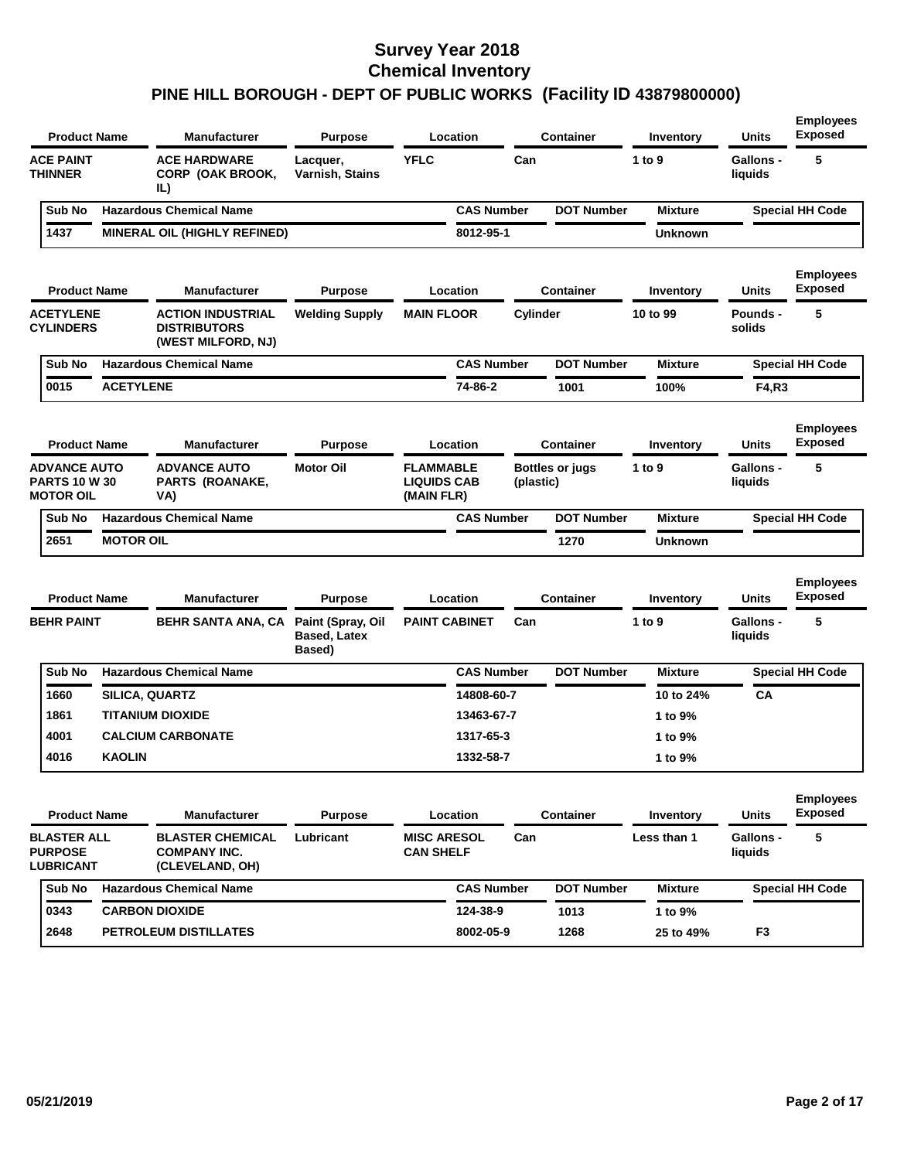| <b>Product Name</b>                                             |                  | <b>Manufacturer</b>                                                   | <b>Purpose</b>                                     | Location                                             |                   |           | Container              | Inventory      | <b>Units</b>                | <b>Employees</b><br><b>Exposed</b> |
|-----------------------------------------------------------------|------------------|-----------------------------------------------------------------------|----------------------------------------------------|------------------------------------------------------|-------------------|-----------|------------------------|----------------|-----------------------------|------------------------------------|
| <b>ACE PAINT</b><br><b>THINNER</b>                              |                  | <b>ACE HARDWARE</b><br>CORP (OAK BROOK,<br>IL)                        | Lacquer,<br>Varnish, Stains                        | <b>YFLC</b>                                          |                   | Can       |                        | 1 to 9         | <b>Gallons -</b><br>liquids | 5                                  |
| Sub No                                                          |                  | <b>Hazardous Chemical Name</b>                                        |                                                    |                                                      | <b>CAS Number</b> |           | <b>DOT Number</b>      | <b>Mixture</b> |                             | <b>Special HH Code</b>             |
| 1437                                                            |                  | <b>MINERAL OIL (HIGHLY REFINED)</b>                                   |                                                    |                                                      | 8012-95-1         |           |                        | Unknown        |                             |                                    |
| <b>Product Name</b>                                             |                  | <b>Manufacturer</b>                                                   | <b>Purpose</b>                                     | Location                                             |                   |           | <b>Container</b>       | Inventory      | <b>Units</b>                | <b>Employees</b><br>Exposed        |
| <b>ACETYLENE</b><br><b>CYLINDERS</b>                            |                  | <b>ACTION INDUSTRIAL</b><br><b>DISTRIBUTORS</b><br>(WEST MILFORD, NJ) | <b>Welding Supply</b>                              | <b>MAIN FLOOR</b>                                    |                   | Cylinder  |                        | 10 to 99       | <b>Pounds -</b><br>solids   | 5                                  |
| Sub No                                                          |                  | <b>Hazardous Chemical Name</b>                                        |                                                    |                                                      | <b>CAS Number</b> |           | <b>DOT Number</b>      | <b>Mixture</b> |                             | <b>Special HH Code</b>             |
| 0015                                                            | <b>ACETYLENE</b> |                                                                       |                                                    |                                                      | 74-86-2           |           | 1001                   | 100%           | F4,R3                       |                                    |
| <b>Product Name</b>                                             |                  | <b>Manufacturer</b>                                                   | <b>Purpose</b>                                     | Location                                             |                   |           | <b>Container</b>       | Inventory      | Units                       | <b>Employees</b><br>Exposed        |
| <b>ADVANCE AUTO</b><br><b>PARTS 10 W 30</b><br><b>MOTOR OIL</b> |                  | <b>ADVANCE AUTO</b><br><b>PARTS (ROANAKE,</b><br>VA)                  | <b>Motor Oil</b>                                   | <b>FLAMMABLE</b><br><b>LIQUIDS CAB</b><br>(MAIN FLR) |                   | (plastic) | <b>Bottles or jugs</b> | 1 to 9         | Gallons -<br>liquids        | 5                                  |
| Sub No                                                          |                  | <b>Hazardous Chemical Name</b>                                        |                                                    |                                                      | <b>CAS Number</b> |           | <b>DOT Number</b>      | <b>Mixture</b> |                             | <b>Special HH Code</b>             |
| 2651                                                            | <b>MOTOR OIL</b> |                                                                       |                                                    |                                                      |                   |           | 1270                   | Unknown        |                             |                                    |
| <b>Product Name</b>                                             |                  | <b>Manufacturer</b>                                                   | <b>Purpose</b>                                     | Location                                             |                   |           | Container              | Inventory      | <b>Units</b>                | <b>Employees</b><br><b>Exposed</b> |
| <b>BEHR PAINT</b>                                               |                  | <b>BEHR SANTA ANA, CA</b>                                             | Paint (Spray, Oil<br><b>Based, Latex</b><br>Based) | <b>PAINT CABINET</b>                                 |                   | Can       |                        | 1 to $9$       | <b>Gallons -</b><br>liquids | 5                                  |
| Sub No                                                          |                  | <b>Hazardous Chemical Name</b>                                        |                                                    |                                                      | <b>CAS Number</b> |           | <b>DOT Number</b>      | <b>Mixture</b> |                             | <b>Special HH Code</b>             |
| 1660                                                            | SILICA, QUARTZ   |                                                                       |                                                    |                                                      | 14808-60-7        |           |                        | 10 to 24%      | CA                          |                                    |
| 1861                                                            |                  | TITANIUM DIOXIDE                                                      |                                                    |                                                      | 13463-67-7        |           |                        | 1 to 9%        |                             |                                    |
| 4001                                                            |                  | <b>CALCIUM CARBONATE</b>                                              |                                                    |                                                      | 1317-65-3         |           |                        | 1 to 9%        |                             |                                    |
| 4016                                                            | <b>KAOLIN</b>    |                                                                       |                                                    |                                                      | 1332-58-7         |           |                        | 1 to 9%        |                             |                                    |
| <b>Product Name</b>                                             |                  | <b>Manufacturer</b>                                                   | <b>Purpose</b>                                     | Location                                             |                   |           | <b>Container</b>       | Inventory      | Units                       | <b>Employees</b><br><b>Exposed</b> |
| <b>BLASTER ALL</b><br><b>PURPOSE</b><br><b>LUBRICANT</b>        |                  | <b>BLASTER CHEMICAL</b><br><b>COMPANY INC.</b><br>(CLEVELAND, OH)     | Lubricant                                          | <b>MISC ARESOL</b><br><b>CAN SHELF</b>               |                   | Can       |                        | Less than 1    | Gallons -<br>liquids        | 5                                  |
| Sub No                                                          |                  | <b>Hazardous Chemical Name</b>                                        |                                                    |                                                      | <b>CAS Number</b> |           | <b>DOT Number</b>      | <b>Mixture</b> |                             | <b>Special HH Code</b>             |
| 0343                                                            |                  | <b>CARBON DIOXIDE</b>                                                 |                                                    |                                                      | 124-38-9          |           | 1013                   | 1 to 9%        |                             |                                    |
| 2648                                                            |                  |                                                                       |                                                    |                                                      |                   |           |                        |                |                             |                                    |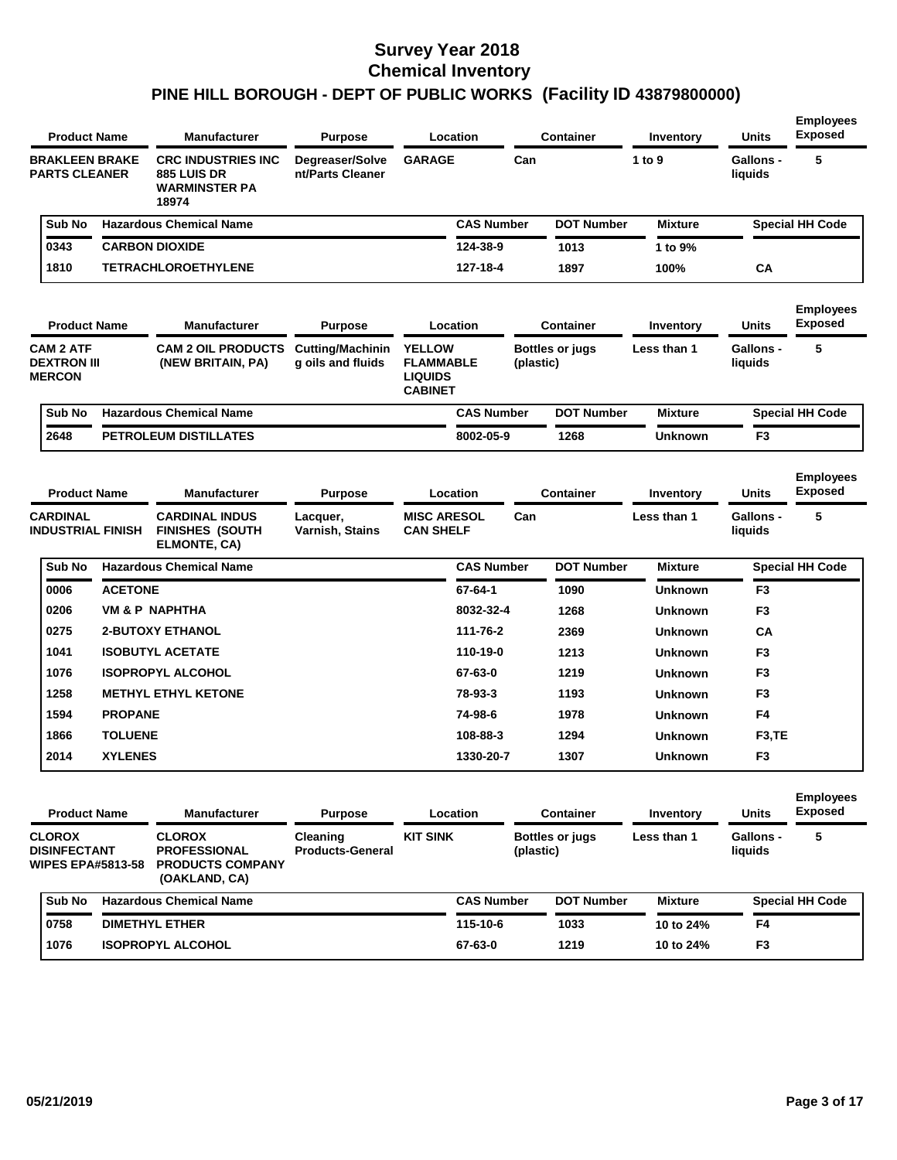| <b>Product Name</b>                                     |                          | <b>Manufacturer</b>                                                               | <b>Purpose</b>                               | Location                                                              |           | Container              | Inventory      | <b>Units</b>                | <b>Employees</b><br><b>Exposed</b> |
|---------------------------------------------------------|--------------------------|-----------------------------------------------------------------------------------|----------------------------------------------|-----------------------------------------------------------------------|-----------|------------------------|----------------|-----------------------------|------------------------------------|
| <b>BRAKLEEN BRAKE</b><br><b>PARTS CLEANER</b>           |                          | <b>CRC INDUSTRIES INC.</b><br><b>885 LUIS DR</b><br><b>WARMINSTER PA</b><br>18974 | Degreaser/Solve<br>nt/Parts Cleaner          | <b>GARAGE</b>                                                         | Can       |                        | 1 to 9         | Gallons -<br>liquids        | 5                                  |
| Sub No                                                  |                          | <b>Hazardous Chemical Name</b>                                                    |                                              | <b>CAS Number</b>                                                     |           | <b>DOT Number</b>      | <b>Mixture</b> |                             | <b>Special HH Code</b>             |
| 0343                                                    |                          | <b>CARBON DIOXIDE</b>                                                             |                                              | 124-38-9                                                              |           | 1013                   | 1 to 9%        |                             |                                    |
| 1810                                                    |                          | <b>TETRACHLOROETHYLENE</b>                                                        |                                              | 127-18-4                                                              |           | 1897                   | 100%           | <b>CA</b>                   |                                    |
| <b>Product Name</b>                                     |                          | <b>Manufacturer</b>                                                               | <b>Purpose</b>                               | Location                                                              |           | <b>Container</b>       | Inventory      | <b>Units</b>                | <b>Employees</b><br><b>Exposed</b> |
| <b>CAM 2 ATF</b><br><b>DEXTRON III</b><br><b>MERCON</b> |                          | <b>CAM 2 OIL PRODUCTS</b><br>(NEW BRITAIN, PA)                                    | <b>Cutting/Machinin</b><br>g oils and fluids | <b>YELLOW</b><br><b>FLAMMABLE</b><br><b>LIQUIDS</b><br><b>CABINET</b> | (plastic) | <b>Bottles or jugs</b> | Less than 1    | Gallons -<br>liquids        | 5                                  |
| Sub No                                                  |                          | <b>Hazardous Chemical Name</b>                                                    |                                              | <b>CAS Number</b>                                                     |           | <b>DOT Number</b>      | <b>Mixture</b> |                             | <b>Special HH Code</b>             |
| 2648                                                    |                          | <b>PETROLEUM DISTILLATES</b>                                                      |                                              | 8002-05-9                                                             |           | 1268                   | <b>Unknown</b> | F <sub>3</sub>              |                                    |
| <b>Product Name</b>                                     |                          | <b>Manufacturer</b>                                                               | <b>Purpose</b>                               | Location                                                              |           | <b>Container</b>       | Inventory      | <b>Units</b>                | <b>Employees</b><br><b>Exposed</b> |
| <b>CARDINAL</b><br><b>INDUSTRIAL FINISH</b>             |                          | <b>CARDINAL INDUS</b><br><b>FINISHES (SOUTH</b><br>ELMONTE, CA)                   | Lacquer,<br>Varnish, Stains                  | <b>MISC ARESOL</b><br><b>CAN SHELF</b>                                | Can       |                        | Less than 1    | <b>Gallons -</b><br>liquids | 5                                  |
| Sub No                                                  |                          | <b>Hazardous Chemical Name</b>                                                    |                                              | <b>CAS Number</b>                                                     |           | <b>DOT Number</b>      | <b>Mixture</b> |                             | <b>Special HH Code</b>             |
| 0006                                                    | <b>ACETONE</b>           |                                                                                   |                                              | 67-64-1                                                               |           | 1090                   | <b>Unknown</b> | F <sub>3</sub>              |                                    |
| 0206                                                    |                          | VM & P NAPHTHA                                                                    |                                              | 8032-32-4                                                             |           | 1268                   | <b>Unknown</b> | F <sub>3</sub>              |                                    |
| 0275                                                    |                          | <b>2-BUTOXY ETHANOL</b>                                                           |                                              | 111-76-2                                                              |           | 2369                   | <b>Unknown</b> | CA                          |                                    |
| 1041                                                    |                          | <b>ISOBUTYL ACETATE</b>                                                           |                                              | 110-19-0                                                              |           | 1213                   | <b>Unknown</b> | F <sub>3</sub>              |                                    |
| 1076                                                    |                          | <b>ISOPROPYL ALCOHOL</b>                                                          |                                              | 67-63-0                                                               |           | 1219                   | <b>Unknown</b> | F <sub>3</sub>              |                                    |
| 1258                                                    |                          | <b>METHYL ETHYL KETONE</b>                                                        |                                              | 78-93-3                                                               |           | 1193                   | <b>Unknown</b> | F <sub>3</sub>              |                                    |
| 1594                                                    | <b>PROPANE</b>           |                                                                                   |                                              | 74-98-6                                                               |           | 1978                   | <b>Unknown</b> | F4                          |                                    |
| 1866                                                    | <b>TOLUENE</b>           |                                                                                   |                                              | 108-88-3                                                              |           | 1294                   | <b>Unknown</b> | F <sub>3</sub> ,TE          |                                    |
| 2014                                                    | <b>XYLENES</b>           |                                                                                   |                                              | 1330-20-7                                                             |           | 1307                   | <b>Unknown</b> | F <sub>3</sub>              |                                    |
| <b>Product Name</b>                                     |                          | <b>Manufacturer</b>                                                               | <b>Purpose</b>                               | Location                                                              |           | <b>Container</b>       | Inventory      | <b>Units</b>                | <b>Employees</b><br><b>Exposed</b> |
| <b>CLOROX</b><br><b>DISINFECTANT</b>                    | <b>WIPES EPA#5813-58</b> | <b>CLOROX</b><br><b>PROFESSIONAL</b><br><b>PRODUCTS COMPANY</b><br>(OAKLAND, CA)  | Cleaning<br><b>Products-General</b>          | <b>KIT SINK</b>                                                       | (plastic) | <b>Bottles or jugs</b> | Less than 1    | Gallons -<br>liquids        | 5                                  |
| Sub No                                                  |                          | <b>Hazardous Chemical Name</b>                                                    |                                              | <b>CAS Number</b>                                                     |           | <b>DOT Number</b>      | <b>Mixture</b> |                             | <b>Special HH Code</b>             |
| 0758                                                    |                          | <b>DIMETHYL ETHER</b>                                                             |                                              | 115-10-6                                                              |           | 1033                   | 10 to 24%      | F4                          |                                    |
| 1076                                                    |                          | <b>ISOPROPYL ALCOHOL</b>                                                          |                                              | 67-63-0                                                               |           | 1219                   | 10 to 24%      | F <sub>3</sub>              |                                    |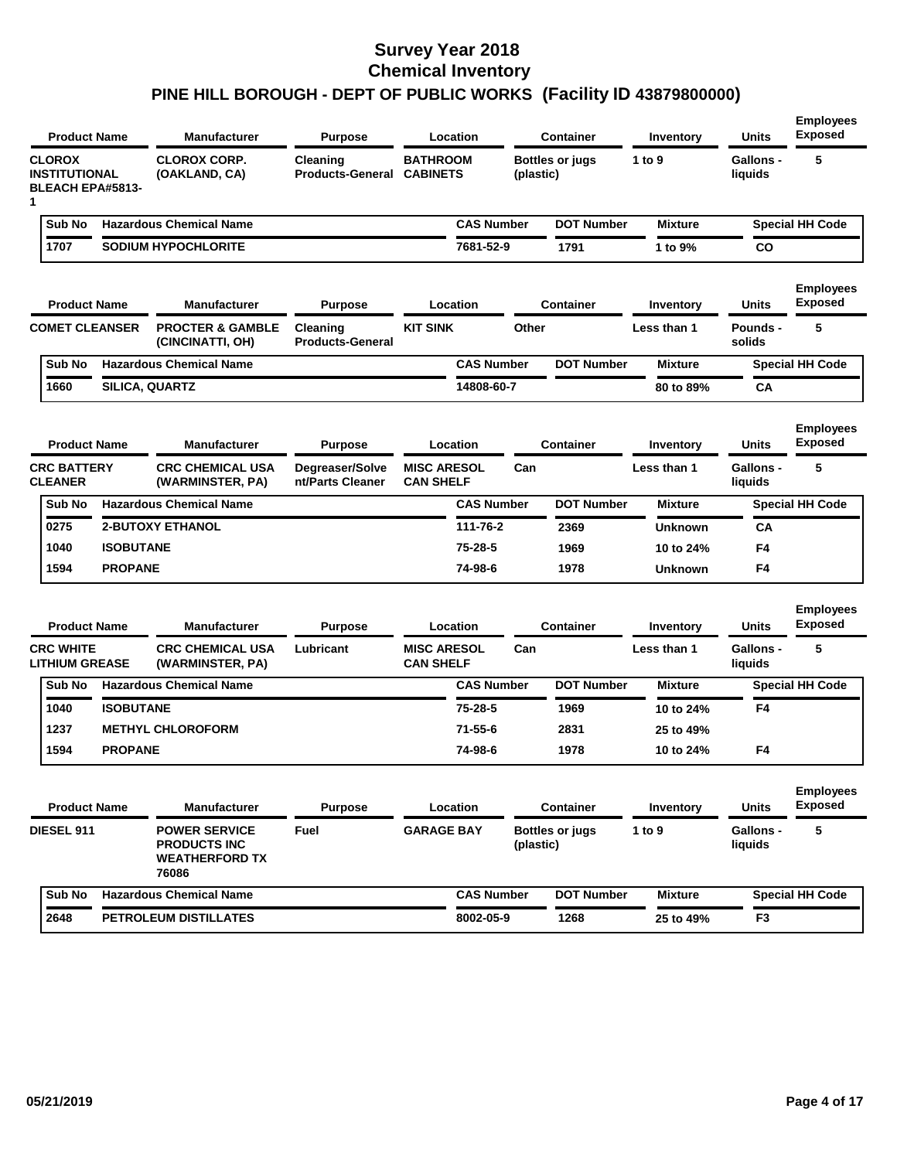|                                                                       | <b>Product Name</b> | <b>Manufacturer</b>                                                           | <b>Purpose</b>                               | Location                               |           | <b>Container</b>       | Inventory      | <b>Units</b>                | <b>Employees</b><br><b>Exposed</b> |
|-----------------------------------------------------------------------|---------------------|-------------------------------------------------------------------------------|----------------------------------------------|----------------------------------------|-----------|------------------------|----------------|-----------------------------|------------------------------------|
| <b>CLOROX</b><br><b>INSTITUTIONAL</b><br><b>BLEACH EPA#5813-</b><br>1 |                     | <b>CLOROX CORP.</b><br>(OAKLAND, CA)                                          | Cleaning<br><b>Products-General CABINETS</b> | <b>BATHROOM</b>                        | (plastic) | <b>Bottles or jugs</b> | 1 to 9         | <b>Gallons -</b><br>liquids | 5                                  |
| Sub No                                                                |                     | <b>Hazardous Chemical Name</b>                                                |                                              | <b>CAS Number</b>                      |           | <b>DOT Number</b>      | <b>Mixture</b> |                             | <b>Special HH Code</b>             |
| 1707                                                                  |                     | <b>SODIUM HYPOCHLORITE</b>                                                    |                                              | 7681-52-9                              |           | 1791                   | 1 to 9%        | CO                          |                                    |
|                                                                       | <b>Product Name</b> | <b>Manufacturer</b>                                                           | <b>Purpose</b>                               | Location                               |           | <b>Container</b>       | Inventory      | Units                       | <b>Employees</b><br><b>Exposed</b> |
| <b>COMET CLEANSER</b>                                                 |                     | <b>PROCTER &amp; GAMBLE</b><br>(CINCINATTI, OH)                               | Cleaning<br><b>Products-General</b>          | <b>KIT SINK</b>                        | Other     |                        | Less than 1    | Pounds -<br>solids          | 5                                  |
| Sub No                                                                |                     | <b>Hazardous Chemical Name</b>                                                |                                              | <b>CAS Number</b>                      |           | <b>DOT Number</b>      | <b>Mixture</b> |                             | <b>Special HH Code</b>             |
| 1660                                                                  |                     | SILICA, QUARTZ                                                                |                                              | 14808-60-7                             |           |                        | 80 to 89%      | СA                          |                                    |
|                                                                       | <b>Product Name</b> | <b>Manufacturer</b>                                                           | <b>Purpose</b>                               | Location                               |           | <b>Container</b>       | Inventory      | Units                       | <b>Employees</b><br><b>Exposed</b> |
| <b>CRC BATTERY</b><br><b>CLEANER</b>                                  |                     | <b>CRC CHEMICAL USA</b><br>(WARMINSTER, PA)                                   | Degreaser/Solve<br>nt/Parts Cleaner          | <b>MISC ARESOL</b><br><b>CAN SHELF</b> | Can       |                        | Less than 1    | <b>Gallons -</b><br>liquids | 5                                  |
| Sub No                                                                |                     | <b>Hazardous Chemical Name</b>                                                |                                              | <b>CAS Number</b>                      |           | <b>DOT Number</b>      | <b>Mixture</b> |                             | <b>Special HH Code</b>             |
| 0275                                                                  |                     | <b>2-BUTOXY ETHANOL</b>                                                       |                                              | 111-76-2                               |           | 2369                   | <b>Unknown</b> | СA                          |                                    |
| 1040                                                                  | <b>ISOBUTANE</b>    |                                                                               |                                              | 75-28-5                                |           | 1969                   | 10 to 24%      | F4                          |                                    |
| 1594                                                                  | <b>PROPANE</b>      |                                                                               |                                              | 74-98-6                                |           | 1978                   | <b>Unknown</b> | F4                          |                                    |
|                                                                       | <b>Product Name</b> | <b>Manufacturer</b>                                                           | <b>Purpose</b>                               | Location                               |           | <b>Container</b>       | Inventory      | Units                       | <b>Employees</b><br><b>Exposed</b> |
| <b>CRC WHITE</b><br><b>LITHIUM GREASE</b>                             |                     | <b>CRC CHEMICAL USA</b><br>(WARMINSTER, PA)                                   | Lubricant                                    | <b>MISC ARESOL</b><br><b>CAN SHELF</b> | Can       |                        | Less than 1    | Gallons -<br>liquids        | 5                                  |
| Sub No                                                                |                     | <b>Hazardous Chemical Name</b>                                                |                                              | <b>CAS Number</b>                      |           | <b>DOT Number</b>      | <b>Mixture</b> |                             | <b>Special HH Code</b>             |
| 1040                                                                  | <b>ISOBUTANE</b>    |                                                                               |                                              | 75-28-5                                |           | 1969                   | 10 to 24%      | F4                          |                                    |
| 1237                                                                  |                     | <b>METHYL CHLOROFORM</b>                                                      |                                              | $71 - 55 - 6$                          |           | 2831                   | 25 to 49%      |                             |                                    |
| 1594                                                                  | <b>PROPANE</b>      |                                                                               |                                              | 74-98-6                                |           | 1978                   | 10 to 24%      | F4                          |                                    |
| <b>Product Name</b>                                                   |                     | <b>Manufacturer</b>                                                           | <b>Purpose</b>                               | Location                               |           | <b>Container</b>       | Inventory      | Units                       | <b>Employees</b><br><b>Exposed</b> |
| DIESEL 911                                                            |                     | <b>POWER SERVICE</b><br><b>PRODUCTS INC</b><br><b>WEATHERFORD TX</b><br>76086 | Fuel                                         | <b>GARAGE BAY</b>                      | (plastic) | <b>Bottles or jugs</b> | 1 to 9         | <b>Gallons -</b><br>liquids | 5                                  |
| Sub No                                                                |                     | <b>Hazardous Chemical Name</b>                                                |                                              | <b>CAS Number</b>                      |           | <b>DOT Number</b>      | <b>Mixture</b> |                             | <b>Special HH Code</b>             |
| 2648                                                                  |                     | PETROLEUM DISTILLATES                                                         |                                              | 8002-05-9                              |           | 1268                   | 25 to 49%      | F <sub>3</sub>              |                                    |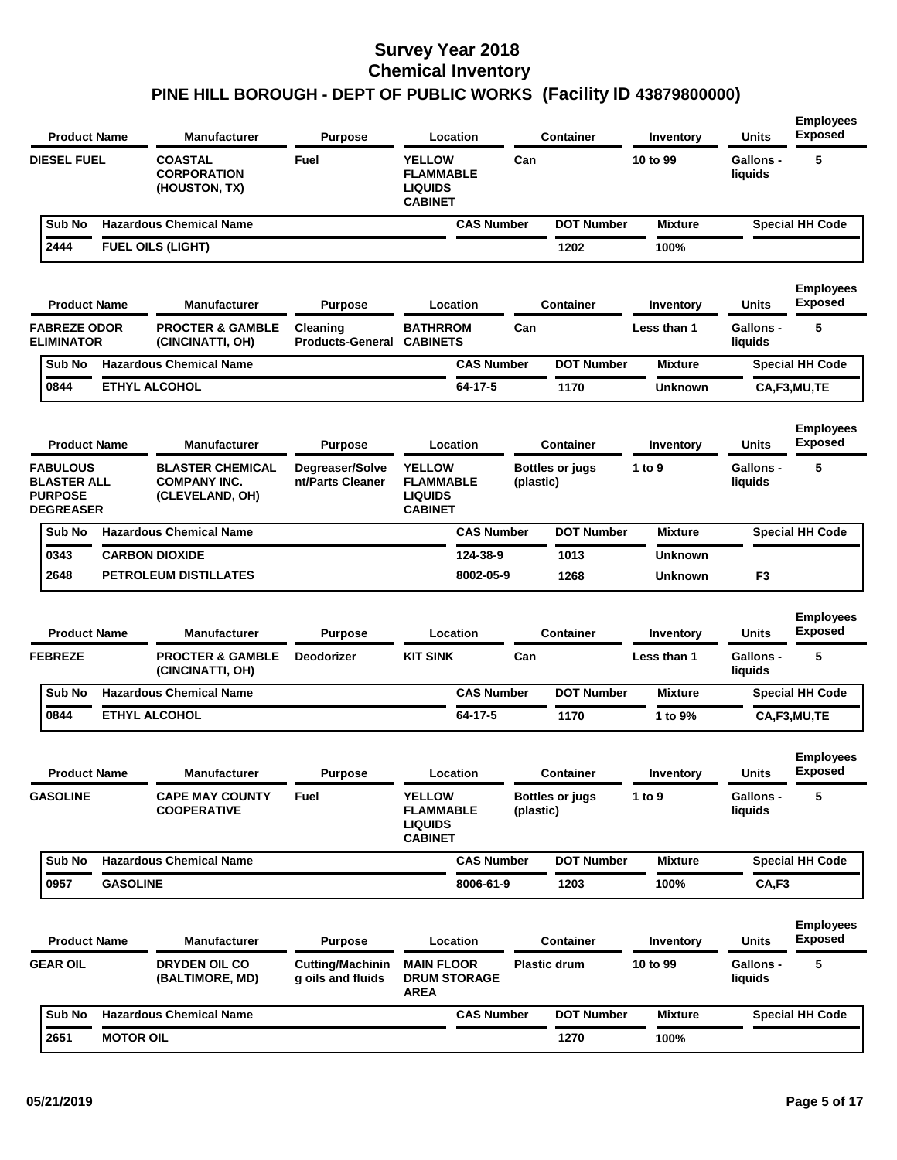| <b>Product Name</b>                                                         |                 | <b>Manufacturer</b>                                               | <b>Purpose</b>                               | Location                                                              |           | <b>Container</b>       | Inventory      | <b>Units</b>                | <b>Employees</b><br><b>Exposed</b> |
|-----------------------------------------------------------------------------|-----------------|-------------------------------------------------------------------|----------------------------------------------|-----------------------------------------------------------------------|-----------|------------------------|----------------|-----------------------------|------------------------------------|
| <b>DIESEL FUEL</b>                                                          |                 | <b>COASTAL</b><br><b>CORPORATION</b><br>(HOUSTON, TX)             | Fuel                                         | <b>YELLOW</b><br><b>FLAMMABLE</b><br><b>LIQUIDS</b><br><b>CABINET</b> | Can       |                        | 10 to 99       | <b>Gallons -</b><br>liquids | 5                                  |
| Sub No                                                                      |                 | <b>Hazardous Chemical Name</b>                                    |                                              | <b>CAS Number</b>                                                     |           | <b>DOT Number</b>      | <b>Mixture</b> |                             | <b>Special HH Code</b>             |
| 2444                                                                        |                 | <b>FUEL OILS (LIGHT)</b>                                          |                                              |                                                                       |           | 1202                   | 100%           |                             |                                    |
| <b>Product Name</b>                                                         |                 | <b>Manufacturer</b>                                               | <b>Purpose</b>                               | Location                                                              |           | <b>Container</b>       | Inventory      | Units                       | <b>Employees</b><br><b>Exposed</b> |
| <b>FABREZE ODOR</b><br><b>ELIMINATOR</b>                                    |                 | <b>PROCTER &amp; GAMBLE</b><br>(CINCINATTI, OH)                   | Cleaning<br><b>Products-General</b>          | <b>BATHRROM</b><br><b>CABINETS</b>                                    | Can       |                        | Less than 1    | Gallons -<br>liquids        | 5                                  |
| Sub No                                                                      |                 | <b>Hazardous Chemical Name</b>                                    |                                              | <b>CAS Number</b>                                                     |           | <b>DOT Number</b>      | <b>Mixture</b> |                             | <b>Special HH Code</b>             |
| 0844                                                                        |                 | <b>ETHYL ALCOHOL</b>                                              |                                              | 64-17-5                                                               |           | 1170                   | <b>Unknown</b> |                             | CA,F3,MU,TE                        |
| <b>Product Name</b>                                                         |                 | <b>Manufacturer</b>                                               | <b>Purpose</b>                               | Location                                                              |           | <b>Container</b>       | Inventory      | <b>Units</b>                | <b>Employees</b><br><b>Exposed</b> |
| <b>FABULOUS</b><br><b>BLASTER ALL</b><br><b>PURPOSE</b><br><b>DEGREASER</b> |                 | <b>BLASTER CHEMICAL</b><br><b>COMPANY INC.</b><br>(CLEVELAND, OH) | Degreaser/Solve<br>nt/Parts Cleaner          | <b>YELLOW</b><br><b>FLAMMABLE</b><br><b>LIQUIDS</b><br><b>CABINET</b> | (plastic) | <b>Bottles or jugs</b> | 1 to 9         | Gallons -<br>liquids        | 5                                  |
|                                                                             |                 | <b>Hazardous Chemical Name</b>                                    |                                              | <b>CAS Number</b>                                                     |           | <b>DOT Number</b>      | <b>Mixture</b> |                             | <b>Special HH Code</b>             |
| Sub No                                                                      |                 |                                                                   |                                              |                                                                       |           |                        |                |                             |                                    |
| 0343                                                                        |                 | <b>CARBON DIOXIDE</b>                                             |                                              | 124-38-9                                                              |           | 1013                   | <b>Unknown</b> |                             |                                    |
| 2648                                                                        |                 | <b>PETROLEUM DISTILLATES</b>                                      |                                              | 8002-05-9                                                             |           | 1268                   | <b>Unknown</b> | F <sub>3</sub>              |                                    |
| <b>Product Name</b>                                                         |                 | <b>Manufacturer</b>                                               | <b>Purpose</b>                               | Location                                                              |           | <b>Container</b>       | Inventory      | <b>Units</b>                | <b>Employees</b><br><b>Exposed</b> |
| <b>FEBREZE</b>                                                              |                 | <b>PROCTER &amp; GAMBLE</b><br>(CINCINATTI, OH)                   | <b>Deodorizer</b>                            | <b>KIT SINK</b>                                                       | Can       |                        | Less than 1    | <b>Gallons -</b><br>liquids | 5                                  |
| Sub No                                                                      |                 | <b>Hazardous Chemical Name</b>                                    |                                              | <b>CAS Number</b>                                                     |           | <b>DOT Number</b>      | <b>Mixture</b> |                             | <b>Special HH Code</b>             |
| 0844                                                                        |                 | <b>ETHYL ALCOHOL</b>                                              |                                              | 64-17-5                                                               |           | 1170                   | 1 to 9%        |                             | CA,F3,MU,TE                        |
| <b>Product Name</b>                                                         |                 | Manufacturer                                                      | <b>Purpose</b>                               | Location                                                              |           | <b>Container</b>       | Inventory      | Units                       | <b>Employees</b><br>Exposed        |
| <b>GASOLINE</b>                                                             |                 | <b>CAPE MAY COUNTY</b><br><b>COOPERATIVE</b>                      | Fuel                                         | <b>YELLOW</b><br><b>FLAMMABLE</b><br><b>LIQUIDS</b><br><b>CABINET</b> | (plastic) | <b>Bottles or jugs</b> | 1 to 9         | <b>Gallons -</b><br>liquids | 5                                  |
| Sub No                                                                      |                 | <b>Hazardous Chemical Name</b>                                    |                                              | <b>CAS Number</b>                                                     |           | <b>DOT Number</b>      | <b>Mixture</b> |                             | <b>Special HH Code</b>             |
| 0957                                                                        | <b>GASOLINE</b> |                                                                   |                                              | 8006-61-9                                                             |           | 1203                   | 100%           | CA,F3                       |                                    |
| <b>Product Name</b>                                                         |                 | <b>Manufacturer</b>                                               | <b>Purpose</b>                               | Location                                                              |           | <b>Container</b>       | Inventory      | Units                       | <b>Employees</b><br><b>Exposed</b> |
| <b>GEAR OIL</b>                                                             |                 | <b>DRYDEN OIL CO</b><br>(BALTIMORE, MD)                           | <b>Cutting/Machinin</b><br>g oils and fluids | <b>MAIN FLOOR</b><br><b>DRUM STORAGE</b><br>AREA                      |           | <b>Plastic drum</b>    | 10 to 99       | <b>Gallons -</b><br>liquids | 5                                  |
| Sub No                                                                      |                 | <b>Hazardous Chemical Name</b>                                    |                                              | <b>CAS Number</b>                                                     |           | <b>DOT Number</b>      | Mixture        |                             | <b>Special HH Code</b>             |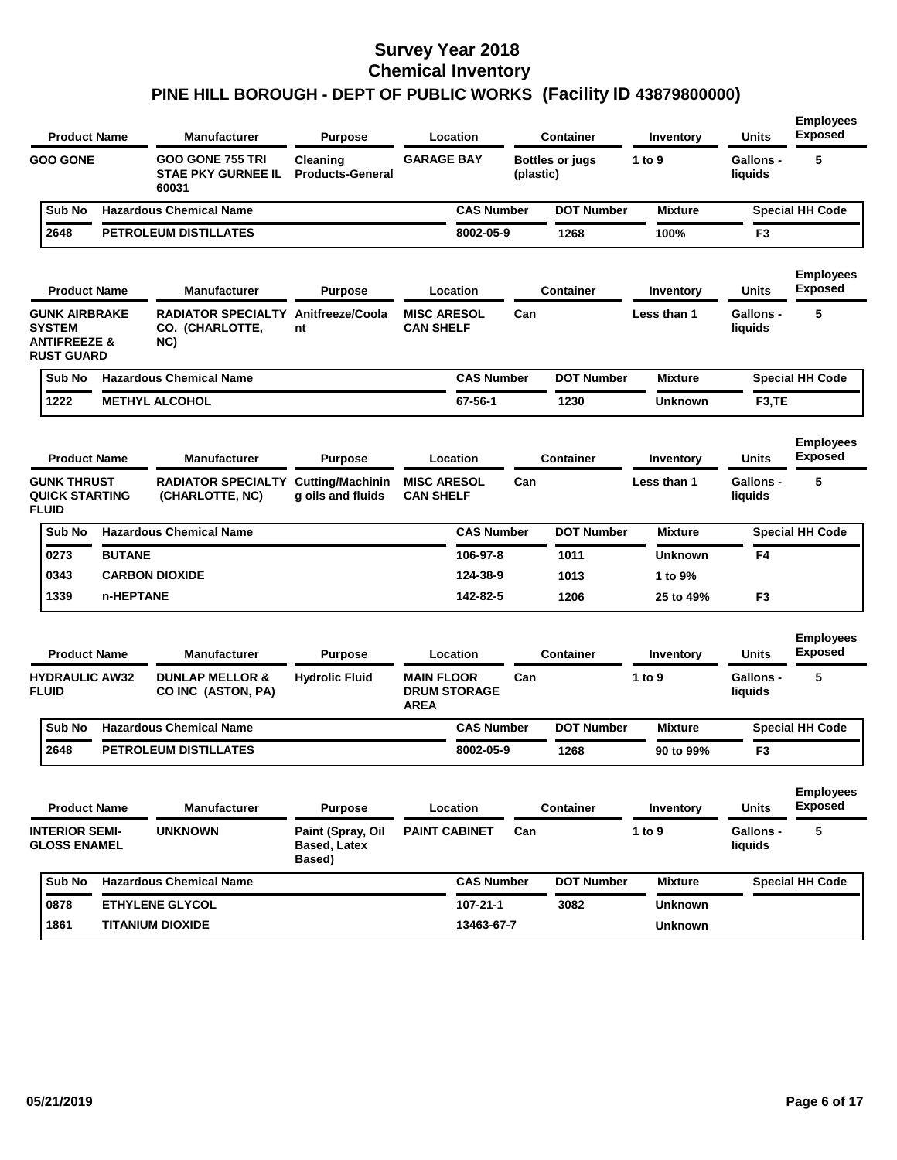| <b>Product Name</b>                                                                   |               | <b>Manufacturer</b>                                           | <b>Purpose</b>                                     | Location                                                |                   |           | <b>Container</b>       | Inventory      | <b>Units</b>                | <b>Employees</b><br><b>Exposed</b> |
|---------------------------------------------------------------------------------------|---------------|---------------------------------------------------------------|----------------------------------------------------|---------------------------------------------------------|-------------------|-----------|------------------------|----------------|-----------------------------|------------------------------------|
| <b>GOO GONE</b>                                                                       |               | <b>GOO GONE 755 TRI</b><br><b>STAE PKY GURNEE IL</b><br>60031 | Cleaning<br><b>Products-General</b>                | <b>GARAGE BAY</b>                                       |                   | (plastic) | <b>Bottles or jugs</b> | 1 to 9         | <b>Gallons -</b><br>liquids | 5                                  |
| Sub No                                                                                |               | <b>Hazardous Chemical Name</b>                                |                                                    |                                                         | <b>CAS Number</b> |           | <b>DOT Number</b>      | <b>Mixture</b> |                             | <b>Special HH Code</b>             |
| 2648                                                                                  |               | <b>PETROLEUM DISTILLATES</b>                                  |                                                    |                                                         | 8002-05-9         |           | 1268                   | 100%           | F <sub>3</sub>              |                                    |
| <b>Product Name</b>                                                                   |               | <b>Manufacturer</b>                                           | <b>Purpose</b>                                     | Location                                                |                   |           | <b>Container</b>       | Inventory      | Units                       | <b>Employees</b><br><b>Exposed</b> |
| <b>GUNK AIRBRAKE</b><br><b>SYSTEM</b><br><b>ANTIFREEZE &amp;</b><br><b>RUST GUARD</b> |               | <b>RADIATOR SPECIALTY</b><br>CO. (CHARLOTTE,<br>NC)           | Anitfreeze/Coola<br>nt                             | <b>MISC ARESOL</b><br><b>CAN SHELF</b>                  |                   | Can       |                        | Less than 1    | <b>Gallons -</b><br>liquids | 5                                  |
| Sub No                                                                                |               | <b>Hazardous Chemical Name</b>                                |                                                    |                                                         | <b>CAS Number</b> |           | <b>DOT Number</b>      | <b>Mixture</b> |                             | <b>Special HH Code</b>             |
| 1222                                                                                  |               | <b>METHYL ALCOHOL</b>                                         |                                                    |                                                         | 67-56-1           |           | 1230                   | <b>Unknown</b> | F <sub>3</sub> ,TE          |                                    |
| <b>Product Name</b>                                                                   |               | <b>Manufacturer</b>                                           | <b>Purpose</b>                                     | Location                                                |                   |           | <b>Container</b>       | Inventory      | <b>Units</b>                | <b>Employees</b><br><b>Exposed</b> |
| <b>GUNK THRUST</b><br><b>QUICK STARTING</b><br><b>FLUID</b>                           |               | <b>RADIATOR SPECIALTY</b><br>(CHARLOTTE, NC)                  | <b>Cutting/Machinin</b><br>g oils and fluids       | <b>MISC ARESOL</b><br><b>CAN SHELF</b>                  |                   | Can       |                        | Less than 1    | <b>Gallons -</b><br>liquids | 5                                  |
| Sub No                                                                                |               | <b>Hazardous Chemical Name</b>                                |                                                    |                                                         | <b>CAS Number</b> |           | <b>DOT Number</b>      | <b>Mixture</b> |                             | <b>Special HH Code</b>             |
| 0273                                                                                  | <b>BUTANE</b> |                                                               |                                                    |                                                         | 106-97-8          |           | 1011                   | <b>Unknown</b> | F4                          |                                    |
| 0343                                                                                  |               | <b>CARBON DIOXIDE</b>                                         |                                                    |                                                         | 124-38-9          |           | 1013                   | 1 to 9%        |                             |                                    |
| 1339                                                                                  | n-HEPTANE     |                                                               |                                                    |                                                         | 142-82-5          |           | 1206                   | 25 to 49%      | F <sub>3</sub>              |                                    |
| <b>Product Name</b>                                                                   |               | <b>Manufacturer</b>                                           | <b>Purpose</b>                                     | Location                                                |                   |           | Container              | Inventory      | <b>Units</b>                | <b>Employees</b><br><b>Exposed</b> |
| <b>HYDRAULIC AW32</b><br><b>FLUID</b>                                                 |               | <b>DUNLAP MELLOR &amp;</b><br>CO INC (ASTON, PA)              | <b>Hydrolic Fluid</b>                              | <b>MAIN FLOOR</b><br><b>DRUM STORAGE</b><br><b>AREA</b> |                   | Can       |                        | 1 to 9         | <b>Gallons -</b><br>liquids | 5                                  |
| Sub No                                                                                |               | <b>Hazardous Chemical Name</b>                                |                                                    |                                                         | <b>CAS Number</b> |           | <b>DOT Number</b>      | <b>Mixture</b> |                             | <b>Special HH Code</b>             |
| 2648                                                                                  |               | PETROLEUM DISTILLATES                                         |                                                    |                                                         | 8002-05-9         |           | 1268                   | 90 to 99%      | F <sub>3</sub>              |                                    |
| <b>Product Name</b>                                                                   |               | <b>Manufacturer</b>                                           | <b>Purpose</b>                                     | Location                                                |                   |           | <b>Container</b>       | Inventory      | Units                       | <b>Employees</b><br><b>Exposed</b> |
| <b>INTERIOR SEMI-</b><br><b>GLOSS ENAMEL</b>                                          |               | <b>UNKNOWN</b>                                                | Paint (Spray, Oil<br><b>Based, Latex</b><br>Based) | <b>PAINT CABINET</b>                                    |                   | Can       |                        | 1 to 9         | Gallons -<br>liquids        | 5                                  |
| Sub No                                                                                |               | <b>Hazardous Chemical Name</b>                                |                                                    |                                                         | <b>CAS Number</b> |           | <b>DOT Number</b>      | <b>Mixture</b> |                             | <b>Special HH Code</b>             |
| 0878                                                                                  |               | <b>ETHYLENE GLYCOL</b>                                        |                                                    |                                                         | $107 - 21 - 1$    |           | 3082                   | <b>Unknown</b> |                             |                                    |
| 1861                                                                                  |               | <b>TITANIUM DIOXIDE</b>                                       |                                                    |                                                         | 13463-67-7        |           |                        | <b>Unknown</b> |                             |                                    |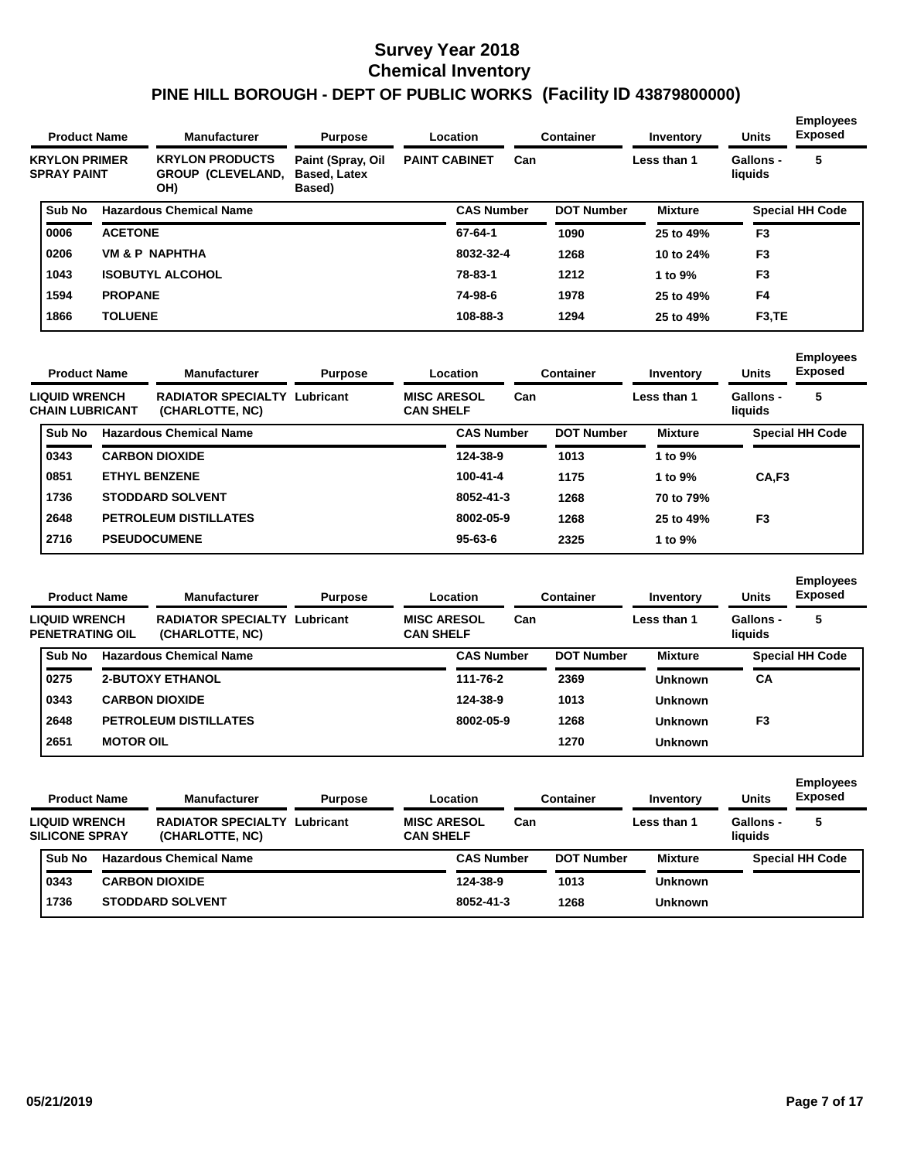| <b>Product Name</b>                        |                | <b>Manufacturer</b>                                       | <b>Purpose</b>                                     |                      | Location          |     | <b>Container</b>  | Inventory      | <b>Units</b>                | <b>Employees</b><br><b>Exposed</b> |
|--------------------------------------------|----------------|-----------------------------------------------------------|----------------------------------------------------|----------------------|-------------------|-----|-------------------|----------------|-----------------------------|------------------------------------|
| <b>KRYLON PRIMER</b><br><b>SPRAY PAINT</b> |                | <b>KRYLON PRODUCTS</b><br><b>GROUP (CLEVELAND,</b><br>OH) | Paint (Spray, Oil<br><b>Based, Latex</b><br>Based) | <b>PAINT CABINET</b> |                   | Can |                   | Less than 1    | <b>Gallons -</b><br>liquids | 5                                  |
| Sub No                                     |                | <b>Hazardous Chemical Name</b>                            |                                                    |                      | <b>CAS Number</b> |     | <b>DOT Number</b> | <b>Mixture</b> |                             | <b>Special HH Code</b>             |
| 0006                                       | <b>ACETONE</b> |                                                           |                                                    |                      | 67-64-1           |     | 1090              | 25 to 49%      | F <sub>3</sub>              |                                    |
| 0206                                       |                | <b>VM &amp; P NAPHTHA</b>                                 |                                                    |                      | 8032-32-4         |     | 1268              | 10 to 24%      | F <sub>3</sub>              |                                    |
| 1043                                       |                | <b>ISOBUTYL ALCOHOL</b>                                   |                                                    |                      | 78-83-1           |     | 1212              | 1 to 9%        | F <sub>3</sub>              |                                    |
| 1594                                       | <b>PROPANE</b> |                                                           |                                                    |                      | 74-98-6           |     | 1978              | 25 to 49%      | F <sub>4</sub>              |                                    |
| 1866                                       | <b>TOLUENE</b> |                                                           |                                                    |                      | 108-88-3          |     | 1294              | 25 to 49%      | F <sub>3</sub> , TE         |                                    |

| <b>Product Name</b>                            | <b>Manufacturer</b>                          | <b>Purpose</b> |                                        | Location          |     | <b>Container</b>  | Inventory      | <b>Units</b>                | <b>Employees</b><br><b>Exposed</b> |
|------------------------------------------------|----------------------------------------------|----------------|----------------------------------------|-------------------|-----|-------------------|----------------|-----------------------------|------------------------------------|
| <b>LIQUID WRENCH</b><br><b>CHAIN LUBRICANT</b> | <b>RADIATOR SPECIALTY</b><br>(CHARLOTTE, NC) | Lubricant      | <b>MISC ARESOL</b><br><b>CAN SHELF</b> |                   | Can |                   | Less than 1    | <b>Gallons -</b><br>liquids | 5                                  |
| Sub No                                         | <b>Hazardous Chemical Name</b>               |                |                                        | <b>CAS Number</b> |     | <b>DOT Number</b> | <b>Mixture</b> |                             | <b>Special HH Code</b>             |
| 0343                                           | <b>CARBON DIOXIDE</b>                        |                |                                        | 124-38-9          |     | 1013              | 1 to 9%        |                             |                                    |
| 0851                                           | <b>ETHYL BENZENE</b>                         |                |                                        | $100 - 41 - 4$    |     | 1175              | 1 to 9%        | CA.F <sub>3</sub>           |                                    |
| 1736                                           | <b>STODDARD SOLVENT</b>                      |                |                                        | 8052-41-3         |     | 1268              | 70 to 79%      |                             |                                    |
| 2648                                           | <b>PETROLEUM DISTILLATES</b>                 |                |                                        | 8002-05-9         |     | 1268              | 25 to 49%      | F <sub>3</sub>              |                                    |
| 2716                                           | <b>PSEUDOCUMENE</b>                          |                |                                        | $95 - 63 - 6$     |     | 2325              | 1 to 9%        |                             |                                    |
|                                                |                                              |                |                                        |                   |     |                   |                |                             |                                    |

| <b>Product Name</b>                     |                  | <b>Manufacturer</b>                          | <b>Purpose</b> |                                        | Location          |     | <b>Container</b>  | Inventory      | <b>Units</b>         | <b>Employees</b><br><b>Exposed</b> |
|-----------------------------------------|------------------|----------------------------------------------|----------------|----------------------------------------|-------------------|-----|-------------------|----------------|----------------------|------------------------------------|
| <b>LIQUID WRENCH</b><br>PENETRATING OIL |                  | <b>RADIATOR SPECIALTY</b><br>(CHARLOTTE, NC) | Lubricant      | <b>MISC ARESOL</b><br><b>CAN SHELF</b> |                   | Can |                   | Less than 1    | Gallons -<br>liquids | 5                                  |
| Sub No                                  |                  | <b>Hazardous Chemical Name</b>               |                |                                        | <b>CAS Number</b> |     | <b>DOT Number</b> | <b>Mixture</b> |                      | <b>Special HH Code</b>             |
| 0275                                    |                  | <b>2-BUTOXY ETHANOL</b>                      |                |                                        | 111-76-2          |     | 2369              | <b>Unknown</b> | СA                   |                                    |
| 0343                                    |                  | <b>CARBON DIOXIDE</b>                        |                |                                        | 124-38-9          |     | 1013              | <b>Unknown</b> |                      |                                    |
| 2648                                    |                  | <b>PETROLEUM DISTILLATES</b>                 |                |                                        | 8002-05-9         |     | 1268              | <b>Unknown</b> | F <sub>3</sub>       |                                    |
| 2651                                    | <b>MOTOR OIL</b> |                                              |                |                                        |                   |     | 1270              | <b>Unknown</b> |                      |                                    |

| <b>Product Name</b>                           | <b>Manufacturer</b>                          | <b>Purpose</b> |                                        | Location          |     | Container         | Inventory      | <b>Units</b>         | <b>Employees</b><br><b>Exposed</b> |
|-----------------------------------------------|----------------------------------------------|----------------|----------------------------------------|-------------------|-----|-------------------|----------------|----------------------|------------------------------------|
| <b>LIQUID WRENCH</b><br><b>SILICONE SPRAY</b> | <b>RADIATOR SPECIALTY</b><br>(CHARLOTTE, NC) | Lubricant      | <b>MISC ARESOL</b><br><b>CAN SHELF</b> |                   | Can |                   | Less than 1    | Gallons -<br>liquids | 5                                  |
| Sub No                                        | <b>Hazardous Chemical Name</b>               |                |                                        | <b>CAS Number</b> |     | <b>DOT Number</b> | <b>Mixture</b> |                      | <b>Special HH Code</b>             |
| 0343                                          | <b>CARBON DIOXIDE</b>                        |                |                                        | 124-38-9          |     | 1013              | <b>Unknown</b> |                      |                                    |
| 1736                                          | <b>STODDARD SOLVENT</b>                      |                |                                        | 8052-41-3         |     | 1268              | <b>Unknown</b> |                      |                                    |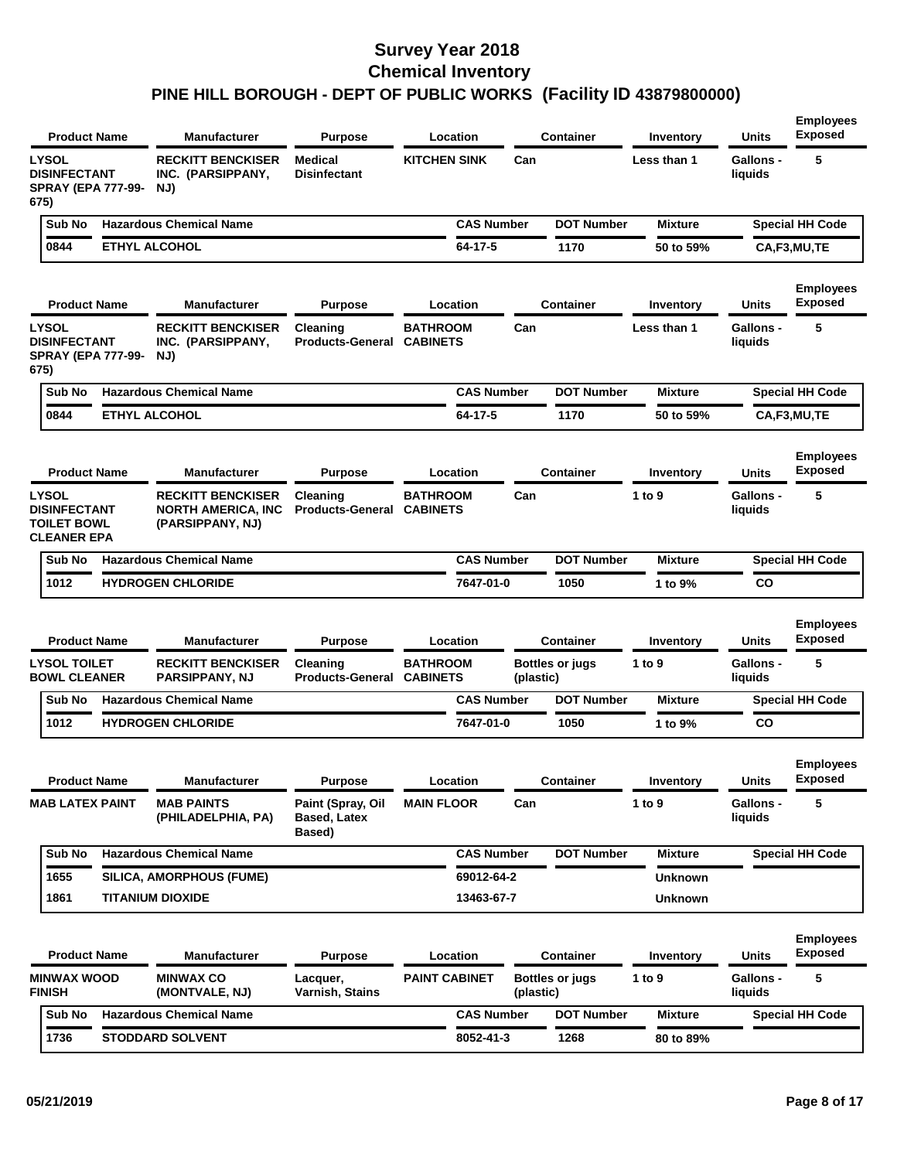| <b>LYSOL</b><br><b>RECKITT BENCKISER</b><br>Medical<br><b>KITCHEN SINK</b><br>Can<br><b>DISINFECTANT</b><br><b>Disinfectant</b><br>INC. (PARSIPPANY,<br><b>SPRAY (EPA 777-99-</b><br>NJ)<br>675)<br><b>Hazardous Chemical Name</b><br><b>CAS Number</b><br>Sub No<br><b>DOT Number</b><br><b>ETHYL ALCOHOL</b><br>0844<br>64-17-5<br>1170<br><b>Product Name</b><br>Manufacturer<br><b>Purpose</b><br>Location<br><b>Container</b><br><b>LYSOL</b><br><b>RECKITT BENCKISER</b><br><b>BATHROOM</b><br>Can<br>Cleaning<br><b>DISINFECTANT</b><br><b>Products-General</b><br><b>CABINETS</b><br>INC. (PARSIPPANY,<br><b>SPRAY (EPA 777-99-</b><br>NJ)<br>675)<br><b>Hazardous Chemical Name</b><br><b>DOT Number</b><br>Sub No<br><b>CAS Number</b><br>0844<br><b>ETHYL ALCOHOL</b><br>64-17-5<br>1170<br><b>Product Name</b><br><b>Container</b><br>Manufacturer<br><b>Purpose</b><br>Location<br><b>LYSOL</b><br><b>RECKITT BENCKISER</b><br><b>BATHROOM</b><br>Can<br>Cleaning<br><b>Products-General</b><br><b>DISINFECTANT</b><br><b>NORTH AMERICA, INC</b><br><b>CABINETS</b><br><b>TOILET BOWL</b><br>(PARSIPPANY, NJ)<br><b>CLEANER EPA</b><br><b>Hazardous Chemical Name</b><br><b>CAS Number</b><br><b>DOT Number</b><br>Sub No<br>1012<br><b>HYDROGEN CHLORIDE</b><br>7647-01-0<br>1050 | Less than 1<br><b>Mixture</b><br>50 to 59%<br>Inventory<br>Less than 1<br><b>Mixture</b><br>50 to 59% | <b>Gallons -</b><br>liquids<br><b>Special HH Code</b><br>CA,F3,MU,TE<br><b>Units</b><br>Gallons -<br>liquids<br><b>Special HH Code</b> | 5<br><b>Employees</b><br><b>Exposed</b><br>5 |
|-------------------------------------------------------------------------------------------------------------------------------------------------------------------------------------------------------------------------------------------------------------------------------------------------------------------------------------------------------------------------------------------------------------------------------------------------------------------------------------------------------------------------------------------------------------------------------------------------------------------------------------------------------------------------------------------------------------------------------------------------------------------------------------------------------------------------------------------------------------------------------------------------------------------------------------------------------------------------------------------------------------------------------------------------------------------------------------------------------------------------------------------------------------------------------------------------------------------------------------------------------------------------------------------------|-------------------------------------------------------------------------------------------------------|----------------------------------------------------------------------------------------------------------------------------------------|----------------------------------------------|
|                                                                                                                                                                                                                                                                                                                                                                                                                                                                                                                                                                                                                                                                                                                                                                                                                                                                                                                                                                                                                                                                                                                                                                                                                                                                                                 |                                                                                                       |                                                                                                                                        |                                              |
|                                                                                                                                                                                                                                                                                                                                                                                                                                                                                                                                                                                                                                                                                                                                                                                                                                                                                                                                                                                                                                                                                                                                                                                                                                                                                                 |                                                                                                       |                                                                                                                                        |                                              |
|                                                                                                                                                                                                                                                                                                                                                                                                                                                                                                                                                                                                                                                                                                                                                                                                                                                                                                                                                                                                                                                                                                                                                                                                                                                                                                 |                                                                                                       |                                                                                                                                        |                                              |
|                                                                                                                                                                                                                                                                                                                                                                                                                                                                                                                                                                                                                                                                                                                                                                                                                                                                                                                                                                                                                                                                                                                                                                                                                                                                                                 |                                                                                                       |                                                                                                                                        |                                              |
|                                                                                                                                                                                                                                                                                                                                                                                                                                                                                                                                                                                                                                                                                                                                                                                                                                                                                                                                                                                                                                                                                                                                                                                                                                                                                                 |                                                                                                       |                                                                                                                                        |                                              |
|                                                                                                                                                                                                                                                                                                                                                                                                                                                                                                                                                                                                                                                                                                                                                                                                                                                                                                                                                                                                                                                                                                                                                                                                                                                                                                 |                                                                                                       |                                                                                                                                        |                                              |
|                                                                                                                                                                                                                                                                                                                                                                                                                                                                                                                                                                                                                                                                                                                                                                                                                                                                                                                                                                                                                                                                                                                                                                                                                                                                                                 |                                                                                                       | CA,F3,MU,TE                                                                                                                            |                                              |
|                                                                                                                                                                                                                                                                                                                                                                                                                                                                                                                                                                                                                                                                                                                                                                                                                                                                                                                                                                                                                                                                                                                                                                                                                                                                                                 | Inventory                                                                                             | Units                                                                                                                                  | <b>Employees</b><br><b>Exposed</b>           |
|                                                                                                                                                                                                                                                                                                                                                                                                                                                                                                                                                                                                                                                                                                                                                                                                                                                                                                                                                                                                                                                                                                                                                                                                                                                                                                 | 1 to 9                                                                                                | <b>Gallons -</b><br>liquids                                                                                                            | 5                                            |
|                                                                                                                                                                                                                                                                                                                                                                                                                                                                                                                                                                                                                                                                                                                                                                                                                                                                                                                                                                                                                                                                                                                                                                                                                                                                                                 | <b>Mixture</b>                                                                                        | <b>Special HH Code</b>                                                                                                                 |                                              |
|                                                                                                                                                                                                                                                                                                                                                                                                                                                                                                                                                                                                                                                                                                                                                                                                                                                                                                                                                                                                                                                                                                                                                                                                                                                                                                 | 1 to 9%                                                                                               | <b>CO</b>                                                                                                                              |                                              |
| <b>Product Name</b><br><b>Manufacturer</b><br>Location<br><b>Container</b><br><b>Purpose</b>                                                                                                                                                                                                                                                                                                                                                                                                                                                                                                                                                                                                                                                                                                                                                                                                                                                                                                                                                                                                                                                                                                                                                                                                    | Inventory                                                                                             | <b>Units</b>                                                                                                                           | <b>Employees</b><br><b>Exposed</b>           |
| <b>LYSOL TOILET</b><br><b>RECKITT BENCKISER</b><br><b>BATHROOM</b><br><b>Bottles or jugs</b><br>Cleaning<br><b>BOWL CLEANER</b><br><b>Products-General</b><br>PARSIPPANY, NJ<br><b>CABINETS</b><br>(plastic)                                                                                                                                                                                                                                                                                                                                                                                                                                                                                                                                                                                                                                                                                                                                                                                                                                                                                                                                                                                                                                                                                    | 1 to 9                                                                                                | Gallons -<br>liquids                                                                                                                   | 5                                            |
| <b>Hazardous Chemical Name</b><br><b>CAS Number</b><br><b>DOT Number</b><br>Sub No                                                                                                                                                                                                                                                                                                                                                                                                                                                                                                                                                                                                                                                                                                                                                                                                                                                                                                                                                                                                                                                                                                                                                                                                              | <b>Mixture</b>                                                                                        | <b>Special HH Code</b>                                                                                                                 |                                              |
| 1012<br>7647-01-0<br><b>HYDROGEN CHLORIDE</b><br>1050                                                                                                                                                                                                                                                                                                                                                                                                                                                                                                                                                                                                                                                                                                                                                                                                                                                                                                                                                                                                                                                                                                                                                                                                                                           | 1 to 9%                                                                                               | CO                                                                                                                                     |                                              |
| <b>Product Name</b><br>Location<br><b>Container</b><br><b>Manufacturer</b><br><b>Purpose</b>                                                                                                                                                                                                                                                                                                                                                                                                                                                                                                                                                                                                                                                                                                                                                                                                                                                                                                                                                                                                                                                                                                                                                                                                    | Inventory                                                                                             | Units                                                                                                                                  | <b>Employees</b><br><b>Exposed</b>           |
| <b>MAB LATEX PAINT</b><br><b>MAB PAINTS</b><br>Paint (Spray, Oil<br><b>MAIN FLOOR</b><br>Can<br><b>Based, Latex</b><br>(PHILADELPHIA, PA)<br>Based)                                                                                                                                                                                                                                                                                                                                                                                                                                                                                                                                                                                                                                                                                                                                                                                                                                                                                                                                                                                                                                                                                                                                             | 1 to 9                                                                                                | Gallons -<br>liquids                                                                                                                   | 5                                            |
| <b>Hazardous Chemical Name</b><br><b>CAS Number</b><br><b>DOT Number</b><br>Sub No                                                                                                                                                                                                                                                                                                                                                                                                                                                                                                                                                                                                                                                                                                                                                                                                                                                                                                                                                                                                                                                                                                                                                                                                              | <b>Mixture</b>                                                                                        | <b>Special HH Code</b>                                                                                                                 |                                              |
| 1655<br>SILICA, AMORPHOUS (FUME)<br>69012-64-2                                                                                                                                                                                                                                                                                                                                                                                                                                                                                                                                                                                                                                                                                                                                                                                                                                                                                                                                                                                                                                                                                                                                                                                                                                                  | <b>Unknown</b>                                                                                        |                                                                                                                                        |                                              |
| 1861<br><b>TITANIUM DIOXIDE</b><br>13463-67-7                                                                                                                                                                                                                                                                                                                                                                                                                                                                                                                                                                                                                                                                                                                                                                                                                                                                                                                                                                                                                                                                                                                                                                                                                                                   | <b>Unknown</b>                                                                                        |                                                                                                                                        |                                              |
| <b>Product Name</b><br>Manufacturer<br>Location<br><b>Container</b><br><b>Purpose</b>                                                                                                                                                                                                                                                                                                                                                                                                                                                                                                                                                                                                                                                                                                                                                                                                                                                                                                                                                                                                                                                                                                                                                                                                           | Inventory                                                                                             | <b>Units</b>                                                                                                                           | <b>Employees</b><br><b>Exposed</b>           |
| <b>MINWAX WOOD</b><br><b>MINWAX CO</b><br><b>PAINT CABINET</b><br>Lacquer,<br>Bottles or jugs<br><b>FINISH</b><br>(MONTVALE, NJ)<br>Varnish, Stains<br>(plastic)                                                                                                                                                                                                                                                                                                                                                                                                                                                                                                                                                                                                                                                                                                                                                                                                                                                                                                                                                                                                                                                                                                                                | 1 to 9                                                                                                | <b>Gallons -</b><br>liquids                                                                                                            | 5                                            |
| <b>Hazardous Chemical Name</b><br><b>CAS Number</b><br><b>DOT Number</b><br>Sub No                                                                                                                                                                                                                                                                                                                                                                                                                                                                                                                                                                                                                                                                                                                                                                                                                                                                                                                                                                                                                                                                                                                                                                                                              |                                                                                                       | <b>Special HH Code</b>                                                                                                                 |                                              |
| 1736<br><b>STODDARD SOLVENT</b><br>8052-41-3<br>1268                                                                                                                                                                                                                                                                                                                                                                                                                                                                                                                                                                                                                                                                                                                                                                                                                                                                                                                                                                                                                                                                                                                                                                                                                                            | <b>Mixture</b>                                                                                        |                                                                                                                                        |                                              |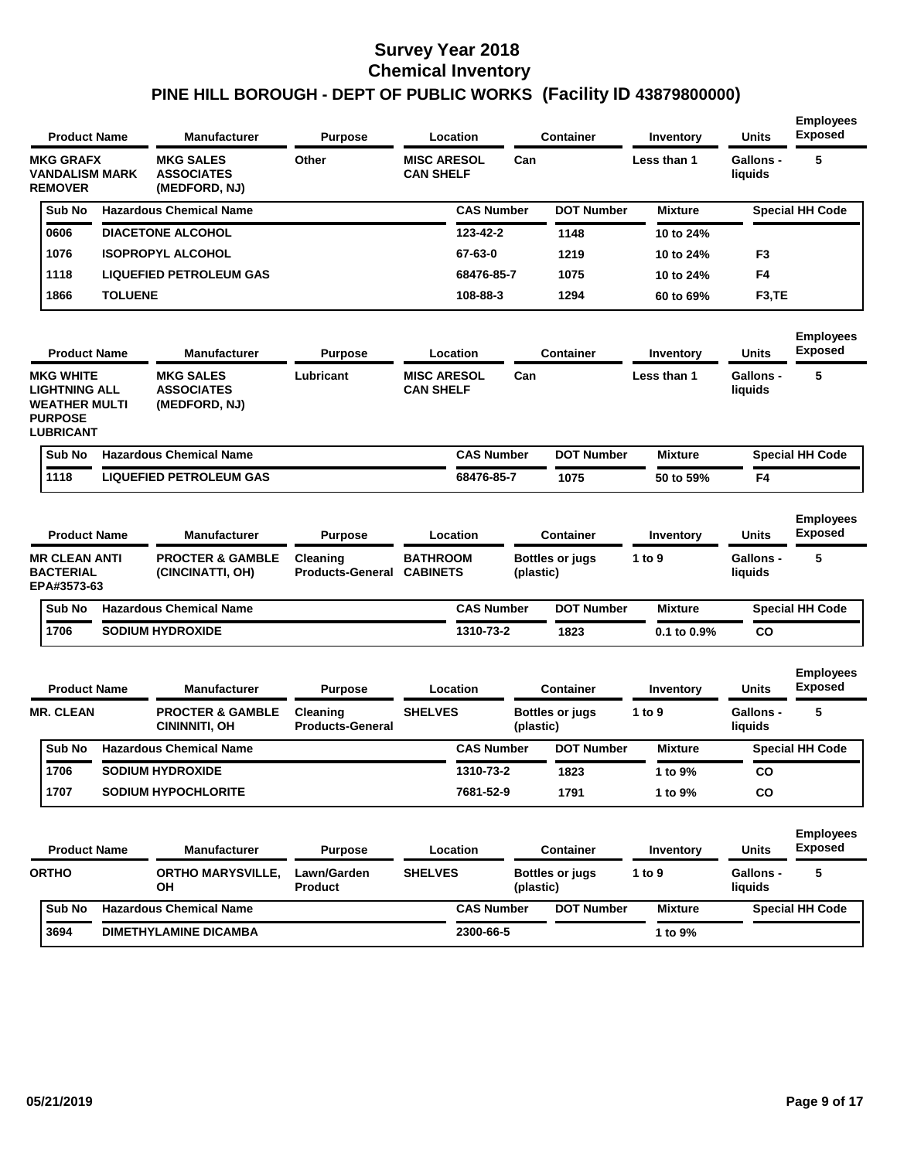| <b>Product Name</b>                                                                                    |                | <b>Manufacturer</b>                                    | Purpose                             | Location                               |           | <b>Container</b>       | Inventory        | <b>Units</b>                | <b>Employees</b><br><b>Exposed</b> |
|--------------------------------------------------------------------------------------------------------|----------------|--------------------------------------------------------|-------------------------------------|----------------------------------------|-----------|------------------------|------------------|-----------------------------|------------------------------------|
| <b>MKG GRAFX</b><br><b>VANDALISM MARK</b><br><b>REMOVER</b>                                            |                | <b>MKG SALES</b><br><b>ASSOCIATES</b><br>(MEDFORD, NJ) | Other                               | <b>MISC ARESOL</b><br><b>CAN SHELF</b> | Can       |                        | Less than 1      | <b>Gallons -</b><br>liquids | 5                                  |
| Sub No                                                                                                 |                | <b>Hazardous Chemical Name</b>                         |                                     | <b>CAS Number</b>                      |           | <b>DOT Number</b>      | <b>Mixture</b>   |                             | <b>Special HH Code</b>             |
| 0606                                                                                                   |                | <b>DIACETONE ALCOHOL</b>                               |                                     | 123-42-2                               |           | 1148                   | 10 to 24%        |                             |                                    |
| 1076                                                                                                   |                | <b>ISOPROPYL ALCOHOL</b>                               |                                     | 67-63-0                                |           | 1219                   | 10 to 24%        | F <sub>3</sub>              |                                    |
| 1118                                                                                                   |                | <b>LIQUEFIED PETROLEUM GAS</b>                         |                                     | 68476-85-7                             |           | 1075                   | 10 to 24%        | F4                          |                                    |
| 1866                                                                                                   | <b>TOLUENE</b> |                                                        |                                     | 108-88-3                               |           | 1294                   | 60 to 69%        | F <sub>3</sub> ,TE          |                                    |
| <b>Product Name</b>                                                                                    |                | <b>Manufacturer</b>                                    | <b>Purpose</b>                      | Location                               |           | <b>Container</b>       | <b>Inventory</b> | Units                       | <b>Employees</b><br><b>Exposed</b> |
| <b>MKG WHITE</b><br><b>LIGHTNING ALL</b><br><b>WEATHER MULTI</b><br><b>PURPOSE</b><br><b>LUBRICANT</b> |                | <b>MKG SALES</b><br><b>ASSOCIATES</b><br>(MEDFORD, NJ) | Lubricant                           | <b>MISC ARESOL</b><br><b>CAN SHELF</b> | Can       |                        | Less than 1      | <b>Gallons -</b><br>liquids | 5                                  |
| Sub No                                                                                                 |                | <b>Hazardous Chemical Name</b>                         |                                     | <b>CAS Number</b>                      |           | <b>DOT Number</b>      | <b>Mixture</b>   |                             | <b>Special HH Code</b>             |
| 1118                                                                                                   |                | <b>LIQUEFIED PETROLEUM GAS</b>                         |                                     | 68476-85-7                             |           | 1075                   | 50 to 59%        | F4                          |                                    |
| <b>Product Name</b>                                                                                    |                | <b>Manufacturer</b>                                    | <b>Purpose</b>                      | Location                               |           | <b>Container</b>       | Inventory        | Units                       | <b>Employees</b><br><b>Exposed</b> |
| <b>MR CLEAN ANTI</b><br><b>BACTERIAL</b><br>EPA#3573-63                                                |                | <b>PROCTER &amp; GAMBLE</b><br>(CINCINATTI, OH)        | Cleaning<br><b>Products-General</b> | <b>BATHROOM</b><br><b>CABINETS</b>     | (plastic) | <b>Bottles or jugs</b> | 1 to 9           | <b>Gallons -</b><br>liquids | 5                                  |
| Sub No                                                                                                 |                | <b>Hazardous Chemical Name</b>                         |                                     | <b>CAS Number</b>                      |           | <b>DOT Number</b>      | <b>Mixture</b>   |                             | <b>Special HH Code</b>             |
| 1706                                                                                                   |                | <b>SODIUM HYDROXIDE</b>                                |                                     | 1310-73-2                              |           | 1823                   | 0.1 to 0.9%      | CO                          |                                    |
| <b>Product Name</b>                                                                                    |                | <b>Manufacturer</b>                                    | <b>Purpose</b>                      | Location                               |           | <b>Container</b>       | Inventory        | Units                       | <b>Employees</b><br><b>Exposed</b> |
| <b>MR. CLEAN</b>                                                                                       |                | <b>PROCTER &amp; GAMBLE</b><br>CININNITI, OH           | Cleaning<br><b>Products-General</b> | <b>SHELVES</b>                         | (plastic) | <b>Bottles or jugs</b> | 1 to 9           | <b>Gallons -</b><br>liquids | 5                                  |
| Sub No                                                                                                 |                | <b>Hazardous Chemical Name</b>                         |                                     | <b>CAS Number</b>                      |           | <b>DOT Number</b>      | <b>Mixture</b>   |                             | <b>Special HH Code</b>             |
| 1706                                                                                                   |                | <b>SODIUM HYDROXIDE</b>                                |                                     | 1310-73-2                              |           | 1823                   | 1 to 9%          | CO.                         |                                    |
| 1707                                                                                                   |                | <b>SODIUM HYPOCHLORITE</b>                             |                                     | 7681-52-9                              |           | 1791                   | 1 to 9%          | CO                          |                                    |
|                                                                                                        |                |                                                        |                                     |                                        |           |                        |                  |                             |                                    |
| <b>Product Name</b>                                                                                    |                | <b>Manufacturer</b>                                    | <b>Purpose</b>                      | Location                               |           | <b>Container</b>       | Inventory        | Units                       | <b>Employees</b><br><b>Exposed</b> |
| <b>ORTHO</b>                                                                                           |                | <b>ORTHO MARYSVILLE,</b><br>OН                         | Lawn/Garden<br>Product              | <b>SHELVES</b>                         | (plastic) | <b>Bottles or jugs</b> | 1 to 9           | Gallons -<br>liquids        | 5                                  |
| Sub No                                                                                                 |                | <b>Hazardous Chemical Name</b>                         |                                     | <b>CAS Number</b>                      |           | <b>DOT Number</b>      | <b>Mixture</b>   |                             | <b>Special HH Code</b>             |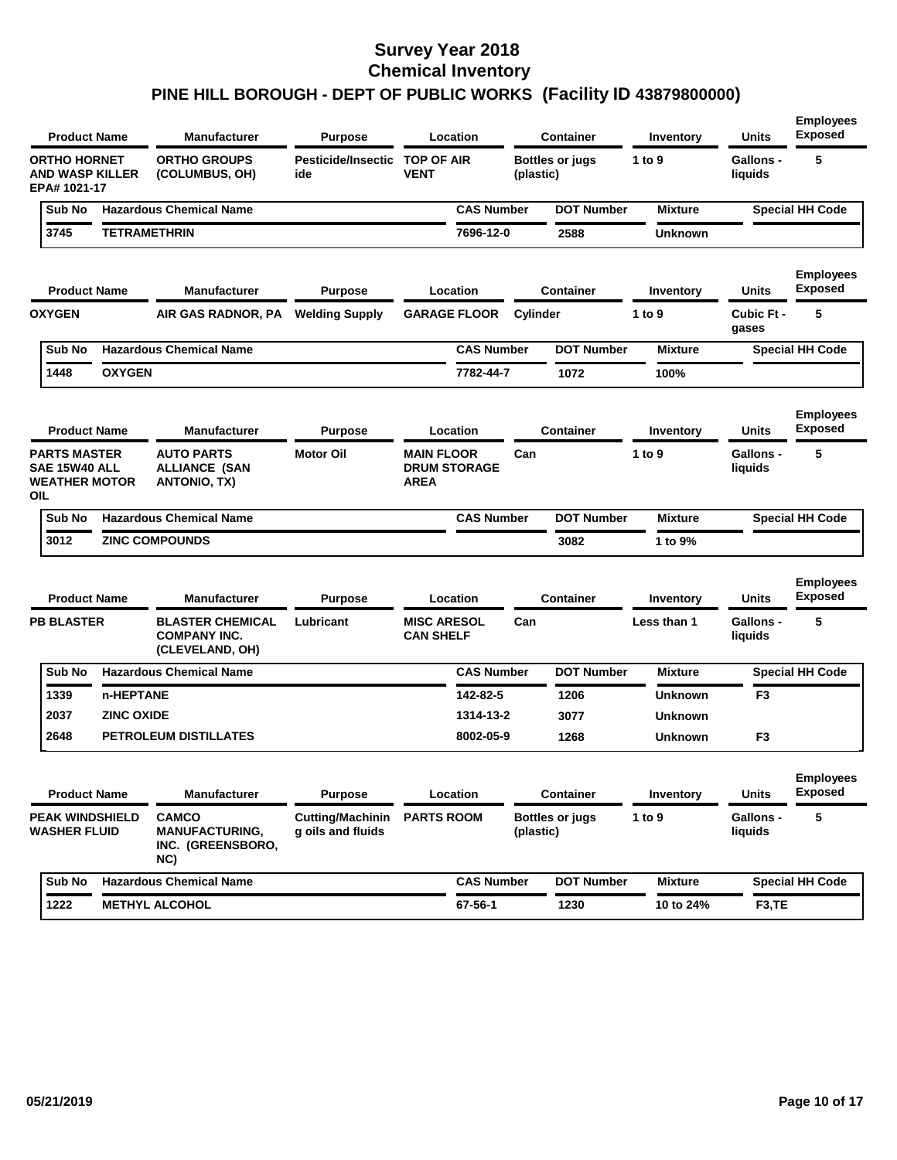| <b>Product Name</b>                                                 |                   | <b>Manufacturer</b>                                               | Purpose                                      | Location                                                |                   |           | <b>Container</b>       | Inventory      | Units                       | <b>Employees</b><br><b>Exposed</b> |
|---------------------------------------------------------------------|-------------------|-------------------------------------------------------------------|----------------------------------------------|---------------------------------------------------------|-------------------|-----------|------------------------|----------------|-----------------------------|------------------------------------|
| <b>ORTHO HORNET</b><br><b>AND WASP KILLER</b><br>EPA# 1021-17       |                   | <b>ORTHO GROUPS</b><br>(COLUMBUS, OH)                             | Pesticide/Insectic<br>ide                    | <b>TOP OF AIR</b><br><b>VENT</b>                        |                   | (plastic) | <b>Bottles or jugs</b> | 1 to 9         | Gallons -<br>liquids        | 5                                  |
| Sub No                                                              |                   | <b>Hazardous Chemical Name</b>                                    |                                              |                                                         | <b>CAS Number</b> |           | <b>DOT Number</b>      | <b>Mixture</b> |                             | <b>Special HH Code</b>             |
| 3745                                                                |                   | <b>TETRAMETHRIN</b>                                               |                                              |                                                         | 7696-12-0         |           | 2588                   | <b>Unknown</b> |                             |                                    |
| <b>Product Name</b>                                                 |                   | <b>Manufacturer</b>                                               | <b>Purpose</b>                               | Location                                                |                   |           | <b>Container</b>       | Inventory      | Units                       | <b>Employees</b><br><b>Exposed</b> |
| <b>OXYGEN</b>                                                       |                   | AIR GAS RADNOR, PA                                                | <b>Welding Supply</b>                        | <b>GARAGE FLOOR</b>                                     |                   | Cylinder  |                        | 1 to 9         | Cubic Ft -<br>gases         | 5                                  |
| Sub No                                                              |                   | <b>Hazardous Chemical Name</b>                                    |                                              |                                                         | <b>CAS Number</b> |           | <b>DOT Number</b>      | <b>Mixture</b> |                             | <b>Special HH Code</b>             |
| 1448                                                                | <b>OXYGEN</b>     |                                                                   |                                              |                                                         | 7782-44-7         |           | 1072                   | 100%           |                             |                                    |
| <b>Product Name</b>                                                 |                   | <b>Manufacturer</b>                                               | Purpose                                      | Location                                                |                   |           | <b>Container</b>       | Inventory      | <b>Units</b>                | <b>Employees</b><br><b>Exposed</b> |
| <b>PARTS MASTER</b><br>SAE 15W40 ALL<br><b>WEATHER MOTOR</b><br>OIL |                   | <b>AUTO PARTS</b><br><b>ALLIANCE (SAN</b><br>ANTONIO, TX)         | <b>Motor Oil</b>                             | <b>MAIN FLOOR</b><br><b>DRUM STORAGE</b><br><b>AREA</b> |                   | Can       |                        | 1 to $9$       | <b>Gallons -</b><br>liquids | 5                                  |
| Sub No                                                              |                   | <b>Hazardous Chemical Name</b>                                    |                                              |                                                         | <b>CAS Number</b> |           | <b>DOT Number</b>      | <b>Mixture</b> |                             | <b>Special HH Code</b>             |
| 3012                                                                |                   | <b>ZINC COMPOUNDS</b>                                             |                                              |                                                         |                   |           | 3082                   | 1 to 9%        |                             |                                    |
| <b>Product Name</b>                                                 |                   | <b>Manufacturer</b>                                               | <b>Purpose</b>                               | Location                                                |                   |           | <b>Container</b>       | Inventory      | <b>Units</b>                | <b>Employees</b><br><b>Exposed</b> |
| <b>PB BLASTER</b>                                                   |                   | <b>BLASTER CHEMICAL</b><br><b>COMPANY INC.</b><br>(CLEVELAND, OH) | Lubricant                                    | <b>MISC ARESOL</b><br><b>CAN SHELF</b>                  |                   | Can       |                        | Less than 1    | <b>Gallons -</b><br>liquids | 5                                  |
| Sub No                                                              |                   | <b>Hazardous Chemical Name</b>                                    |                                              |                                                         | <b>CAS Number</b> |           | <b>DOT Number</b>      | <b>Mixture</b> |                             | <b>Special HH Code</b>             |
| 1339                                                                | n-HEPTANE         |                                                                   |                                              |                                                         | 142-82-5          |           | 1206                   | <b>Unknown</b> | F3                          |                                    |
| 2037                                                                | <b>ZINC OXIDE</b> |                                                                   |                                              |                                                         | 1314-13-2         |           | 3077                   | <b>Unknown</b> |                             |                                    |
| 2648                                                                |                   | PETROLEUM DISTILLATES                                             |                                              |                                                         | 8002-05-9         |           | 1268                   | <b>Unknown</b> | F <sub>3</sub>              |                                    |
| <b>Product Name</b>                                                 |                   | <b>Manufacturer</b>                                               | <b>Purpose</b>                               | Location                                                |                   |           | Container              | Inventory      | <b>Units</b>                | <b>Employees</b><br><b>Exposed</b> |
| <b>PEAK WINDSHIELD</b><br><b>WASHER FLUID</b>                       |                   | <b>CAMCO</b><br><b>MANUFACTURING,</b><br>INC. (GREENSBORO,<br>NC) | <b>Cutting/Machinin</b><br>g oils and fluids | <b>PARTS ROOM</b>                                       |                   | (plastic) | <b>Bottles or jugs</b> | 1 to 9         | Gallons -<br>liquids        | 5                                  |
| Sub No                                                              |                   | <b>Hazardous Chemical Name</b>                                    |                                              |                                                         | <b>CAS Number</b> |           | <b>DOT Number</b>      | <b>Mixture</b> |                             | <b>Special HH Code</b>             |
| 1222                                                                |                   | <b>METHYL ALCOHOL</b>                                             |                                              |                                                         | 67-56-1           |           | 1230                   | 10 to 24%      | F <sub>3</sub> ,TE          |                                    |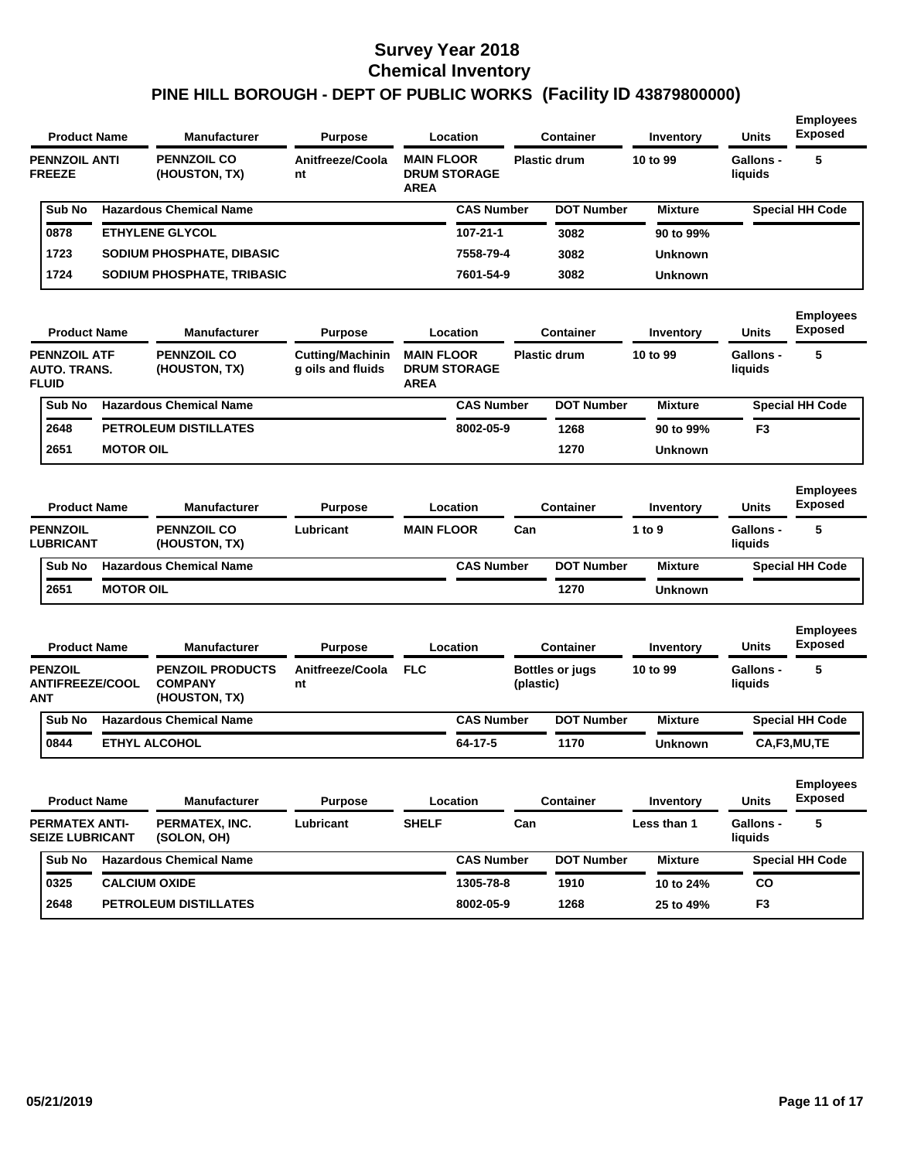| <b>Product Name</b>                                        |                  | <b>Manufacturer</b>                                        | Purpose                                      |                                  | Location            |           | <b>Container</b>       | Inventory      | <b>Units</b>                | <b>Employees</b><br><b>Exposed</b> |
|------------------------------------------------------------|------------------|------------------------------------------------------------|----------------------------------------------|----------------------------------|---------------------|-----------|------------------------|----------------|-----------------------------|------------------------------------|
| <b>PENNZOIL ANTI</b><br><b>FREEZE</b>                      |                  | <b>PENNZOIL CO</b><br>(HOUSTON, TX)                        | Anitfreeze/Coola<br>nt                       | <b>MAIN FLOOR</b><br><b>AREA</b> | <b>DRUM STORAGE</b> |           | <b>Plastic drum</b>    | 10 to 99       | <b>Gallons -</b><br>liquids | 5                                  |
| Sub No                                                     |                  | <b>Hazardous Chemical Name</b>                             |                                              |                                  | <b>CAS Number</b>   |           | <b>DOT Number</b>      | <b>Mixture</b> |                             | <b>Special HH Code</b>             |
| 0878                                                       |                  | <b>ETHYLENE GLYCOL</b>                                     |                                              |                                  | 107-21-1            |           | 3082                   | 90 to 99%      |                             |                                    |
| 1723                                                       |                  | SODIUM PHOSPHATE, DIBASIC                                  |                                              |                                  | 7558-79-4           |           | 3082                   | <b>Unknown</b> |                             |                                    |
| 1724                                                       |                  | SODIUM PHOSPHATE, TRIBASIC                                 |                                              |                                  | 7601-54-9           |           | 3082                   | <b>Unknown</b> |                             |                                    |
| <b>Product Name</b>                                        |                  | <b>Manufacturer</b>                                        | <b>Purpose</b>                               |                                  | Location            |           | <b>Container</b>       | Inventory      | <b>Units</b>                | <b>Employees</b><br><b>Exposed</b> |
| <b>PENNZOIL ATF</b><br><b>AUTO, TRANS.</b><br><b>FLUID</b> |                  | <b>PENNZOIL CO</b><br>(HOUSTON, TX)                        | <b>Cutting/Machinin</b><br>g oils and fluids | <b>MAIN FLOOR</b><br>AREA        | <b>DRUM STORAGE</b> |           | <b>Plastic drum</b>    | 10 to 99       | Gallons -<br>liquids        | 5                                  |
| Sub No                                                     |                  | <b>Hazardous Chemical Name</b>                             |                                              |                                  | <b>CAS Number</b>   |           | <b>DOT Number</b>      | <b>Mixture</b> |                             | <b>Special HH Code</b>             |
| 2648                                                       |                  | <b>PETROLEUM DISTILLATES</b>                               |                                              |                                  | 8002-05-9           |           | 1268                   | 90 to 99%      | F3                          |                                    |
| 2651                                                       | <b>MOTOR OIL</b> |                                                            |                                              |                                  |                     |           | 1270                   | <b>Unknown</b> |                             |                                    |
| <b>Product Name</b>                                        |                  | <b>Manufacturer</b>                                        | Purpose                                      |                                  | Location            |           | <b>Container</b>       | Inventory      | <b>Units</b>                | <b>Employees</b><br><b>Exposed</b> |
| <b>PENNZOIL</b><br><b>LUBRICANT</b>                        |                  | <b>PENNZOIL CO</b><br>(HOUSTON, TX)                        | Lubricant                                    | <b>MAIN FLOOR</b>                |                     | Can       |                        | 1 to 9         | <b>Gallons -</b><br>liquids | 5                                  |
| Sub No                                                     |                  | <b>Hazardous Chemical Name</b>                             |                                              |                                  | <b>CAS Number</b>   |           | <b>DOT Number</b>      | <b>Mixture</b> |                             | <b>Special HH Code</b>             |
| 2651                                                       | <b>MOTOR OIL</b> |                                                            |                                              |                                  |                     |           | 1270                   | <b>Unknown</b> |                             |                                    |
| <b>Product Name</b>                                        |                  | <b>Manufacturer</b>                                        | <b>Purpose</b>                               |                                  | Location            |           | Container              | Inventory      | <b>Units</b>                | <b>Employees</b><br><b>Exposed</b> |
| <b>PENZOIL</b><br><b>ANTIFREEZE/COOL</b><br>ANT            |                  | <b>PENZOIL PRODUCTS</b><br><b>COMPANY</b><br>(HOUSTON, TX) | Anitfreeze/Coola<br>nt                       | <b>FLC</b>                       |                     | (plastic) | <b>Bottles or jugs</b> | 10 to 99       | <b>Gallons -</b><br>liquids | 5                                  |
| Sub No                                                     |                  | <b>Hazardous Chemical Name</b>                             |                                              |                                  | <b>CAS Number</b>   |           | <b>DOT Number</b>      | <b>Mixture</b> |                             | <b>Special HH Code</b>             |
| 0844                                                       |                  | <b>ETHYL ALCOHOL</b>                                       |                                              |                                  | 64-17-5             |           | 1170                   | <b>Unknown</b> |                             | CA,F3,MU,TE                        |
| <b>Product Name</b>                                        |                  | <b>Manufacturer</b>                                        | <b>Purpose</b>                               |                                  | Location            |           | <b>Container</b>       | Inventory      | <b>Units</b>                | <b>Employees</b><br><b>Exposed</b> |
| PERMATEX ANTI-<br><b>SEIZE LUBRICANT</b>                   |                  | PERMATEX, INC.<br>(SOLON, OH)                              | Lubricant                                    | <b>SHELF</b>                     |                     | Can       |                        | Less than 1    | Gallons -<br>liquids        | 5                                  |
| Sub No                                                     |                  | <b>Hazardous Chemical Name</b>                             |                                              |                                  | <b>CAS Number</b>   |           | <b>DOT Number</b>      | <b>Mixture</b> |                             | <b>Special HH Code</b>             |
| 0325                                                       |                  | <b>CALCIUM OXIDE</b>                                       |                                              |                                  | 1305-78-8           |           | 1910                   | 10 to 24%      | CO                          |                                    |
| 2648                                                       |                  | PETROLEUM DISTILLATES                                      |                                              |                                  | 8002-05-9           |           | 1268                   | 25 to 49%      | F <sub>3</sub>              |                                    |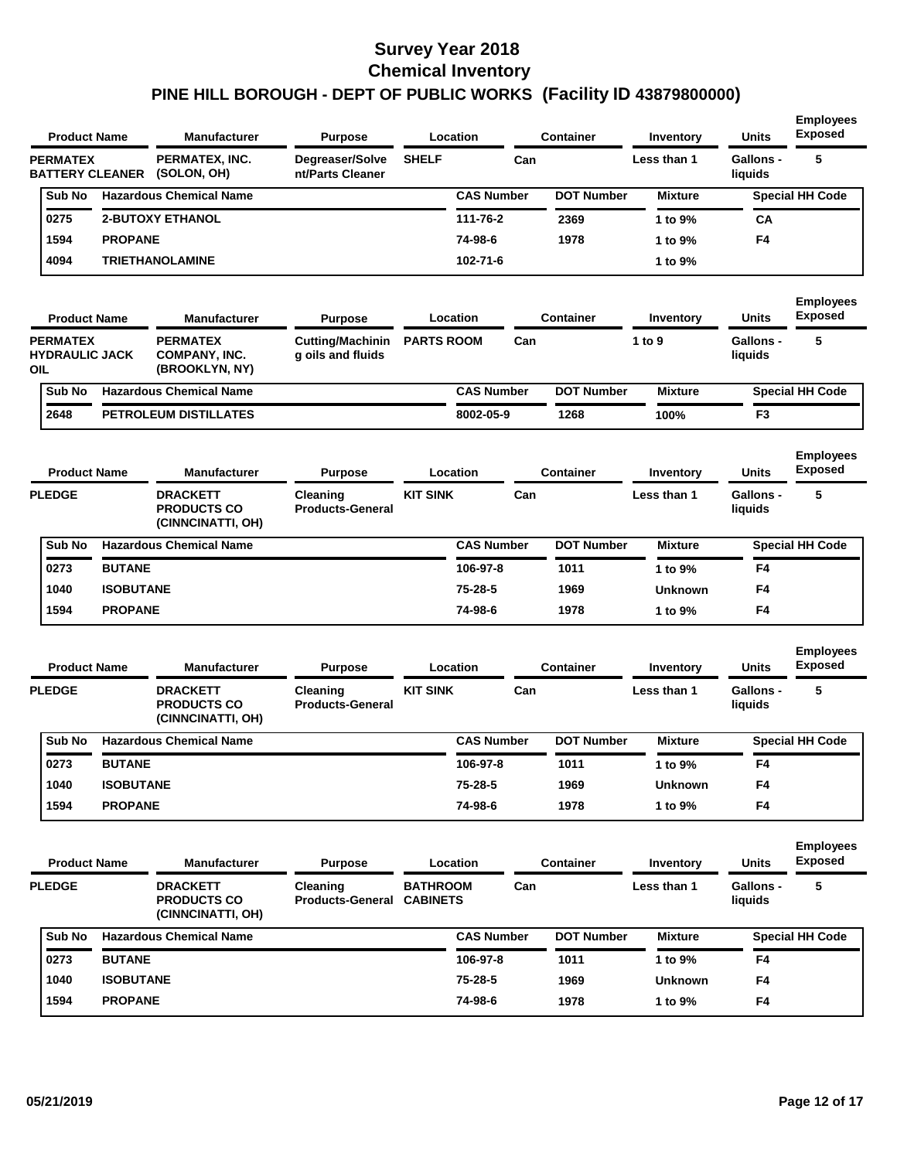| <b>Product Name</b>                             |                  | <b>Manufacturer</b>                                        | <b>Purpose</b>                               |                                    | Location          |     | <b>Container</b>  | Inventory        | <b>Units</b>                | <b>Employees</b><br><b>Exposed</b> |
|-------------------------------------------------|------------------|------------------------------------------------------------|----------------------------------------------|------------------------------------|-------------------|-----|-------------------|------------------|-----------------------------|------------------------------------|
| <b>PERMATEX</b><br><b>BATTERY CLEANER</b>       |                  | PERMATEX, INC.<br>(SOLON, OH)                              | Degreaser/Solve<br>nt/Parts Cleaner          | <b>SHELF</b>                       |                   | Can |                   | Less than 1      | <b>Gallons -</b><br>liquids | 5                                  |
| Sub No                                          |                  | <b>Hazardous Chemical Name</b>                             |                                              |                                    | <b>CAS Number</b> |     | <b>DOT Number</b> | <b>Mixture</b>   |                             | <b>Special HH Code</b>             |
| 0275                                            |                  | <b>2-BUTOXY ETHANOL</b>                                    |                                              |                                    | 111-76-2          |     | 2369              | 1 to 9%          | CA                          |                                    |
| 1594                                            | <b>PROPANE</b>   |                                                            |                                              |                                    | 74-98-6           |     | 1978              | 1 to 9%          | F4                          |                                    |
| 4094                                            |                  | <b>TRIETHANOLAMINE</b>                                     |                                              |                                    | 102-71-6          |     |                   | 1 to 9%          |                             |                                    |
| <b>Product Name</b>                             |                  | <b>Manufacturer</b>                                        | <b>Purpose</b>                               |                                    | Location          |     | <b>Container</b>  | Inventory        | Units                       | <b>Employees</b><br><b>Exposed</b> |
| <b>PERMATEX</b><br><b>HYDRAULIC JACK</b><br>OIL |                  | <b>PERMATEX</b><br><b>COMPANY, INC.</b><br>(BROOKLYN, NY)  | <b>Cutting/Machinin</b><br>g oils and fluids | <b>PARTS ROOM</b>                  |                   | Can |                   | 1 to 9           | <b>Gallons -</b><br>liquids | 5                                  |
| Sub No                                          |                  | <b>Hazardous Chemical Name</b>                             |                                              |                                    | <b>CAS Number</b> |     | <b>DOT Number</b> | <b>Mixture</b>   |                             | <b>Special HH Code</b>             |
| 2648                                            |                  | <b>PETROLEUM DISTILLATES</b>                               |                                              |                                    | 8002-05-9         |     | 1268              | 100%             | F3                          |                                    |
| <b>Product Name</b>                             |                  | <b>Manufacturer</b>                                        | <b>Purpose</b>                               |                                    | Location          |     | Container         | <b>Inventory</b> | Units                       | <b>Employees</b><br><b>Exposed</b> |
| <b>PLEDGE</b>                                   |                  | <b>DRACKETT</b><br><b>PRODUCTS CO</b><br>(CINNCINATTI, OH) | Cleaning<br><b>Products-General</b>          | <b>KIT SINK</b>                    |                   | Can |                   | Less than 1      | <b>Gallons -</b><br>liquids | 5                                  |
| Sub No                                          |                  | <b>Hazardous Chemical Name</b>                             |                                              |                                    | <b>CAS Number</b> |     | <b>DOT Number</b> | <b>Mixture</b>   |                             | <b>Special HH Code</b>             |
| 0273                                            | <b>BUTANE</b>    |                                                            |                                              |                                    | 106-97-8          |     | 1011              | 1 to 9%          | F4                          |                                    |
| 1040                                            | <b>ISOBUTANE</b> |                                                            |                                              |                                    | 75-28-5           |     | 1969              | <b>Unknown</b>   | F4                          |                                    |
| 1594                                            | <b>PROPANE</b>   |                                                            |                                              |                                    | 74-98-6           |     | 1978              | 1 to 9%          | F4                          |                                    |
| <b>Product Name</b>                             |                  | <b>Manufacturer</b>                                        | <b>Purpose</b>                               |                                    | Location          |     | <b>Container</b>  | <b>Inventory</b> | <b>Units</b>                | <b>Employees</b><br><b>Exposed</b> |
| <b>PLEDGE</b>                                   |                  | <b>DRACKETT</b><br><b>PRODUCTS CO</b><br>(CINNCINATTI, OH) | Cleaning<br><b>Products-General</b>          | <b>KIT SINK</b>                    |                   | Can |                   | Less than 1      | <b>Gallons -</b><br>liquids | 5                                  |
| Sub No                                          |                  | <b>Hazardous Chemical Name</b>                             |                                              |                                    | <b>CAS Number</b> |     | <b>DOT Number</b> | <b>Mixture</b>   |                             | <b>Special HH Code</b>             |
| 0273                                            | <b>BUTANE</b>    |                                                            |                                              |                                    | 106-97-8          |     | 1011              | 1 to 9%          | F4                          |                                    |
| 1040                                            | <b>ISOBUTANE</b> |                                                            |                                              |                                    | 75-28-5           |     | 1969              | <b>Unknown</b>   | F4                          |                                    |
| 1594                                            | <b>PROPANE</b>   |                                                            |                                              |                                    | 74-98-6           |     | 1978              | 1 to 9%          | F4                          |                                    |
| <b>Product Name</b>                             |                  | <b>Manufacturer</b>                                        | <b>Purpose</b>                               |                                    | Location          |     | <b>Container</b>  | Inventory        | Units                       | <b>Employees</b><br><b>Exposed</b> |
| <b>PLEDGE</b>                                   |                  | <b>DRACKETT</b><br><b>PRODUCTS CO</b><br>(CINNCINATTI, OH) | Cleaning<br><b>Products-General</b>          | <b>BATHROOM</b><br><b>CABINETS</b> |                   | Can |                   | Less than 1      | Gallons -<br>liquids        | 5                                  |
| Sub No                                          |                  | <b>Hazardous Chemical Name</b>                             |                                              |                                    | <b>CAS Number</b> |     | <b>DOT Number</b> | <b>Mixture</b>   |                             | <b>Special HH Code</b>             |
| 0273                                            | <b>BUTANE</b>    |                                                            |                                              |                                    | 106-97-8          |     | 1011              | 1 to 9%          | F4                          |                                    |
| 1040                                            | <b>ISOBUTANE</b> |                                                            |                                              |                                    | 75-28-5           |     | 1969              | <b>Unknown</b>   | F4                          |                                    |
| 1594                                            | <b>PROPANE</b>   |                                                            |                                              |                                    | 74-98-6           |     | 1978              | 1 to 9%          | F4                          |                                    |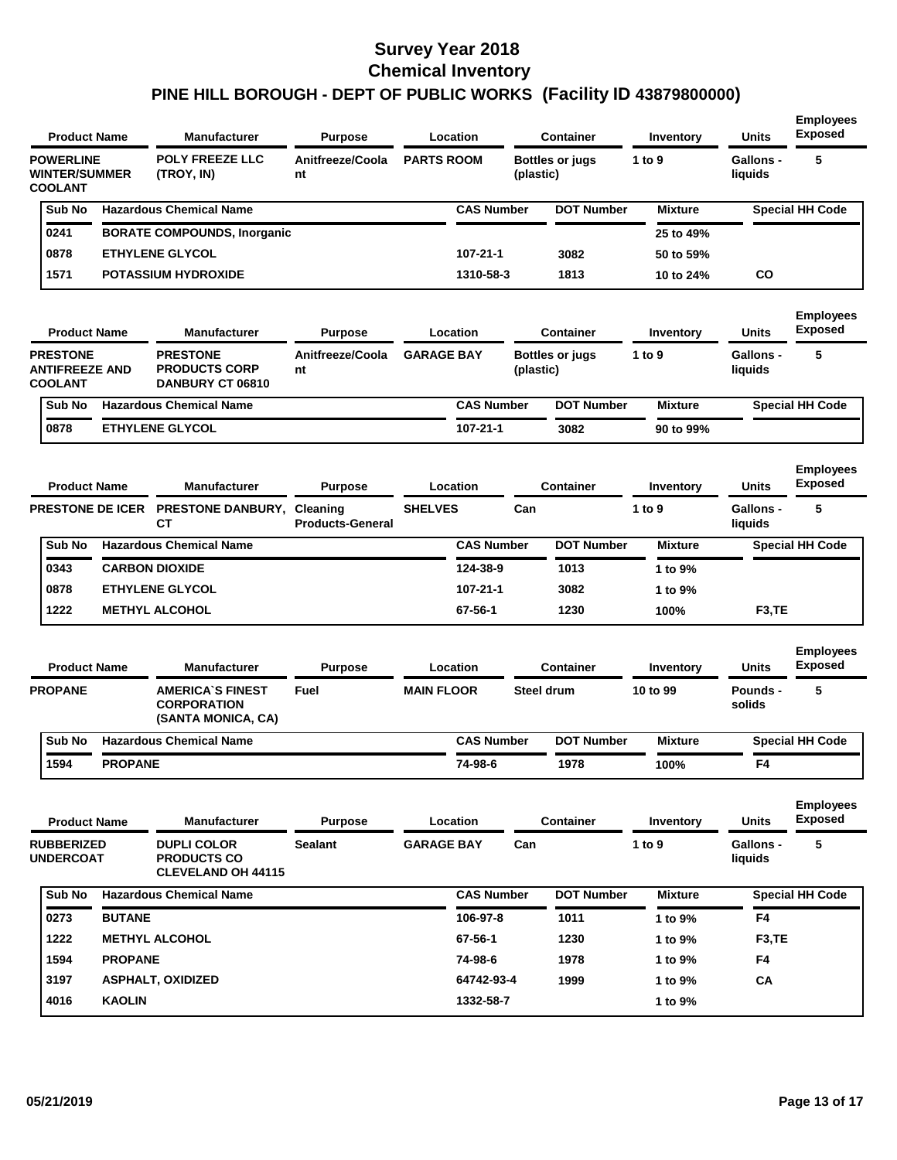|                |                                          | <b>Product Name</b>     | <b>Manufacturer</b>                                                   | <b>Purpose</b>          |                   | Location          |           | <b>Container</b>       | <b>Inventory</b> | <b>Units</b>                | <b>Employees</b><br><b>Exposed</b> |
|----------------|------------------------------------------|-------------------------|-----------------------------------------------------------------------|-------------------------|-------------------|-------------------|-----------|------------------------|------------------|-----------------------------|------------------------------------|
| <b>COOLANT</b> | <b>POWERLINE</b><br><b>WINTER/SUMMER</b> |                         | <b>POLY FREEZE LLC</b><br>(TROY, IN)                                  | Anitfreeze/Coola<br>nt  | <b>PARTS ROOM</b> |                   | (plastic) | <b>Bottles or jugs</b> | 1 to 9           | <b>Gallons -</b><br>liquids | 5                                  |
|                | Sub No                                   |                         | <b>Hazardous Chemical Name</b>                                        |                         |                   | <b>CAS Number</b> |           | <b>DOT Number</b>      | <b>Mixture</b>   |                             | <b>Special HH Code</b>             |
|                | 0241                                     |                         | <b>BORATE COMPOUNDS, Inorganic</b>                                    |                         |                   |                   |           |                        | 25 to 49%        |                             |                                    |
|                | 0878                                     |                         | <b>ETHYLENE GLYCOL</b>                                                |                         |                   | 107-21-1          |           | 3082                   | 50 to 59%        |                             |                                    |
|                | 1571                                     |                         | <b>POTASSIUM HYDROXIDE</b>                                            |                         |                   | 1310-58-3         |           | 1813                   | 10 to 24%        | CO                          |                                    |
|                | <b>Product Name</b>                      |                         | <b>Manufacturer</b>                                                   | <b>Purpose</b>          |                   | Location          |           | <b>Container</b>       | Inventory        | <b>Units</b>                | <b>Employees</b><br><b>Exposed</b> |
| <b>COOLANT</b> | <b>PRESTONE</b><br><b>ANTIFREEZE AND</b> |                         | <b>PRESTONE</b><br><b>PRODUCTS CORP</b><br>DANBURY CT 06810           | Anitfreeze/Coola<br>nt  | <b>GARAGE BAY</b> |                   | (plastic) | <b>Bottles or jugs</b> | 1 to 9           | <b>Gallons -</b><br>liquids | 5                                  |
|                | Sub No                                   |                         | <b>Hazardous Chemical Name</b>                                        |                         |                   | <b>CAS Number</b> |           | <b>DOT Number</b>      | <b>Mixture</b>   |                             | <b>Special HH Code</b>             |
|                | 0878                                     |                         | <b>ETHYLENE GLYCOL</b>                                                |                         |                   | 107-21-1          |           | 3082                   | 90 to 99%        |                             |                                    |
|                | <b>Product Name</b>                      |                         | <b>Manufacturer</b>                                                   | <b>Purpose</b>          |                   | Location          |           | Container              | Inventory        | <b>Units</b>                | <b>Employees</b><br><b>Exposed</b> |
|                |                                          | <b>PRESTONE DE ICER</b> | PRESTONE DANBURY, Cleaning<br>CТ                                      | <b>Products-General</b> | <b>SHELVES</b>    |                   | Can       |                        | 1 to 9           | Gallons -<br>liquids        | 5                                  |
|                | Sub No                                   |                         | <b>Hazardous Chemical Name</b>                                        |                         |                   | <b>CAS Number</b> |           | <b>DOT Number</b>      | <b>Mixture</b>   |                             | <b>Special HH Code</b>             |
|                | 0343                                     |                         | <b>CARBON DIOXIDE</b>                                                 |                         |                   | 124-38-9          |           | 1013                   | 1 to 9%          |                             |                                    |
|                | 0878                                     |                         | <b>ETHYLENE GLYCOL</b>                                                |                         |                   | 107-21-1          |           | 3082                   | 1 to 9%          |                             |                                    |
|                | 1222                                     |                         | <b>METHYL ALCOHOL</b>                                                 |                         |                   | 67-56-1           |           | 1230                   | 100%             | F <sub>3</sub> ,TE          |                                    |
|                | <b>Product Name</b>                      |                         | <b>Manufacturer</b>                                                   | <b>Purpose</b>          |                   | Location          |           | <b>Container</b>       | Inventory        | Units                       | <b>Employees</b><br><b>Exposed</b> |
| <b>PROPANE</b> |                                          |                         | <b>AMERICA'S FINEST</b><br><b>CORPORATION</b><br>(SANTA MONICA, CA)   | Fuel                    | <b>MAIN FLOOR</b> |                   |           | <b>Steel drum</b>      | 10 to 99         | Pounds -<br>solids          | 5                                  |
|                | Sub No                                   |                         | <b>Hazardous Chemical Name</b>                                        |                         |                   | <b>CAS Number</b> |           | <b>DOT Number</b>      | <b>Mixture</b>   |                             | <b>Special HH Code</b>             |
|                | 1594                                     | <b>PROPANE</b>          |                                                                       |                         |                   | 74-98-6           |           | 1978                   | 100%             | F4                          |                                    |
|                | <b>Product Name</b>                      |                         | <b>Manufacturer</b>                                                   | <b>Purpose</b>          |                   | Location          |           | <b>Container</b>       | Inventory        | <b>Units</b>                | <b>Employees</b><br><b>Exposed</b> |
|                | <b>RUBBERIZED</b><br><b>UNDERCOAT</b>    |                         | <b>DUPLI COLOR</b><br><b>PRODUCTS CO</b><br><b>CLEVELAND OH 44115</b> | <b>Sealant</b>          | <b>GARAGE BAY</b> |                   | Can       |                        | 1 to 9           | Gallons -<br>liquids        | 5                                  |
|                | Sub No                                   |                         | <b>Hazardous Chemical Name</b>                                        |                         |                   | <b>CAS Number</b> |           | <b>DOT Number</b>      | <b>Mixture</b>   |                             | <b>Special HH Code</b>             |
|                | 0273                                     | <b>BUTANE</b>           |                                                                       |                         |                   | 106-97-8          |           | 1011                   | 1 to 9%          | F4                          |                                    |
|                | 1222                                     |                         | <b>METHYL ALCOHOL</b>                                                 |                         |                   | 67-56-1           |           | 1230                   | 1 to 9%          | F <sub>3</sub> ,TE          |                                    |
|                | 1594                                     | <b>PROPANE</b>          |                                                                       |                         |                   | 74-98-6           |           | 1978                   | 1 to 9%          | F4                          |                                    |
|                | 3197                                     |                         | <b>ASPHALT, OXIDIZED</b>                                              |                         |                   | 64742-93-4        |           | 1999                   | 1 to 9%          | CA                          |                                    |
|                | 4016                                     | <b>KAOLIN</b>           |                                                                       |                         |                   | 1332-58-7         |           |                        | 1 to 9%          |                             |                                    |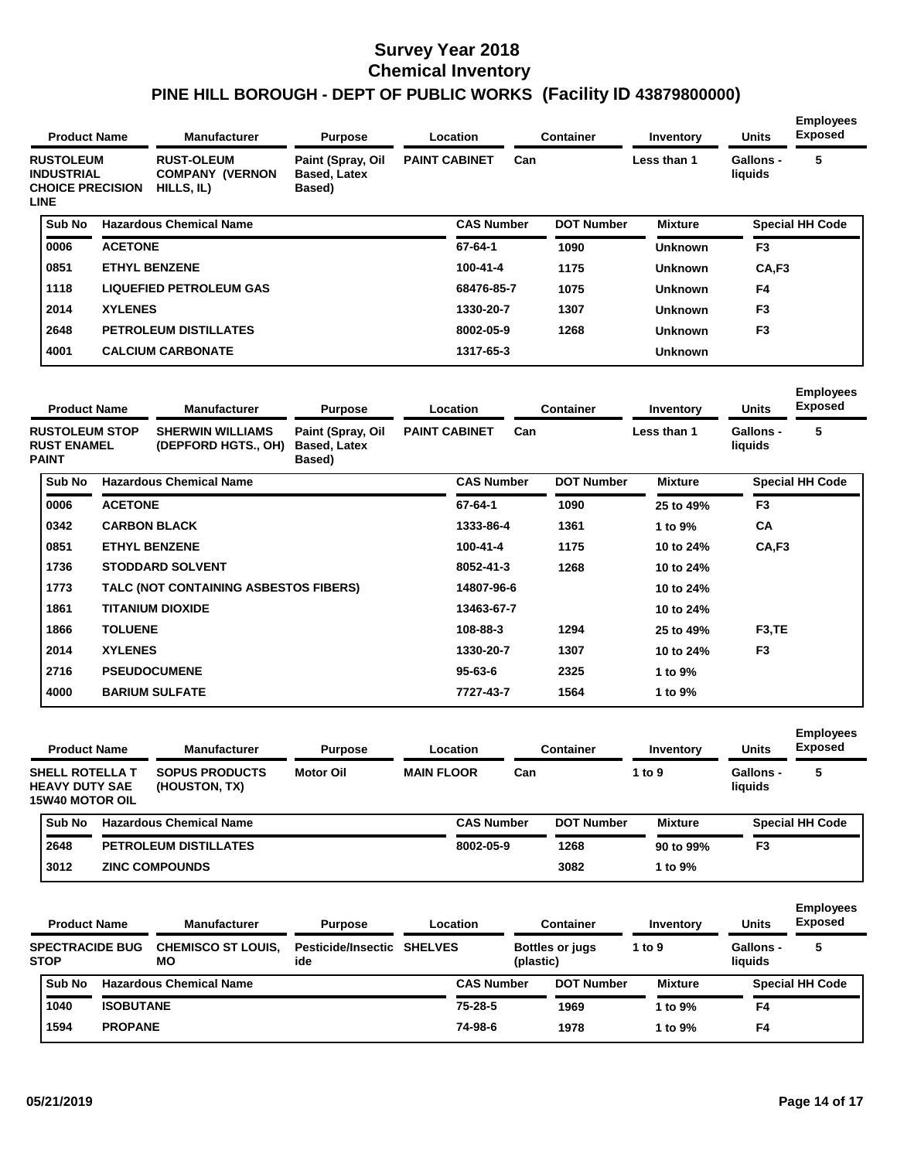| <b>Product Name</b>                                                             |                     | <b>Manufacturer</b>                                       | <b>Purpose</b>                                     |                      | <b>Location</b>   |     | <b>Container</b>  | Inventory      | <b>Units</b>         | <b>Employees</b><br><b>Exposed</b> |
|---------------------------------------------------------------------------------|---------------------|-----------------------------------------------------------|----------------------------------------------------|----------------------|-------------------|-----|-------------------|----------------|----------------------|------------------------------------|
| <b>RUSTOLEUM</b><br><b>INDUSTRIAL</b><br><b>CHOICE PRECISION</b><br><b>LINE</b> |                     | <b>RUST-OLEUM</b><br><b>COMPANY (VERNON</b><br>HILLS, IL) | Paint (Spray, Oil<br><b>Based, Latex</b><br>Based) | <b>PAINT CABINET</b> |                   | Can |                   | Less than 1    | Gallons -<br>liquids | 5                                  |
| Sub No                                                                          |                     | <b>Hazardous Chemical Name</b>                            |                                                    |                      | <b>CAS Number</b> |     | <b>DOT Number</b> | <b>Mixture</b> |                      | <b>Special HH Code</b>             |
| 0006                                                                            | <b>ACETONE</b>      |                                                           |                                                    |                      | $67 - 64 - 1$     |     | 1090              | <b>Unknown</b> | F <sub>3</sub>       |                                    |
| 0851                                                                            |                     | <b>ETHYL BENZENE</b>                                      |                                                    |                      | 100-41-4          |     | 1175              | <b>Unknown</b> | CA,F3                |                                    |
| 1118                                                                            |                     | <b>LIQUEFIED PETROLEUM GAS</b>                            |                                                    |                      | 68476-85-7        |     | 1075              | <b>Unknown</b> | F4                   |                                    |
| 2014                                                                            | <b>XYLENES</b>      |                                                           |                                                    |                      | 1330-20-7         |     | 1307              | <b>Unknown</b> | F <sub>3</sub>       |                                    |
| 2648                                                                            |                     | <b>PETROLEUM DISTILLATES</b>                              |                                                    |                      | 8002-05-9         |     | 1268              | Unknown        | F <sub>3</sub>       |                                    |
| 4001                                                                            |                     | <b>CALCIUM CARBONATE</b>                                  |                                                    |                      | 1317-65-3         |     |                   | <b>Unknown</b> |                      |                                    |
| <b>Product Name</b>                                                             |                     | <b>Manufacturer</b>                                       | <b>Purpose</b>                                     |                      | Location          |     | <b>Container</b>  | Inventory      | <b>Units</b>         | <b>Employees</b><br><b>Exposed</b> |
| <b>RUSTOLEUM STOP</b><br><b>RUST ENAMEL</b><br><b>PAINT</b>                     |                     | <b>SHERWIN WILLIAMS</b><br>(DEPFORD HGTS., OH)            | Paint (Spray, Oil<br><b>Based, Latex</b><br>Based) | <b>PAINT CABINET</b> |                   | Can |                   | Less than 1    | Gallons -<br>liquids | 5                                  |
| Sub No                                                                          |                     | <b>Hazardous Chemical Name</b>                            |                                                    |                      | <b>CAS Number</b> |     | <b>DOT Number</b> | <b>Mixture</b> |                      | <b>Special HH Code</b>             |
| 0006                                                                            | <b>ACETONE</b>      |                                                           |                                                    |                      | 67-64-1           |     | 1090              | 25 to 49%      | F <sub>3</sub>       |                                    |
| 0342                                                                            | <b>CARBON BLACK</b> |                                                           |                                                    |                      | 1333-86-4         |     | 1361              | 1 to 9%        | CA                   |                                    |
| 0851                                                                            |                     | <b>ETHYL BENZENE</b>                                      |                                                    |                      | $100 - 41 - 4$    |     | 1175              | 10 to 24%      | CA,F3                |                                    |
| 1736                                                                            |                     | <b>STODDARD SOLVENT</b>                                   |                                                    |                      | 8052-41-3         |     | 1268              | 10 to 24%      |                      |                                    |
| 1773                                                                            |                     | TALC (NOT CONTAINING ASBESTOS FIBERS)                     |                                                    |                      | 14807-96-6        |     |                   | 10 to 24%      |                      |                                    |
| 1861                                                                            |                     | <b>TITANIUM DIOXIDE</b>                                   |                                                    |                      | 13463-67-7        |     |                   | 10 to 24%      |                      |                                    |
| 1866                                                                            | <b>TOLUENE</b>      |                                                           |                                                    |                      | 108-88-3          |     | 1294              | 25 to 49%      | F <sub>3</sub> ,TE   |                                    |

| 2716<br>4000 | <b>PSEUDOCUMENE</b><br><b>BARIUM SULFATE</b> | $95 - 63 - 6$<br>7727-43-7 | 2325<br>1564 | 1 to 9%<br>1 to 9% |                |  |
|--------------|----------------------------------------------|----------------------------|--------------|--------------------|----------------|--|
| 2014         | <b>XYLENES</b>                               | 1330-20-7                  | 1307         | 10 to 24%          | F <sub>3</sub> |  |

| <b>Product Name</b>                                         | <b>Manufacturer</b>                    | <b>Purpose</b>   | Location          |                   |     | Container         | Inventory      | <b>Units</b>                | <b>Employees</b><br><b>Exposed</b> |
|-------------------------------------------------------------|----------------------------------------|------------------|-------------------|-------------------|-----|-------------------|----------------|-----------------------------|------------------------------------|
| SHELL ROTELLA T<br><b>HEAVY DUTY SAE</b><br>15W40 MOTOR OIL | <b>SOPUS PRODUCTS</b><br>(HOUSTON, TX) | <b>Motor Oil</b> | <b>MAIN FLOOR</b> |                   | Can |                   | 1 to $9$       | <b>Gallons -</b><br>liquids | 5                                  |
| <b>Sub No</b>                                               | <b>Hazardous Chemical Name</b>         |                  |                   | <b>CAS Number</b> |     | <b>DOT Number</b> | <b>Mixture</b> |                             | <b>Special HH Code</b>             |
| 2648                                                        | <b>PETROLEUM DISTILLATES</b>           |                  |                   | 8002-05-9         |     | 1268              | 90 to 99%      | F3                          |                                    |
| 3012                                                        | <b>ZINC COMPOUNDS</b>                  |                  |                   |                   |     | 3082              | 1 to $9\%$     |                             |                                    |

| <b>Product Name</b>                   |                  | <b>Manufacturer</b>             | <b>Purpose</b>                           | Location          |                                     | Container         | Inventory      | <b>Units</b>                | <b>Employees</b><br><b>Exposed</b> |
|---------------------------------------|------------------|---------------------------------|------------------------------------------|-------------------|-------------------------------------|-------------------|----------------|-----------------------------|------------------------------------|
| <b>SPECTRACIDE BUG</b><br><b>STOP</b> |                  | <b>CHEMISCO ST LOUIS.</b><br>MО | <b>Pesticide/Insectic SHELVES</b><br>ide |                   | <b>Bottles or jugs</b><br>(plastic) |                   | 1 to $9$       | <b>Gallons -</b><br>liquids | 5                                  |
| Sub No                                |                  | <b>Hazardous Chemical Name</b>  |                                          | <b>CAS Number</b> |                                     | <b>DOT Number</b> | <b>Mixture</b> |                             | <b>Special HH Code</b>             |
| 1040                                  | <b>ISOBUTANE</b> |                                 |                                          | 75-28-5           |                                     | 1969              | 1 to $9\%$     | F4                          |                                    |
| 1594                                  | <b>PROPANE</b>   |                                 |                                          | 74-98-6           |                                     | 1978              | 1 to $9\%$     | F4                          |                                    |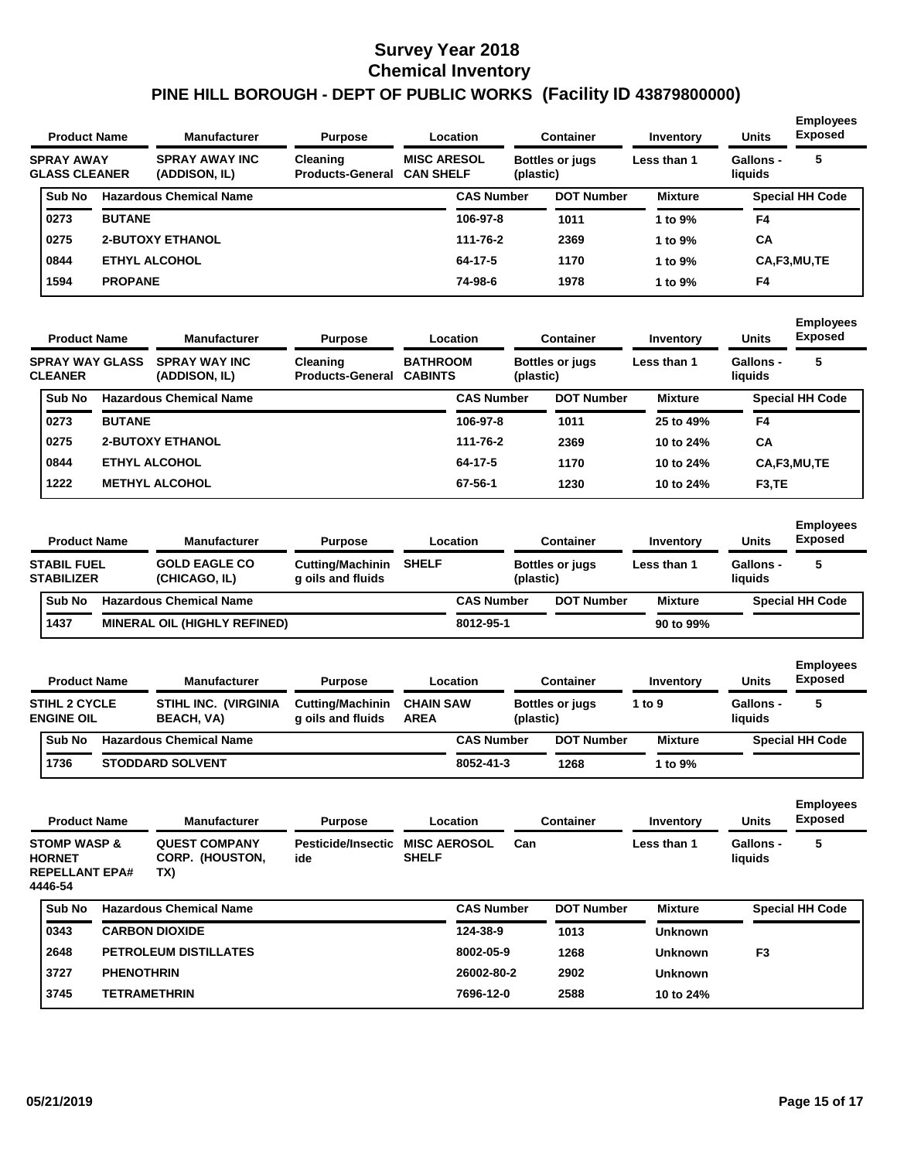| <b>Product Name</b>                       |                | <b>Manufacturer</b>                    | <b>Purpose</b>                      |                                        | Location          | <b>Container</b>                    | Inventory      | <b>Units</b>                | <b>Employees</b><br><b>Exposed</b> |
|-------------------------------------------|----------------|----------------------------------------|-------------------------------------|----------------------------------------|-------------------|-------------------------------------|----------------|-----------------------------|------------------------------------|
| <b>SPRAY AWAY</b><br><b>GLASS CLEANER</b> |                | <b>SPRAY AWAY INC</b><br>(ADDISON, IL) | Cleaning<br><b>Products-General</b> | <b>MISC ARESOL</b><br><b>CAN SHELF</b> |                   | <b>Bottles or jugs</b><br>(plastic) | Less than 1    | <b>Gallons -</b><br>liauids | 5                                  |
| Sub No                                    |                | <b>Hazardous Chemical Name</b>         |                                     |                                        | <b>CAS Number</b> | <b>DOT Number</b>                   | <b>Mixture</b> |                             | <b>Special HH Code</b>             |
| 0273                                      | <b>BUTANE</b>  |                                        |                                     |                                        | 106-97-8          | 1011                                | 1 to $9\%$     | F4                          |                                    |
| 0275                                      |                | <b>2-BUTOXY ETHANOL</b>                |                                     |                                        | 111-76-2          | 2369                                | 1 to $9\%$     | CA                          |                                    |
| 0844                                      |                | <b>ETHYL ALCOHOL</b>                   |                                     |                                        | 64-17-5           | 1170                                | 1 to $9\%$     |                             | CA,F3,MU,TE                        |
| 1594                                      | <b>PROPANE</b> |                                        |                                     |                                        | 74-98-6           | 1978                                | 1 to $9\%$     | F4                          |                                    |
|                                           |                |                                        |                                     |                                        |                   |                                     |                |                             |                                    |

| <b>Product Name</b>                      |               | <b>Manufacturer</b>                   | <b>Purpose</b>                             |                                   | <b>Location</b>   | <b>Container</b>                    |                   | Inventory      | <b>Units</b>         | <b>Employees</b><br><b>Exposed</b> |
|------------------------------------------|---------------|---------------------------------------|--------------------------------------------|-----------------------------------|-------------------|-------------------------------------|-------------------|----------------|----------------------|------------------------------------|
| <b>SPRAY WAY GLASS</b><br><b>CLEANER</b> |               | <b>SPRAY WAY INC</b><br>(ADDISON, IL) | <b>Cleaning</b><br><b>Products-General</b> | <b>BATHROOM</b><br><b>CABINTS</b> |                   | <b>Bottles or jugs</b><br>(plastic) |                   | Less than 1    | Gallons -<br>liquids | 5                                  |
| Sub No                                   |               | <b>Hazardous Chemical Name</b>        |                                            |                                   | <b>CAS Number</b> |                                     | <b>DOT Number</b> | <b>Mixture</b> |                      | <b>Special HH Code</b>             |
| 0273                                     | <b>BUTANE</b> |                                       |                                            |                                   | 106-97-8          |                                     | 1011              | 25 to 49%      | F4                   |                                    |
| 0275                                     |               | <b>2-BUTOXY ETHANOL</b>               |                                            |                                   | 111-76-2          |                                     | 2369              | 10 to 24%      | CA                   |                                    |
| 0844                                     |               | <b>ETHYL ALCOHOL</b>                  |                                            |                                   | 64-17-5           |                                     | 1170              | 10 to 24%      |                      | CA,F3,MU,TE                        |
| 1222                                     |               | <b>METHYL ALCOHOL</b>                 |                                            |                                   | 67-56-1           |                                     | 1230              | 10 to 24%      | F <sub>3</sub> , TE  |                                    |

| <b>Product Name</b>                     | <b>Manufacturer</b>                   | <b>Purpose</b>                               |              | Location          | Container              | Inventory      | <b>Units</b>         | <b>Employees</b><br><b>Exposed</b> |
|-----------------------------------------|---------------------------------------|----------------------------------------------|--------------|-------------------|------------------------|----------------|----------------------|------------------------------------|
| <b>STABIL FUEL</b><br><b>STABILIZER</b> | <b>GOLD EAGLE CO</b><br>(CHICAGO, IL) | <b>Cutting/Machinin</b><br>g oils and fluids | <b>SHELF</b> | (plastic)         | <b>Bottles or jugs</b> | Less than 1    | Gallons -<br>liquids | 5                                  |
| <b>Sub No</b>                           | <b>Hazardous Chemical Name</b>        |                                              |              | <b>CAS Number</b> | <b>DOT Number</b>      | <b>Mixture</b> |                      | <b>Special HH Code</b>             |
| 1437                                    | <b>MINERAL OIL (HIGHLY REFINED)</b>   |                                              |              | 8012-95-1         |                        | 90 to 99%      |                      |                                    |

| <b>Product Name</b>                       | <b>Manufacturer</b>                              | <b>Purpose</b>                               |                                 | Location          |           | Container              |          | Inventory      | <b>Units</b>         | <b>Employees</b><br><b>Exposed</b> |
|-------------------------------------------|--------------------------------------------------|----------------------------------------------|---------------------------------|-------------------|-----------|------------------------|----------|----------------|----------------------|------------------------------------|
| <b>STIHL 2 CYCLE</b><br><b>ENGINE OIL</b> | <b>STIHL INC. (VIRGINIA</b><br><b>BEACH, VA)</b> | <b>Cutting/Machinin</b><br>g oils and fluids | <b>CHAIN SAW</b><br><b>AREA</b> |                   | (plastic) | <b>Bottles or jugs</b> | 1 to $9$ |                | Gallons -<br>liauids | 5                                  |
| <b>Sub No</b>                             | <b>Hazardous Chemical Name</b>                   |                                              |                                 | <b>CAS Number</b> |           | <b>DOT Number</b>      |          | <b>Mixture</b> |                      | <b>Special HH Code</b>             |
| 1736                                      | <b>STODDARD SOLVENT</b>                          |                                              |                                 | 8052-41-3         |           | 1268                   |          | 1 to 9%        |                      |                                    |

| <b>Product Name</b>                                                          |                   | <b>Manufacturer</b>                                   | <b>Purpose</b>            |                                     | Location          |     | <b>Container</b>  | Inventory      | <b>Units</b>         | <b>Employees</b><br><b>Exposed</b> |
|------------------------------------------------------------------------------|-------------------|-------------------------------------------------------|---------------------------|-------------------------------------|-------------------|-----|-------------------|----------------|----------------------|------------------------------------|
| <b>STOMP WASP &amp;</b><br><b>HORNET</b><br><b>REPELLANT EPA#</b><br>4446-54 |                   | <b>QUEST COMPANY</b><br><b>CORP. (HOUSTON,</b><br>TX) | Pesticide/Insectic<br>ide | <b>MISC AEROSOL</b><br><b>SHELF</b> |                   | Can |                   | Less than 1    | Gallons -<br>liquids | 5                                  |
| Sub No                                                                       |                   | <b>Hazardous Chemical Name</b>                        |                           |                                     | <b>CAS Number</b> |     | <b>DOT Number</b> | <b>Mixture</b> |                      | <b>Special HH Code</b>             |
| 0343                                                                         |                   | <b>CARBON DIOXIDE</b>                                 |                           |                                     | 124-38-9          |     | 1013              | <b>Unknown</b> |                      |                                    |
| 2648                                                                         |                   | <b>PETROLEUM DISTILLATES</b>                          |                           |                                     | 8002-05-9         |     | 1268              | <b>Unknown</b> | F <sub>3</sub>       |                                    |
| 3727                                                                         | <b>PHENOTHRIN</b> |                                                       |                           |                                     | 26002-80-2        |     | 2902              | <b>Unknown</b> |                      |                                    |
| 3745                                                                         |                   | <b>TETRAMETHRIN</b>                                   |                           |                                     | 7696-12-0         |     | 2588              | 10 to 24%      |                      |                                    |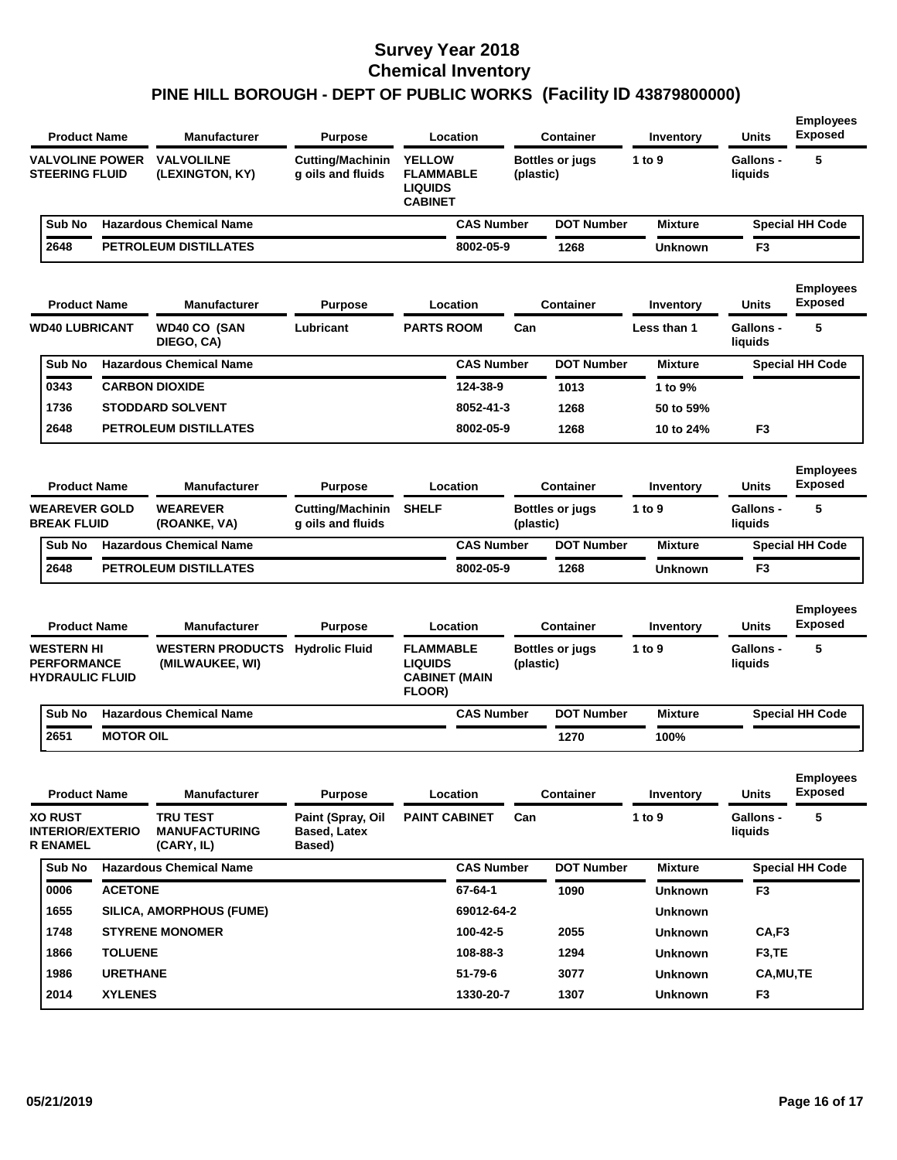|                                                                   | <b>Product Name</b> |                  | <b>Manufacturer</b>                                       | Purpose                                            |                                                                       | Location          |           | <b>Container</b>       | Inventory      | <b>Units</b>                | <b>Employees</b><br><b>Exposed</b> |
|-------------------------------------------------------------------|---------------------|------------------|-----------------------------------------------------------|----------------------------------------------------|-----------------------------------------------------------------------|-------------------|-----------|------------------------|----------------|-----------------------------|------------------------------------|
| <b>VALVOLINE POWER</b><br><b>STEERING FLUID</b>                   |                     |                  | <b>VALVOLILNE</b><br>(LEXINGTON, KY)                      | <b>Cutting/Machinin</b><br>g oils and fluids       | <b>YELLOW</b><br><b>FLAMMABLE</b><br><b>LIQUIDS</b><br><b>CABINET</b> |                   | (plastic) | <b>Bottles or jugs</b> | 1 to 9         | Gallons -<br>liquids        | 5                                  |
| Sub No                                                            |                     |                  | <b>Hazardous Chemical Name</b>                            |                                                    |                                                                       | <b>CAS Number</b> |           | <b>DOT Number</b>      | <b>Mixture</b> |                             | <b>Special HH Code</b>             |
| 2648                                                              |                     |                  | PETROLEUM DISTILLATES                                     |                                                    |                                                                       | 8002-05-9         |           | 1268                   | <b>Unknown</b> | F3                          |                                    |
|                                                                   | <b>Product Name</b> |                  | <b>Manufacturer</b>                                       | Purpose                                            |                                                                       | Location          |           | <b>Container</b>       | Inventory      | <b>Units</b>                | <b>Employees</b><br><b>Exposed</b> |
| <b>WD40 LUBRICANT</b>                                             |                     |                  | <b>WD40 CO (SAN</b><br>DIEGO, CA)                         | Lubricant                                          | <b>PARTS ROOM</b>                                                     |                   | Can       |                        | Less than 1    | <b>Gallons -</b><br>liquids | 5                                  |
| Sub No                                                            |                     |                  | <b>Hazardous Chemical Name</b>                            |                                                    |                                                                       | <b>CAS Number</b> |           | <b>DOT Number</b>      | <b>Mixture</b> |                             | <b>Special HH Code</b>             |
| 0343                                                              |                     |                  | <b>CARBON DIOXIDE</b>                                     |                                                    |                                                                       | 124-38-9          |           | 1013                   | 1 to 9%        |                             |                                    |
| 1736                                                              |                     |                  | <b>STODDARD SOLVENT</b>                                   |                                                    |                                                                       | 8052-41-3         |           | 1268                   | 50 to 59%      |                             |                                    |
| 2648                                                              |                     |                  | PETROLEUM DISTILLATES                                     |                                                    |                                                                       | 8002-05-9         |           | 1268                   | 10 to 24%      | F <sub>3</sub>              |                                    |
|                                                                   | <b>Product Name</b> |                  | <b>Manufacturer</b>                                       | <b>Purpose</b>                                     |                                                                       | Location          |           | <b>Container</b>       | Inventory      | <b>Units</b>                | <b>Employees</b><br><b>Exposed</b> |
| <b>WEAREVER GOLD</b><br><b>BREAK FLUID</b>                        |                     |                  | <b>WEAREVER</b><br>(ROANKE, VA)                           | <b>Cutting/Machinin</b><br>g oils and fluids       | <b>SHELF</b>                                                          |                   | (plastic) | <b>Bottles or jugs</b> | 1 to 9         | <b>Gallons -</b><br>liquids | 5                                  |
| Sub No                                                            |                     |                  | <b>Hazardous Chemical Name</b>                            |                                                    |                                                                       | <b>CAS Number</b> |           | <b>DOT Number</b>      | <b>Mixture</b> |                             | <b>Special HH Code</b>             |
| 2648                                                              |                     |                  | PETROLEUM DISTILLATES                                     |                                                    |                                                                       | 8002-05-9         |           | 1268                   | <b>Unknown</b> | F <sub>3</sub>              |                                    |
|                                                                   | <b>Product Name</b> |                  | <b>Manufacturer</b>                                       | <b>Purpose</b>                                     |                                                                       | Location          |           | <b>Container</b>       | Inventory      | <b>Units</b>                | <b>Employees</b><br><b>Exposed</b> |
| <b>WESTERN HI</b><br><b>PERFORMANCE</b><br><b>HYDRAULIC FLUID</b> |                     |                  | <b>WESTERN PRODUCTS Hydrolic Fluid</b><br>(MILWAUKEE, WI) |                                                    | <b>FLAMMABLE</b><br><b>LIQUIDS</b><br><b>CABINET (MAIN</b><br>FLOOR)  |                   | (plastic) | <b>Bottles or jugs</b> | 1 to 9         | <b>Gallons -</b><br>liquids | 5                                  |
| Sub No                                                            |                     |                  | <b>Hazardous Chemical Name</b>                            |                                                    |                                                                       | <b>CAS Number</b> |           | <b>DOT Number</b>      | <b>Mixture</b> |                             | <b>Special HH Code</b>             |
| 2651                                                              |                     | <b>MOTOR OIL</b> |                                                           |                                                    |                                                                       |                   |           | 1270                   | 100%           |                             |                                    |
|                                                                   | <b>Product Name</b> |                  | <b>Manufacturer</b>                                       | <b>Purpose</b>                                     |                                                                       | Location          |           | <b>Container</b>       | Inventory      | <b>Units</b>                | <b>Employees</b><br><b>Exposed</b> |
| <b>XO RUST</b><br><b>INTERIOR/EXTERIO</b><br><b>R ENAMEL</b>      |                     |                  | <b>TRU TEST</b><br><b>MANUFACTURING</b><br>(CARY, IL)     | Paint (Spray, Oil<br><b>Based, Latex</b><br>Based) | <b>PAINT CABINET</b>                                                  |                   | Can       |                        | 1 to 9         | Gallons -<br>liquids        | 5                                  |
| Sub No                                                            |                     |                  | <b>Hazardous Chemical Name</b>                            |                                                    |                                                                       | <b>CAS Number</b> |           | <b>DOT Number</b>      | <b>Mixture</b> |                             | <b>Special HH Code</b>             |
| 0006                                                              |                     | <b>ACETONE</b>   |                                                           |                                                    |                                                                       | 67-64-1           |           | 1090                   | Unknown        | F3                          |                                    |
| 1655                                                              |                     |                  | SILICA, AMORPHOUS (FUME)                                  |                                                    |                                                                       | 69012-64-2        |           |                        | <b>Unknown</b> |                             |                                    |
| 1748                                                              |                     |                  | <b>STYRENE MONOMER</b>                                    |                                                    |                                                                       | 100-42-5          |           | 2055                   | <b>Unknown</b> | CA,F3                       |                                    |
| 1866                                                              |                     | <b>TOLUENE</b>   |                                                           |                                                    |                                                                       | 108-88-3          |           | 1294                   | <b>Unknown</b> | F <sub>3</sub> ,TE          |                                    |
| 1986                                                              |                     | <b>URETHANE</b>  |                                                           |                                                    |                                                                       | 51-79-6           |           | 3077                   | <b>Unknown</b> | CA, MU, TE                  |                                    |
| 2014                                                              |                     | <b>XYLENES</b>   |                                                           |                                                    |                                                                       | 1330-20-7         |           | 1307                   | <b>Unknown</b> | F <sub>3</sub>              |                                    |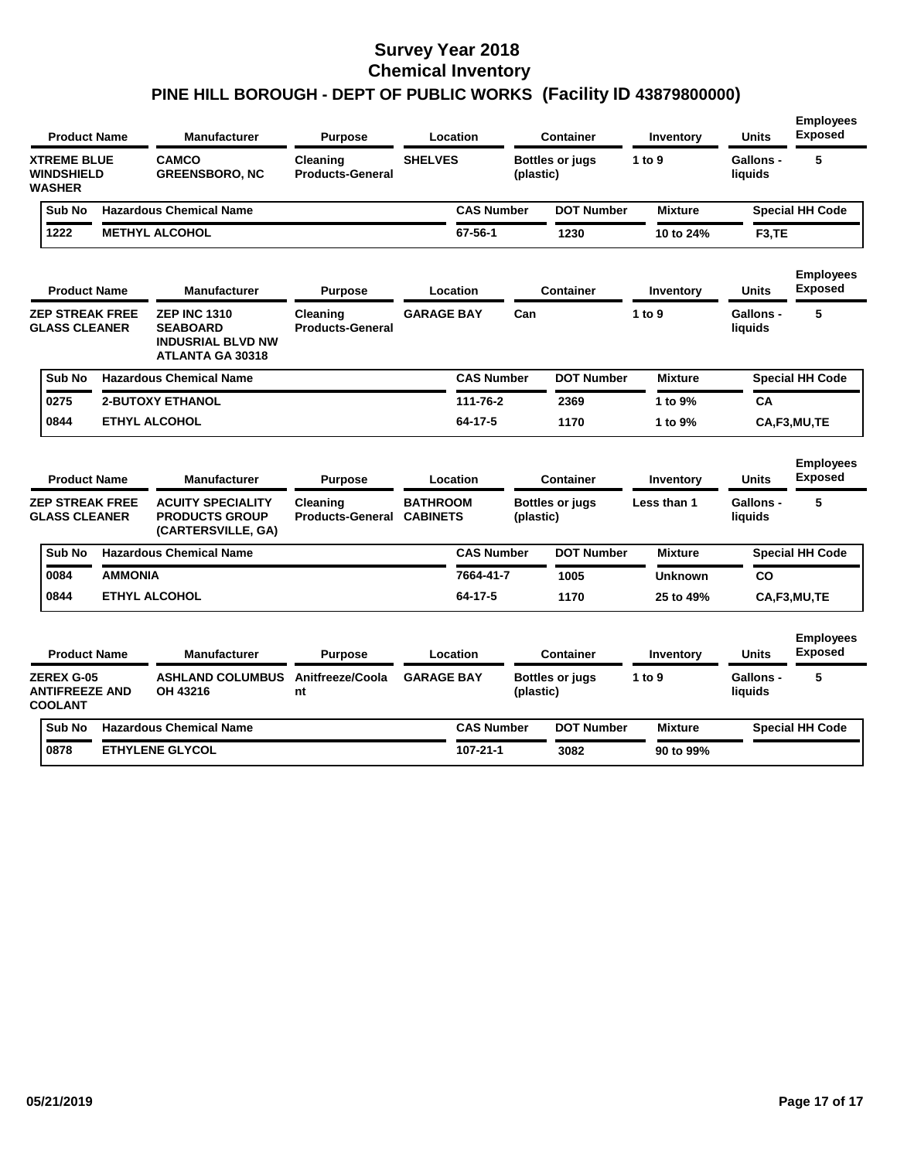|               | <b>Product Name</b>                                          |                        | <b>Manufacturer</b>                                                                           | <b>Purpose</b>                      |                                    | Location          |           | <b>Container</b>       | Inventory      | <b>Units</b>                | <b>Employees</b><br>Exposed        |
|---------------|--------------------------------------------------------------|------------------------|-----------------------------------------------------------------------------------------------|-------------------------------------|------------------------------------|-------------------|-----------|------------------------|----------------|-----------------------------|------------------------------------|
| <b>WASHER</b> | <b>XTREME BLUE</b><br><b>WINDSHIELD</b>                      |                        | <b>CAMCO</b><br><b>GREENSBORO, NC</b>                                                         | Cleaning<br><b>Products-General</b> | <b>SHELVES</b>                     |                   | (plastic) | <b>Bottles or jugs</b> | 1 to 9         | Gallons -<br>liquids        | 5                                  |
|               | Sub No                                                       |                        | <b>Hazardous Chemical Name</b>                                                                |                                     |                                    | <b>CAS Number</b> |           | <b>DOT Number</b>      | <b>Mixture</b> |                             | <b>Special HH Code</b>             |
|               | 1222                                                         |                        | <b>METHYL ALCOHOL</b>                                                                         |                                     |                                    | 67-56-1           |           | 1230                   | 10 to 24%      | F3,TE                       |                                    |
|               | <b>Product Name</b>                                          |                        | <b>Manufacturer</b>                                                                           | <b>Purpose</b>                      |                                    | Location          |           | <b>Container</b>       | Inventory      | <b>Units</b>                | <b>Employees</b><br><b>Exposed</b> |
|               | <b>GLASS CLEANER</b>                                         | <b>ZEP STREAK FREE</b> | <b>ZEP INC 1310</b><br><b>SEABOARD</b><br><b>INDUSRIAL BLVD NW</b><br><b>ATLANTA GA 30318</b> | Cleaning<br><b>Products-General</b> | <b>GARAGE BAY</b>                  |                   | Can       |                        | 1 to 9         | <b>Gallons -</b><br>liquids | 5                                  |
|               | Sub No                                                       |                        | <b>Hazardous Chemical Name</b>                                                                |                                     |                                    | <b>CAS Number</b> |           | <b>DOT Number</b>      | <b>Mixture</b> |                             | <b>Special HH Code</b>             |
|               | 0275                                                         |                        | <b>2-BUTOXY ETHANOL</b>                                                                       |                                     |                                    | 111-76-2          |           | 2369                   | 1 to 9%        | СA                          |                                    |
|               | 0844                                                         |                        | <b>ETHYL ALCOHOL</b>                                                                          |                                     |                                    | 64-17-5           |           | 1170                   | 1 to 9%        |                             | CA.F3,MU.TE                        |
|               | <b>Product Name</b>                                          |                        | <b>Manufacturer</b>                                                                           | <b>Purpose</b>                      |                                    | Location          |           | <b>Container</b>       | Inventory      | Units                       | <b>Employees</b><br><b>Exposed</b> |
|               | <b>GLASS CLEANER</b>                                         | <b>ZEP STREAK FREE</b> | <b>ACUITY SPECIALITY</b><br><b>PRODUCTS GROUP</b><br>(CARTERSVILLE, GA)                       | Cleaning<br><b>Products-General</b> | <b>BATHROOM</b><br><b>CABINETS</b> |                   | (plastic) | <b>Bottles or jugs</b> | Less than 1    | Gallons -<br>liquids        | 5                                  |
|               | Sub No                                                       |                        | <b>Hazardous Chemical Name</b>                                                                |                                     |                                    | <b>CAS Number</b> |           | <b>DOT Number</b>      | <b>Mixture</b> |                             | <b>Special HH Code</b>             |
|               | 0084                                                         | <b>AMMONIA</b>         |                                                                                               |                                     |                                    | 7664-41-7         |           | 1005                   | <b>Unknown</b> | CO                          |                                    |
|               | 0844                                                         |                        | <b>ETHYL ALCOHOL</b>                                                                          |                                     |                                    | $64 - 17 - 5$     |           | 1170                   | 25 to 49%      |                             | CA.F3,MU.TE                        |
|               | <b>Product Name</b>                                          |                        | <b>Manufacturer</b>                                                                           | <b>Purpose</b>                      |                                    | Location          |           | Container              | Inventory      | <b>Units</b>                | <b>Employees</b><br><b>Exposed</b> |
|               | <b>ZEREX G-05</b><br><b>ANTIFREEZE AND</b><br><b>COOLANT</b> |                        | <b>ASHLAND COLUMBUS</b><br>OH 43216                                                           | Anitfreeze/Coola<br>nt              | <b>GARAGE BAY</b>                  |                   | (plastic) | <b>Bottles or jugs</b> | 1 to 9         | Gallons -<br>liquids        | 5                                  |
|               | Sub No                                                       |                        | <b>Hazardous Chemical Name</b>                                                                |                                     |                                    | <b>CAS Number</b> |           | <b>DOT Number</b>      | <b>Mixture</b> |                             | <b>Special HH Code</b>             |
|               | 0878                                                         |                        | <b>ETHYLENE GLYCOL</b>                                                                        |                                     |                                    | 107-21-1          |           | 3082                   | 90 to 99%      |                             |                                    |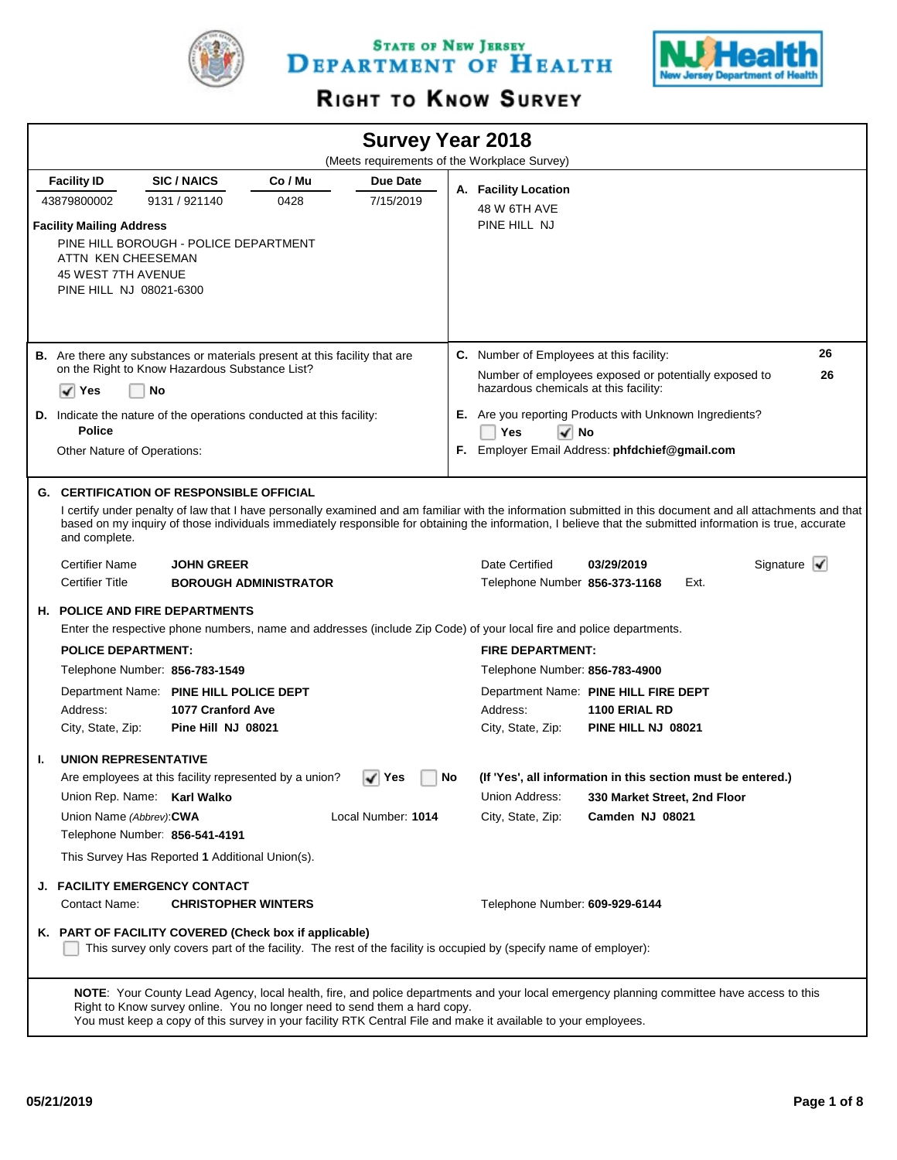

STATE OF NEW JERSEY DEPARTMENT OF HEALTH



# RIGHT TO KNOW SURVEY

|    |                                                                                                                                                 |                            |                                                                           |                    |    | <b>Survey Year 2018</b><br>(Meets requirements of the Workplace Survey)                                              |                                                                                                                                                                                                                                                                                                                           |                                 |
|----|-------------------------------------------------------------------------------------------------------------------------------------------------|----------------------------|---------------------------------------------------------------------------|--------------------|----|----------------------------------------------------------------------------------------------------------------------|---------------------------------------------------------------------------------------------------------------------------------------------------------------------------------------------------------------------------------------------------------------------------------------------------------------------------|---------------------------------|
|    | <b>Facility ID</b>                                                                                                                              | <b>SIC/NAICS</b>           | Co / Mu                                                                   | Due Date           |    |                                                                                                                      |                                                                                                                                                                                                                                                                                                                           |                                 |
|    | 43879800002                                                                                                                                     | 9131 / 921140              | 0428                                                                      | 7/15/2019          |    | A. Facility Location                                                                                                 |                                                                                                                                                                                                                                                                                                                           |                                 |
|    | <b>Facility Mailing Address</b><br>PINE HILL BOROUGH - POLICE DEPARTMENT<br>ATTN KEN CHEESEMAN<br>45 WEST 7TH AVENUE<br>PINE HILL NJ 08021-6300 |                            |                                                                           |                    |    | 48 W 6TH AVE<br>PINE HILL NJ                                                                                         |                                                                                                                                                                                                                                                                                                                           |                                 |
|    | <b>B.</b> Are there any substances or materials present at this facility that are                                                               |                            |                                                                           |                    |    | C. Number of Employees at this facility:                                                                             |                                                                                                                                                                                                                                                                                                                           | 26                              |
|    | on the Right to Know Hazardous Substance List?                                                                                                  |                            |                                                                           |                    |    |                                                                                                                      | Number of employees exposed or potentially exposed to                                                                                                                                                                                                                                                                     | 26                              |
|    | ✓<br>Yes                                                                                                                                        | No                         |                                                                           |                    |    | hazardous chemicals at this facility:                                                                                |                                                                                                                                                                                                                                                                                                                           |                                 |
|    | <b>D.</b> Indicate the nature of the operations conducted at this facility:                                                                     |                            |                                                                           |                    |    |                                                                                                                      | <b>E.</b> Are you reporting Products with Unknown Ingredients?                                                                                                                                                                                                                                                            |                                 |
|    | <b>Police</b>                                                                                                                                   |                            |                                                                           |                    |    | Yes<br>$\sqrt{ }$ No                                                                                                 |                                                                                                                                                                                                                                                                                                                           |                                 |
|    | Other Nature of Operations:                                                                                                                     |                            |                                                                           |                    |    |                                                                                                                      | F. Employer Email Address: phfdchief@gmail.com                                                                                                                                                                                                                                                                            |                                 |
|    |                                                                                                                                                 |                            |                                                                           |                    |    |                                                                                                                      |                                                                                                                                                                                                                                                                                                                           |                                 |
|    | <b>G. CERTIFICATION OF RESPONSIBLE OFFICIAL</b><br>and complete.                                                                                |                            |                                                                           |                    |    |                                                                                                                      | I certify under penalty of law that I have personally examined and am familiar with the information submitted in this document and all attachments and that<br>based on my inquiry of those individuals immediately responsible for obtaining the information, I believe that the submitted information is true, accurate |                                 |
|    | <b>Certifier Name</b>                                                                                                                           | <b>JOHN GREER</b>          |                                                                           |                    |    | Date Certified                                                                                                       | 03/29/2019                                                                                                                                                                                                                                                                                                                | Signature $\blacktriangleright$ |
|    | <b>Certifier Title</b>                                                                                                                          |                            | <b>BOROUGH ADMINISTRATOR</b>                                              |                    |    | Telephone Number 856-373-1168                                                                                        | Ext.                                                                                                                                                                                                                                                                                                                      |                                 |
|    | <b>H. POLICE AND FIRE DEPARTMENTS</b>                                                                                                           |                            |                                                                           |                    |    | Enter the respective phone numbers, name and addresses (include Zip Code) of your local fire and police departments. |                                                                                                                                                                                                                                                                                                                           |                                 |
|    | <b>POLICE DEPARTMENT:</b>                                                                                                                       |                            |                                                                           |                    |    | <b>FIRE DEPARTMENT:</b>                                                                                              |                                                                                                                                                                                                                                                                                                                           |                                 |
|    | Telephone Number: 856-783-1549                                                                                                                  |                            |                                                                           |                    |    | Telephone Number: 856-783-4900                                                                                       |                                                                                                                                                                                                                                                                                                                           |                                 |
|    | Department Name: PINE HILL POLICE DEPT                                                                                                          |                            |                                                                           |                    |    |                                                                                                                      | Department Name: PINE HILL FIRE DEPT                                                                                                                                                                                                                                                                                      |                                 |
|    | Address:                                                                                                                                        | 1077 Cranford Ave          |                                                                           |                    |    | Address:                                                                                                             | 1100 ERIAL RD                                                                                                                                                                                                                                                                                                             |                                 |
|    | City, State, Zip:                                                                                                                               | Pine Hill NJ 08021         |                                                                           |                    |    | City, State, Zip:                                                                                                    | PINE HILL NJ 08021                                                                                                                                                                                                                                                                                                        |                                 |
| ı. | <b>UNION REPRESENTATIVE</b>                                                                                                                     |                            |                                                                           |                    |    |                                                                                                                      |                                                                                                                                                                                                                                                                                                                           |                                 |
|    |                                                                                                                                                 |                            | Are employees at this facility represented by a union?                    | √∣Yes              | No |                                                                                                                      | (If 'Yes', all information in this section must be entered.)                                                                                                                                                                                                                                                              |                                 |
|    | Union Rep. Name: Karl Walko                                                                                                                     |                            |                                                                           |                    |    | Union Address:                                                                                                       | 330 Market Street, 2nd Floor                                                                                                                                                                                                                                                                                              |                                 |
|    | Union Name (Abbrev): CWA                                                                                                                        |                            |                                                                           | Local Number: 1014 |    | City, State, Zip:                                                                                                    | Camden NJ 08021                                                                                                                                                                                                                                                                                                           |                                 |
|    | Telephone Number: 856-541-4191                                                                                                                  |                            |                                                                           |                    |    |                                                                                                                      |                                                                                                                                                                                                                                                                                                                           |                                 |
|    | This Survey Has Reported 1 Additional Union(s).                                                                                                 |                            |                                                                           |                    |    |                                                                                                                      |                                                                                                                                                                                                                                                                                                                           |                                 |
|    | J. FACILITY EMERGENCY CONTACT                                                                                                                   |                            |                                                                           |                    |    |                                                                                                                      |                                                                                                                                                                                                                                                                                                                           |                                 |
|    | Contact Name:                                                                                                                                   | <b>CHRISTOPHER WINTERS</b> |                                                                           |                    |    | Telephone Number: 609-929-6144                                                                                       |                                                                                                                                                                                                                                                                                                                           |                                 |
|    | K. PART OF FACILITY COVERED (Check box if applicable)                                                                                           |                            |                                                                           |                    |    | This survey only covers part of the facility. The rest of the facility is occupied by (specify name of employer):    |                                                                                                                                                                                                                                                                                                                           |                                 |
|    |                                                                                                                                                 |                            | Right to Know survey online. You no longer need to send them a hard copy. |                    |    | You must keep a copy of this survey in your facility RTK Central File and make it available to your employees.       | NOTE: Your County Lead Agency, local health, fire, and police departments and your local emergency planning committee have access to this                                                                                                                                                                                 |                                 |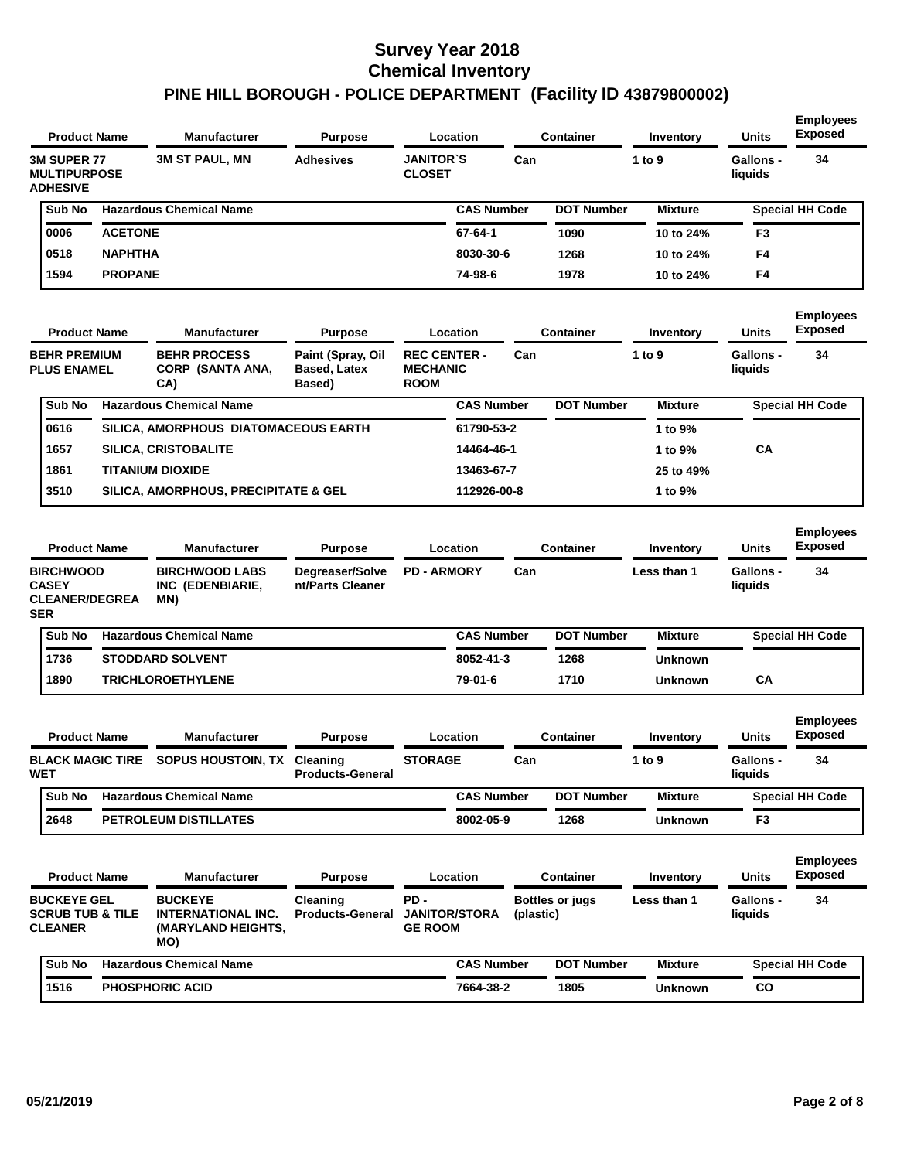| <b>Product Name</b>                                                     |                | <b>Manufacturer</b>                                                      | <b>Purpose</b>                                     | Location                                              |           | Container              | Inventory      | <b>Units</b>                | <b>Employees</b><br><b>Exposed</b> |
|-------------------------------------------------------------------------|----------------|--------------------------------------------------------------------------|----------------------------------------------------|-------------------------------------------------------|-----------|------------------------|----------------|-----------------------------|------------------------------------|
| <b>3M SUPER 77</b><br><b>MULTIPURPOSE</b><br><b>ADHESIVE</b>            |                | <b>3M ST PAUL, MN</b>                                                    | <b>Adhesives</b>                                   | <b>JANITOR'S</b><br><b>CLOSET</b>                     | Can       |                        | 1 to 9         | <b>Gallons -</b><br>liquids | 34                                 |
| Sub No                                                                  |                | <b>Hazardous Chemical Name</b>                                           |                                                    | <b>CAS Number</b>                                     |           | <b>DOT Number</b>      | <b>Mixture</b> |                             | <b>Special HH Code</b>             |
| 0006                                                                    | <b>ACETONE</b> |                                                                          |                                                    | 67-64-1                                               |           | 1090                   | 10 to 24%      | F <sub>3</sub>              |                                    |
| 0518                                                                    | <b>NAPHTHA</b> |                                                                          |                                                    | 8030-30-6                                             |           | 1268                   | 10 to 24%      | F4                          |                                    |
| 1594                                                                    | <b>PROPANE</b> |                                                                          |                                                    | 74-98-6                                               |           | 1978                   | 10 to 24%      | F4                          |                                    |
| <b>Product Name</b>                                                     |                | <b>Manufacturer</b>                                                      | <b>Purpose</b>                                     | Location                                              |           | <b>Container</b>       | Inventory      | <b>Units</b>                | <b>Employees</b><br><b>Exposed</b> |
| <b>BEHR PREMIUM</b><br><b>PLUS ENAMEL</b>                               |                | <b>BEHR PROCESS</b><br>CORP (SANTA ANA,<br>CA)                           | Paint (Spray, Oil<br><b>Based, Latex</b><br>Based) | <b>REC CENTER -</b><br><b>MECHANIC</b><br><b>ROOM</b> | Can       |                        | 1 to 9         | <b>Gallons -</b><br>liquids | 34                                 |
| Sub No                                                                  |                | <b>Hazardous Chemical Name</b>                                           |                                                    | <b>CAS Number</b>                                     |           | <b>DOT Number</b>      | <b>Mixture</b> |                             | <b>Special HH Code</b>             |
| 0616                                                                    |                | SILICA, AMORPHOUS DIATOMACEOUS EARTH                                     |                                                    | 61790-53-2                                            |           |                        | 1 to 9%        |                             |                                    |
| 1657                                                                    |                | <b>SILICA, CRISTOBALITE</b>                                              |                                                    | 14464-46-1                                            |           |                        | 1 to 9%        | СA                          |                                    |
| 1861                                                                    |                | <b>TITANIUM DIOXIDE</b>                                                  |                                                    | 13463-67-7                                            |           |                        | 25 to 49%      |                             |                                    |
| 3510                                                                    |                | SILICA, AMORPHOUS, PRECIPITATE & GEL                                     |                                                    | 112926-00-8                                           |           |                        | 1 to 9%        |                             |                                    |
| <b>Product Name</b>                                                     |                | <b>Manufacturer</b>                                                      | <b>Purpose</b>                                     | Location                                              |           | <b>Container</b>       | Inventory      | <b>Units</b>                | <b>Employees</b><br><b>Exposed</b> |
| <b>BIRCHWOOD</b><br><b>CASEY</b><br><b>CLEANER/DEGREA</b><br><b>SER</b> |                | <b>BIRCHWOOD LABS</b><br>INC (EDENBIARIE,<br>MN)                         | Degreaser/Solve<br>nt/Parts Cleaner                | <b>PD - ARMORY</b>                                    | Can       |                        | Less than 1    | <b>Gallons -</b><br>liquids | 34                                 |
|                                                                         |                |                                                                          |                                                    |                                                       |           |                        |                |                             |                                    |
| Sub No                                                                  |                | <b>Hazardous Chemical Name</b>                                           |                                                    | <b>CAS Number</b>                                     |           | <b>DOT Number</b>      | <b>Mixture</b> |                             | <b>Special HH Code</b>             |
| 1736                                                                    |                | <b>STODDARD SOLVENT</b>                                                  |                                                    | 8052-41-3                                             |           | 1268                   | Unknown        |                             |                                    |
| 1890                                                                    |                | <b>TRICHLOROETHYLENE</b>                                                 |                                                    | 79-01-6                                               |           | 1710                   | <b>Unknown</b> | CA                          |                                    |
| <b>Product Name</b>                                                     |                | <b>Manufacturer</b>                                                      | <b>Purpose</b>                                     | Location                                              |           | <b>Container</b>       | Inventory      | Units                       | <b>Employees</b><br><b>Exposed</b> |
| <b>BLACK MAGIC TIRE</b><br>WET                                          |                | SOPUS HOUSTOIN, TX Cleaning                                              | <b>Products-General</b>                            | <b>STORAGE</b>                                        | Can       |                        | 1 to $9$       | <b>Gallons -</b><br>liquids | 34                                 |
| Sub No                                                                  |                | <b>Hazardous Chemical Name</b>                                           |                                                    | <b>CAS Number</b>                                     |           | <b>DOT Number</b>      | <b>Mixture</b> |                             | <b>Special HH Code</b>             |
| 2648                                                                    |                | PETROLEUM DISTILLATES                                                    |                                                    | 8002-05-9                                             |           | 1268                   | <b>Unknown</b> | F3                          |                                    |
| <b>Product Name</b>                                                     |                | <b>Manufacturer</b>                                                      | <b>Purpose</b>                                     | Location                                              |           | <b>Container</b>       | Inventory      | Units                       | <b>Employees</b><br><b>Exposed</b> |
| <b>BUCKEYE GEL</b><br><b>SCRUB TUB &amp; TILE</b><br><b>CLEANER</b>     |                | <b>BUCKEYE</b><br><b>INTERNATIONAL INC.</b><br>(MARYLAND HEIGHTS,<br>MO) | Cleaning<br><b>Products-General</b>                | PD-<br><b>JANITOR/STORA</b><br><b>GE ROOM</b>         | (plastic) | <b>Bottles or jugs</b> | Less than 1    | <b>Gallons -</b><br>liquids | 34                                 |
| Sub No                                                                  |                | <b>Hazardous Chemical Name</b>                                           |                                                    | <b>CAS Number</b>                                     |           | <b>DOT Number</b>      | <b>Mixture</b> |                             | <b>Special HH Code</b>             |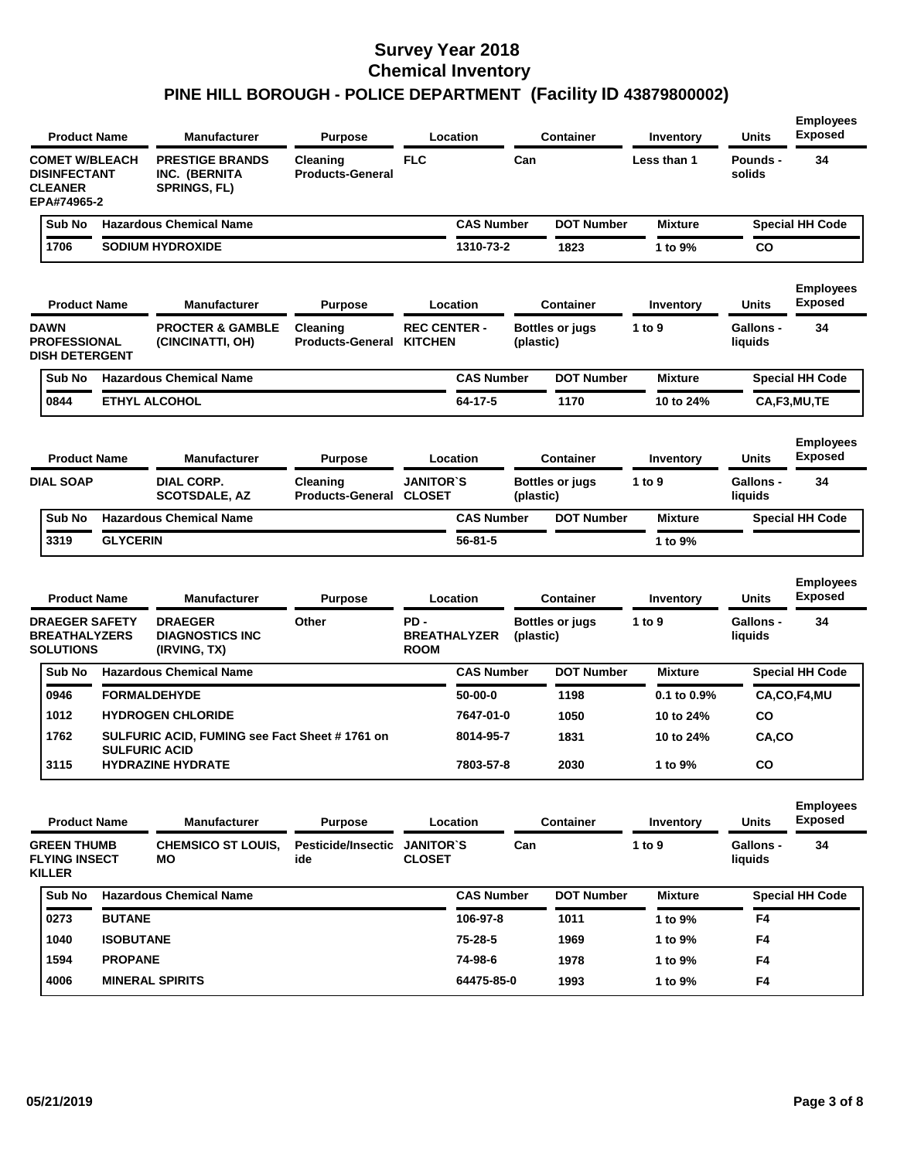| <b>Product Name</b>                                                           |                      | <b>Manufacturer</b>                                            | <b>Purpose</b>                      |                                           | Location          |           | <b>Container</b>       | Inventory        | <b>Units</b>                | <b>Employees</b><br><b>Exposed</b> |
|-------------------------------------------------------------------------------|----------------------|----------------------------------------------------------------|-------------------------------------|-------------------------------------------|-------------------|-----------|------------------------|------------------|-----------------------------|------------------------------------|
| <b>COMET W/BLEACH</b><br><b>DISINFECTANT</b><br><b>CLEANER</b><br>EPA#74965-2 |                      | <b>PRESTIGE BRANDS</b><br>INC. (BERNITA<br><b>SPRINGS, FL)</b> | Cleaning<br><b>Products-General</b> | <b>FLC</b>                                |                   | Can       |                        | Less than 1      | Pounds -<br>solids          | 34                                 |
| Sub No                                                                        |                      | <b>Hazardous Chemical Name</b>                                 |                                     |                                           | <b>CAS Number</b> |           | <b>DOT Number</b>      | <b>Mixture</b>   |                             | <b>Special HH Code</b>             |
| 1706                                                                          |                      | <b>SODIUM HYDROXIDE</b>                                        |                                     |                                           | 1310-73-2         |           | 1823                   | 1 to 9%          | CO                          |                                    |
| <b>Product Name</b>                                                           |                      | <b>Manufacturer</b>                                            | <b>Purpose</b>                      |                                           | Location          |           | <b>Container</b>       | Inventory        | <b>Units</b>                | <b>Employees</b><br><b>Exposed</b> |
| <b>DAWN</b><br><b>PROFESSIONAL</b><br><b>DISH DETERGENT</b>                   |                      | <b>PROCTER &amp; GAMBLE</b><br>(CINCINATTI, OH)                | Cleaning<br><b>Products-General</b> | <b>REC CENTER -</b><br><b>KITCHEN</b>     |                   | (plastic) | <b>Bottles or jugs</b> | 1 to 9           | <b>Gallons -</b><br>liquids | 34                                 |
| Sub No                                                                        |                      | <b>Hazardous Chemical Name</b>                                 |                                     |                                           | <b>CAS Number</b> |           | <b>DOT Number</b>      | <b>Mixture</b>   |                             | <b>Special HH Code</b>             |
| 0844                                                                          |                      | <b>ETHYL ALCOHOL</b>                                           |                                     |                                           | 64-17-5           |           | 1170                   | 10 to 24%        |                             | CA,F3,MU,TE                        |
| <b>Product Name</b>                                                           |                      | <b>Manufacturer</b>                                            | <b>Purpose</b>                      |                                           | Location          |           | Container              | Inventory        | <b>Units</b>                | <b>Employees</b><br><b>Exposed</b> |
| <b>DIAL SOAP</b>                                                              |                      | <b>DIAL CORP.</b><br><b>SCOTSDALE, AZ</b>                      | Cleaning<br><b>Products-General</b> | <b>JANITOR'S</b><br><b>CLOSET</b>         |                   | (plastic) | <b>Bottles or jugs</b> | 1 to 9           | <b>Gallons -</b><br>liquids | 34                                 |
| Sub No                                                                        |                      | <b>Hazardous Chemical Name</b>                                 |                                     |                                           | <b>CAS Number</b> |           | <b>DOT Number</b>      | <b>Mixture</b>   |                             | <b>Special HH Code</b>             |
| 3319                                                                          | <b>GLYCERIN</b>      |                                                                |                                     |                                           | 56-81-5           |           |                        | 1 to 9%          |                             |                                    |
| <b>Product Name</b>                                                           |                      | <b>Manufacturer</b>                                            | <b>Purpose</b>                      |                                           | Location          |           | Container              | Inventory        | <b>Units</b>                | <b>Employees</b><br><b>Exposed</b> |
| <b>DRAEGER SAFETY</b><br><b>BREATHALYZERS</b><br><b>SOLUTIONS</b>             |                      | <b>DRAEGER</b><br><b>DIAGNOSTICS INC</b><br>(IRVING, TX)       | Other                               | PD-<br><b>BREATHALYZER</b><br><b>ROOM</b> |                   | (plastic) | <b>Bottles or jugs</b> | 1 to 9           | <b>Gallons -</b><br>liquids | 34                                 |
| Sub No                                                                        |                      | <b>Hazardous Chemical Name</b>                                 |                                     |                                           | <b>CAS Number</b> |           | <b>DOT Number</b>      | <b>Mixture</b>   |                             | <b>Special HH Code</b>             |
| 0946                                                                          |                      | <b>FORMALDEHYDE</b>                                            |                                     |                                           | $50-00-0$         |           | 1198                   | $0.1$ to $0.9\%$ |                             | CA,CO,F4,MU                        |
| 1012                                                                          |                      | <b>HYDROGEN CHLORIDE</b>                                       |                                     |                                           | 7647-01-0         |           | 1050                   | 10 to 24%        | CO                          |                                    |
| 1762                                                                          |                      | SULFURIC ACID, FUMING see Fact Sheet # 1761 on                 |                                     |                                           | 8014-95-7         |           | 1831                   | 10 to 24%        | CA,CO                       |                                    |
| 3115                                                                          | <b>SULFURIC ACID</b> | HYDRAZINE HYDRATE                                              |                                     |                                           | 7803-57-8         |           | 2030                   | 1 to 9%          | CO                          |                                    |
| <b>Product Name</b>                                                           |                      | <b>Manufacturer</b>                                            | <b>Purpose</b>                      |                                           | Location          |           | <b>Container</b>       | Inventory        | <b>Units</b>                | <b>Employees</b><br><b>Exposed</b> |
|                                                                               |                      | <b>CHEMSICO ST LOUIS,</b>                                      | Pesticide/Insectic JANITOR'S        |                                           |                   |           |                        |                  |                             |                                    |
| <b>GREEN THUMB</b><br><b>FLYING INSECT</b><br><b>KILLER</b>                   |                      | МO                                                             | ide                                 | <b>CLOSET</b>                             |                   | Can       |                        | 1 to $9$         | Gallons -<br>liquids        | 34                                 |
| Sub No                                                                        |                      | <b>Hazardous Chemical Name</b>                                 |                                     |                                           | <b>CAS Number</b> |           | <b>DOT Number</b>      | <b>Mixture</b>   |                             | <b>Special HH Code</b>             |
| 0273                                                                          | <b>BUTANE</b>        |                                                                |                                     |                                           | 106-97-8          |           | 1011                   | 1 to 9%          | F4                          |                                    |
| 1040                                                                          | <b>ISOBUTANE</b>     |                                                                |                                     |                                           | 75-28-5           |           | 1969                   | 1 to 9%          | F4                          |                                    |
| 1594                                                                          | <b>PROPANE</b>       |                                                                |                                     |                                           | 74-98-6           |           | 1978                   | 1 to 9%          | F4                          |                                    |
| 4006                                                                          |                      | <b>MINERAL SPIRITS</b>                                         |                                     |                                           | 64475-85-0        |           | 1993                   | 1 to 9%          | F4                          |                                    |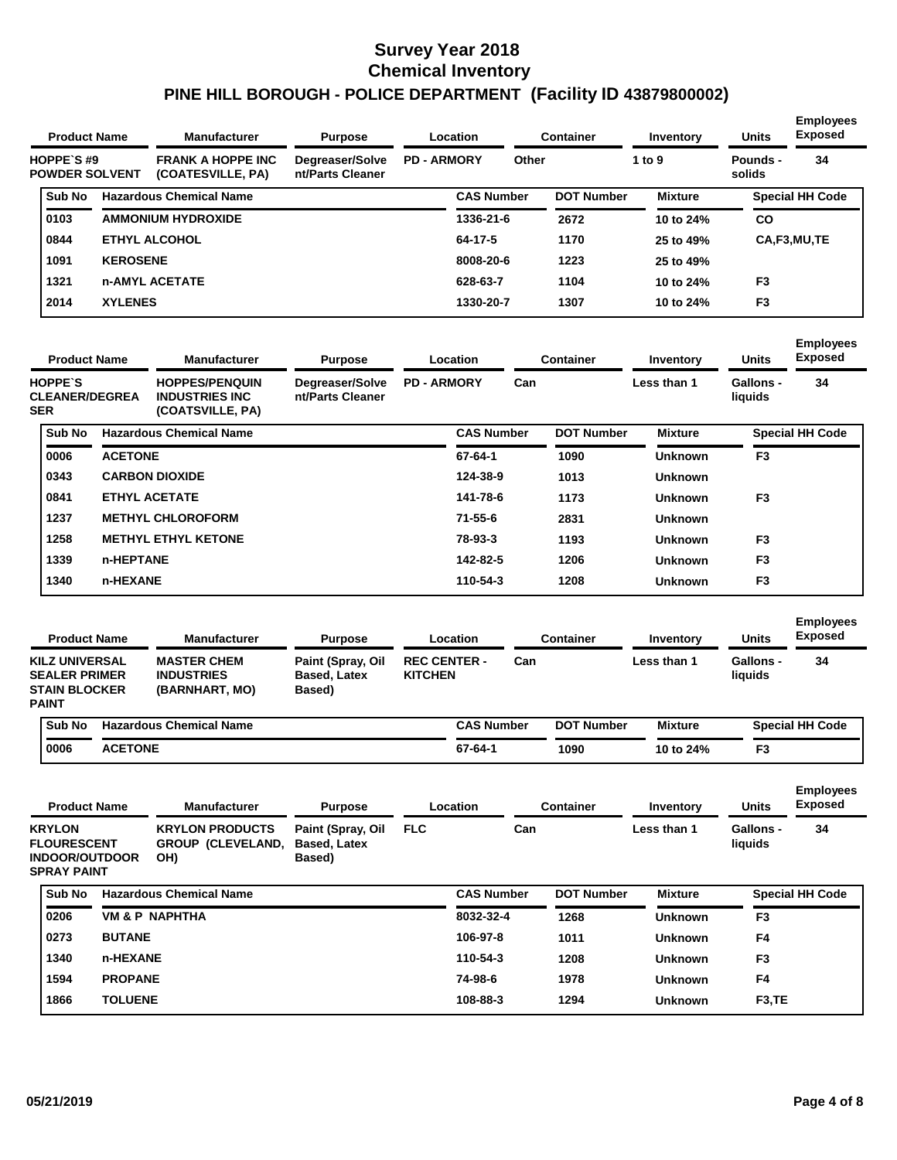| <b>Product Name</b>                 |                 | <b>Manufacturer</b>                           | <b>Purpose</b>                      |                    | Location          |       | <b>Container</b>  | Inventory      | <b>Units</b>       | <b>Employees</b><br><b>Exposed</b> |
|-------------------------------------|-----------------|-----------------------------------------------|-------------------------------------|--------------------|-------------------|-------|-------------------|----------------|--------------------|------------------------------------|
| HOPPE'S #9<br><b>POWDER SOLVENT</b> |                 | <b>FRANK A HOPPE INC</b><br>(COATESVILLE, PA) | Degreaser/Solve<br>nt/Parts Cleaner | <b>PD - ARMORY</b> |                   | Other |                   | 1 to 9         | Pounds -<br>solids | 34                                 |
| Sub No                              |                 | <b>Hazardous Chemical Name</b>                |                                     |                    | <b>CAS Number</b> |       | <b>DOT Number</b> | <b>Mixture</b> |                    | <b>Special HH Code</b>             |
| 0103                                |                 | <b>AMMONIUM HYDROXIDE</b>                     |                                     |                    | 1336-21-6         |       | 2672              | 10 to 24%      | <b>CO</b>          |                                    |
| 0844                                |                 | <b>ETHYL ALCOHOL</b>                          |                                     |                    | 64-17-5           |       | 1170              | 25 to 49%      |                    | CA,F3,MU,TE                        |
| 1091                                | <b>KEROSENE</b> |                                               |                                     |                    | 8008-20-6         |       | 1223              | 25 to 49%      |                    |                                    |
| 1321                                |                 | <b>n-AMYL ACETATE</b>                         |                                     |                    | 628-63-7          |       | 1104              | 10 to 24%      | F <sub>3</sub>     |                                    |
| 2014                                | <b>XYLENES</b>  |                                               |                                     |                    | 1330-20-7         |       | 1307              | 10 to 24%      | F <sub>3</sub>     |                                    |

|                                                       | <b>Product Name</b> | <b>Manufacturer</b><br><b>Purpose</b><br>Location                   | <b>Container</b>                    | Inventory          | <b>Units</b>      | <b>Employees</b><br><b>Exposed</b> |                   |                |                      |                        |
|-------------------------------------------------------|---------------------|---------------------------------------------------------------------|-------------------------------------|--------------------|-------------------|------------------------------------|-------------------|----------------|----------------------|------------------------|
| <b>HOPPE'S</b><br><b>CLEANER/DEGREA</b><br><b>SER</b> |                     | <b>HOPPES/PENQUIN</b><br><b>INDUSTRIES INC.</b><br>(COATSVILLE, PA) | Degreaser/Solve<br>nt/Parts Cleaner | <b>PD - ARMORY</b> |                   | Can                                |                   | Less than 1    | Gallons -<br>liquids | 34                     |
| <b>Sub No</b>                                         |                     | <b>Hazardous Chemical Name</b>                                      |                                     |                    | <b>CAS Number</b> |                                    | <b>DOT Number</b> | <b>Mixture</b> |                      | <b>Special HH Code</b> |
| 0006                                                  | <b>ACETONE</b>      |                                                                     |                                     |                    | 67-64-1           |                                    | 1090              | <b>Unknown</b> | F <sub>3</sub>       |                        |
| 0343                                                  |                     | <b>CARBON DIOXIDE</b>                                               |                                     |                    | 124-38-9          |                                    | 1013              | <b>Unknown</b> |                      |                        |
| 0841                                                  |                     | ETHYL ACETATE                                                       |                                     |                    | 141-78-6          |                                    | 1173              | <b>Unknown</b> | F <sub>3</sub>       |                        |
| 1237                                                  |                     | <b>METHYL CHLOROFORM</b>                                            |                                     |                    | 71-55-6           |                                    | 2831              | <b>Unknown</b> |                      |                        |
| 1258                                                  |                     | <b>METHYL ETHYL KETONE</b>                                          |                                     |                    | 78-93-3           |                                    | 1193              | <b>Unknown</b> | F <sub>3</sub>       |                        |
| 1339                                                  | n-HEPTANE           |                                                                     |                                     |                    | 142-82-5          |                                    | 1206              | <b>Unknown</b> | F <sub>3</sub>       |                        |
| 1340                                                  | n-HEXANE            |                                                                     |                                     |                    | 110-54-3          |                                    | 1208              | <b>Unknown</b> | F <sub>3</sub>       |                        |

| <b>Product Name</b>                                                                   | <b>Manufacturer</b>                                       | <b>Purpose</b>                                     | Location                              |     | Container         | Inventory      | Units                       | <b>Employees</b><br><b>Exposed</b> |
|---------------------------------------------------------------------------------------|-----------------------------------------------------------|----------------------------------------------------|---------------------------------------|-----|-------------------|----------------|-----------------------------|------------------------------------|
| <b>KILZ UNIVERSAL</b><br><b>SEALER PRIMER</b><br><b>STAIN BLOCKER</b><br><b>PAINT</b> | <b>MASTER CHEM</b><br><b>INDUSTRIES</b><br>(BARNHART, MO) | Paint (Spray, Oil<br><b>Based, Latex</b><br>Based) | <b>REC CENTER -</b><br><b>KITCHEN</b> | Can |                   | Less than 1    | <b>Gallons -</b><br>liquids | 34                                 |
| <b>Sub No</b>                                                                         | <b>Hazardous Chemical Name</b>                            |                                                    | <b>CAS Number</b>                     |     | <b>DOT Number</b> | <b>Mixture</b> |                             | <b>Special HH Code</b>             |

| 0006 | <b>ACETONE</b> | 67-64-1 | 1090 | 10 to 24% | F <sub>3</sub>   |
|------|----------------|---------|------|-----------|------------------|
|      |                |         |      |           | <b>Employees</b> |

| <b>Product Name</b>                                                                       |                | <b>Manufacturer</b>                                | <b>Purpose</b>                                     |                   | Location          | <b>Container</b>  | Inventory      | <b>Units</b>                | <b>Exposed</b>         |
|-------------------------------------------------------------------------------------------|----------------|----------------------------------------------------|----------------------------------------------------|-------------------|-------------------|-------------------|----------------|-----------------------------|------------------------|
| <b>KRYLON</b><br><b>FLOURESCENT</b><br><b>INDOOR/OUTDOOR</b><br>OH)<br><b>SPRAY PAINT</b> |                | <b>KRYLON PRODUCTS</b><br><b>GROUP (CLEVELAND,</b> | Paint (Spray, Oil<br><b>Based, Latex</b><br>Based) | <b>FLC</b><br>Can |                   |                   | Less than 1    | <b>Gallons -</b><br>liquids | 34                     |
| Sub No                                                                                    |                | <b>Hazardous Chemical Name</b>                     |                                                    |                   | <b>CAS Number</b> | <b>DOT Number</b> | <b>Mixture</b> |                             | <b>Special HH Code</b> |
| 0206                                                                                      |                | <b>VM &amp; P NAPHTHA</b>                          |                                                    |                   | 8032-32-4         | 1268              | <b>Unknown</b> | F <sub>3</sub>              |                        |
| 0273                                                                                      | <b>BUTANE</b>  |                                                    |                                                    |                   | 106-97-8          | 1011              | <b>Unknown</b> | F <sub>4</sub>              |                        |
| 1340                                                                                      | n-HEXANE       |                                                    |                                                    |                   | 110-54-3          | 1208              | <b>Unknown</b> | F <sub>3</sub>              |                        |
| 1594                                                                                      | <b>PROPANE</b> |                                                    |                                                    |                   | 74-98-6           | 1978              | <b>Unknown</b> | F <sub>4</sub>              |                        |
| 1866                                                                                      | <b>TOLUENE</b> |                                                    |                                                    |                   | 108-88-3          | 1294              | <b>Unknown</b> | F <sub>3</sub> , TE         |                        |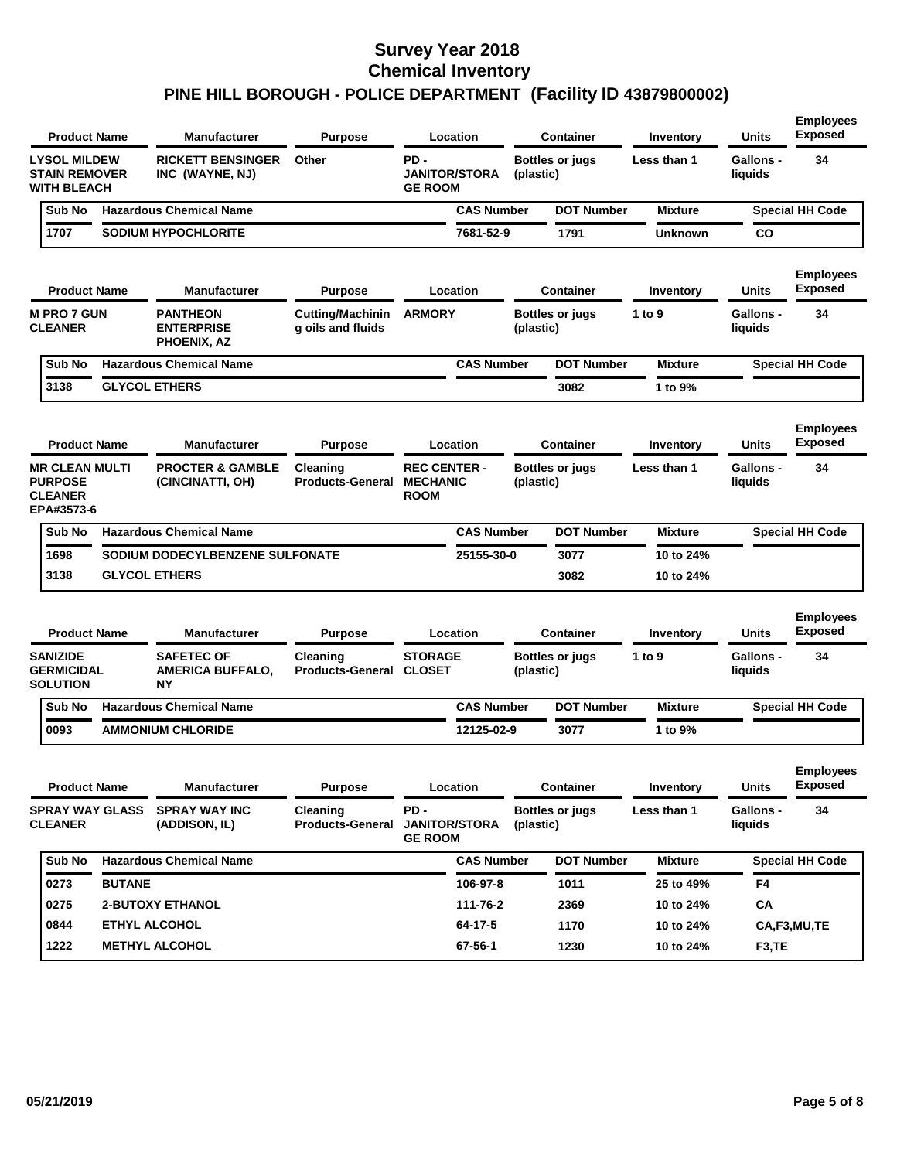|                                                                         | <b>Product Name</b>    | <b>Manufacturer</b>                                 | <b>Purpose</b>                               | Location                                              |                   |           | <b>Container</b>       | Inventory      | <b>Units</b>                | <b>Employees</b><br><b>Exposed</b> |
|-------------------------------------------------------------------------|------------------------|-----------------------------------------------------|----------------------------------------------|-------------------------------------------------------|-------------------|-----------|------------------------|----------------|-----------------------------|------------------------------------|
| <b>LYSOL MILDEW</b><br><b>STAIN REMOVER</b><br><b>WITH BLEACH</b>       |                        | <b>RICKETT BENSINGER</b><br>INC (WAYNE, NJ)         | Other                                        | PD -<br><b>JANITOR/STORA</b><br><b>GE ROOM</b>        |                   | (plastic) | <b>Bottles or jugs</b> | Less than 1    | <b>Gallons -</b><br>liquids | 34                                 |
| Sub No                                                                  |                        | <b>Hazardous Chemical Name</b>                      |                                              |                                                       | <b>CAS Number</b> |           | <b>DOT Number</b>      | <b>Mixture</b> |                             | <b>Special HH Code</b>             |
| 1707                                                                    |                        | <b>SODIUM HYPOCHLORITE</b>                          |                                              | 7681-52-9                                             |                   |           | 1791                   | <b>Unknown</b> | CO                          |                                    |
|                                                                         | <b>Product Name</b>    | <b>Manufacturer</b>                                 | <b>Purpose</b>                               | Location                                              |                   |           | <b>Container</b>       | Inventory      | Units                       | <b>Employees</b><br><b>Exposed</b> |
| <b>M PRO 7 GUN</b><br><b>CLEANER</b>                                    |                        | <b>PANTHEON</b><br><b>ENTERPRISE</b><br>PHOENIX, AZ | <b>Cutting/Machinin</b><br>g oils and fluids | <b>ARMORY</b>                                         |                   | (plastic) | <b>Bottles or jugs</b> | 1 to $9$       | <b>Gallons -</b><br>liquids | 34                                 |
| Sub No                                                                  |                        | <b>Hazardous Chemical Name</b>                      |                                              |                                                       | <b>CAS Number</b> |           | <b>DOT Number</b>      | <b>Mixture</b> |                             | <b>Special HH Code</b>             |
| 3138                                                                    |                        | <b>GLYCOL ETHERS</b>                                |                                              |                                                       |                   |           | 3082                   | 1 to 9%        |                             |                                    |
|                                                                         | <b>Product Name</b>    | <b>Manufacturer</b>                                 | <b>Purpose</b>                               | Location                                              |                   |           | Container              | Inventory      | Units                       | <b>Employees</b><br><b>Exposed</b> |
| <b>MR CLEAN MULTI</b><br><b>PURPOSE</b><br><b>CLEANER</b><br>EPA#3573-6 |                        | <b>PROCTER &amp; GAMBLE</b><br>(CINCINATTI, OH)     | Cleaning<br><b>Products-General</b>          | <b>REC CENTER -</b><br><b>MECHANIC</b><br><b>ROOM</b> |                   | (plastic) | <b>Bottles or jugs</b> | Less than 1    | <b>Gallons -</b><br>liquids | 34                                 |
| Sub No                                                                  |                        | <b>Hazardous Chemical Name</b>                      |                                              |                                                       | <b>CAS Number</b> |           | <b>DOT Number</b>      | <b>Mixture</b> |                             | <b>Special HH Code</b>             |
| 1698                                                                    |                        | SODIUM DODECYLBENZENE SULFONATE                     |                                              |                                                       | 25155-30-0        |           | 3077                   | 10 to 24%      |                             |                                    |
| 3138                                                                    |                        | <b>GLYCOL ETHERS</b>                                |                                              |                                                       |                   |           | 3082                   | 10 to 24%      |                             |                                    |
|                                                                         | <b>Product Name</b>    | <b>Manufacturer</b>                                 | <b>Purpose</b>                               | Location                                              |                   |           | <b>Container</b>       | Inventory      | <b>Units</b>                | <b>Employees</b><br><b>Exposed</b> |
| <b>SANIZIDE</b><br><b>GERMICIDAL</b><br><b>SOLUTION</b>                 |                        | <b>SAFETEC OF</b><br><b>AMERICA BUFFALO,</b><br>NΥ  | Cleaning<br><b>Products-General CLOSET</b>   | <b>STORAGE</b>                                        |                   | (plastic) | <b>Bottles or jugs</b> | 1 to 9         | <b>Gallons -</b><br>liquids | 34                                 |
| Sub No                                                                  |                        | <b>Hazardous Chemical Name</b>                      |                                              |                                                       | <b>CAS Number</b> |           | <b>DOT Number</b>      | <b>Mixture</b> |                             | <b>Special HH Code</b>             |
| 0093                                                                    |                        | <b>AMMONIUM CHLORIDE</b>                            |                                              |                                                       | 12125-02-9        |           | 3077                   | 1 to 9%        |                             |                                    |
|                                                                         | <b>Product Name</b>    | Manufacturer                                        | <b>Purpose</b>                               | Location                                              |                   |           | <b>Container</b>       | Inventory      | <b>Units</b>                | <b>Employees</b><br><b>Exposed</b> |
| <b>CLEANER</b>                                                          | <b>SPRAY WAY GLASS</b> | <b>SPRAY WAY INC</b><br>(ADDISON, IL)               | Cleaning<br><b>Products-General</b>          | PD -<br><b>JANITOR/STORA</b><br><b>GE ROOM</b>        |                   | (plastic) | <b>Bottles or jugs</b> | Less than 1    | Gallons -<br>liquids        | 34                                 |
| Sub No                                                                  |                        | <b>Hazardous Chemical Name</b>                      |                                              |                                                       | <b>CAS Number</b> |           | <b>DOT Number</b>      | <b>Mixture</b> |                             | <b>Special HH Code</b>             |
| 0273                                                                    | <b>BUTANE</b>          |                                                     |                                              | 106-97-8                                              |                   |           | 1011                   | 25 to 49%      | F4                          |                                    |
| 0275                                                                    |                        | <b>2-BUTOXY ETHANOL</b>                             |                                              | 111-76-2                                              |                   |           | 2369                   | 10 to 24%      | CA                          |                                    |
| 0844                                                                    |                        | <b>ETHYL ALCOHOL</b>                                |                                              | 64-17-5                                               |                   |           | 1170                   | 10 to 24%      |                             | CA,F3,MU,TE                        |
| 1222                                                                    |                        | <b>METHYL ALCOHOL</b>                               |                                              | 67-56-1                                               |                   |           | 1230                   | 10 to 24%      | F3,TE                       |                                    |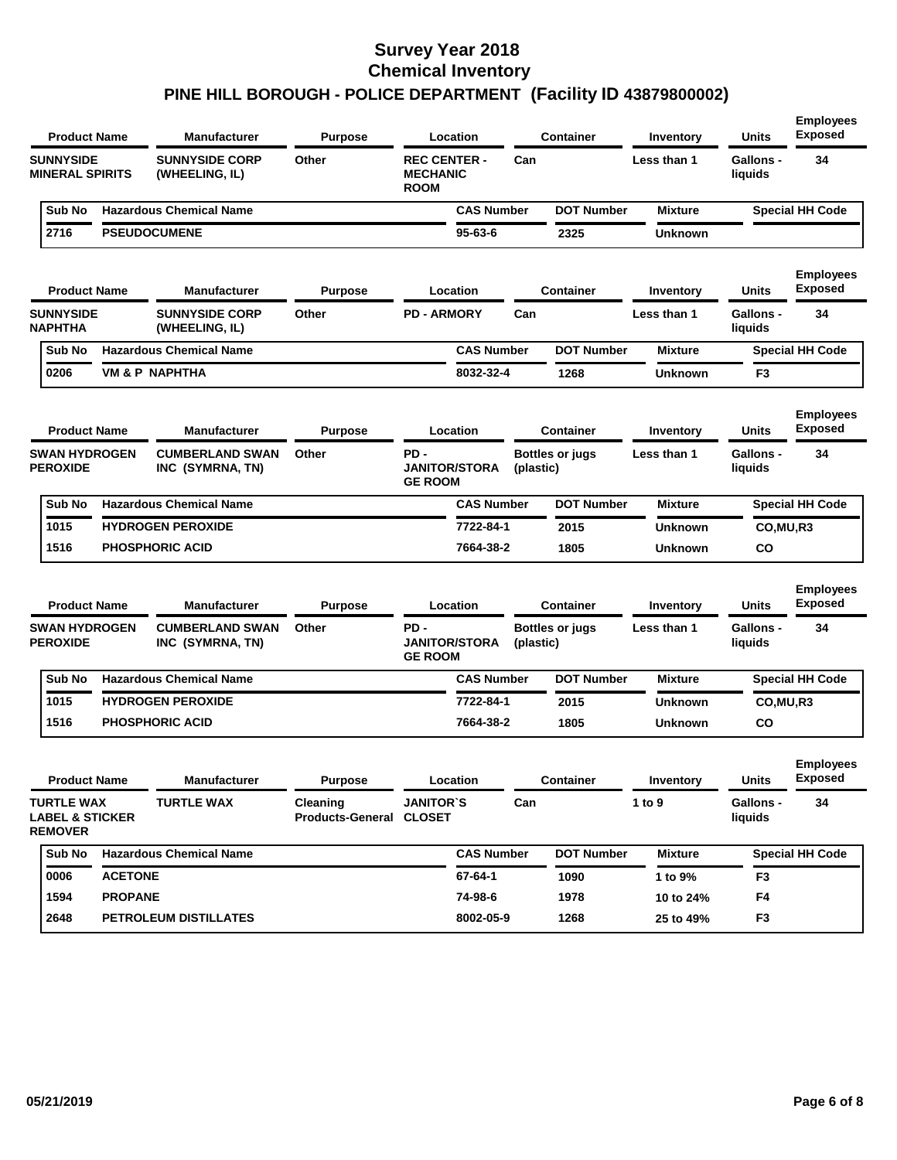|                                                            | <b>Product Name</b> | <b>Manufacturer</b>                        | <b>Purpose</b>                      |                                                       | Location             |           | <b>Container</b>       | Inventory      | <b>Units</b>                | <b>Employees</b><br><b>Exposed</b> |
|------------------------------------------------------------|---------------------|--------------------------------------------|-------------------------------------|-------------------------------------------------------|----------------------|-----------|------------------------|----------------|-----------------------------|------------------------------------|
| <b>SUNNYSIDE</b><br><b>MINERAL SPIRITS</b>                 |                     | <b>SUNNYSIDE CORP</b><br>(WHEELING, IL)    | Other                               | <b>REC CENTER -</b><br><b>MECHANIC</b><br><b>ROOM</b> |                      | Can       |                        | Less than 1    | <b>Gallons -</b><br>liquids | 34                                 |
| Sub No                                                     |                     | <b>Hazardous Chemical Name</b>             |                                     |                                                       | <b>CAS Number</b>    |           | <b>DOT Number</b>      | <b>Mixture</b> |                             | <b>Special HH Code</b>             |
| 2716                                                       |                     | <b>PSEUDOCUMENE</b>                        |                                     |                                                       | $95 - 63 - 6$        |           | 2325                   | <b>Unknown</b> |                             |                                    |
|                                                            | <b>Product Name</b> | <b>Manufacturer</b>                        | <b>Purpose</b>                      |                                                       | Location             |           | <b>Container</b>       | Inventory      | Units                       | <b>Employees</b><br><b>Exposed</b> |
| <b>SUNNYSIDE</b><br><b>NAPHTHA</b>                         |                     | <b>SUNNYSIDE CORP</b><br>(WHEELING, IL)    | Other                               | <b>PD - ARMORY</b>                                    |                      | Can       |                        | Less than 1    | Gallons -<br>liquids        | 34                                 |
| Sub No                                                     |                     | <b>Hazardous Chemical Name</b>             |                                     |                                                       | <b>CAS Number</b>    |           | <b>DOT Number</b>      | <b>Mixture</b> |                             | <b>Special HH Code</b>             |
| 0206                                                       |                     | <b>VM &amp; P NAPHTHA</b>                  |                                     |                                                       | 8032-32-4            |           | 1268                   | <b>Unknown</b> | F3                          |                                    |
|                                                            | <b>Product Name</b> | <b>Manufacturer</b>                        | <b>Purpose</b>                      |                                                       | Location             |           | <b>Container</b>       | Inventory      | Units                       | <b>Employees</b><br><b>Exposed</b> |
| <b>SWAN HYDROGEN</b><br><b>PEROXIDE</b>                    |                     | <b>CUMBERLAND SWAN</b><br>INC (SYMRNA, TN) | Other                               | PD-<br><b>GE ROOM</b>                                 | <b>JANITOR/STORA</b> | (plastic) | <b>Bottles or jugs</b> | Less than 1    | <b>Gallons -</b><br>liquids | 34                                 |
| Sub No                                                     |                     | <b>Hazardous Chemical Name</b>             |                                     |                                                       | <b>CAS Number</b>    |           | <b>DOT Number</b>      | <b>Mixture</b> |                             | <b>Special HH Code</b>             |
| 1015                                                       |                     | <b>HYDROGEN PEROXIDE</b>                   |                                     |                                                       | 7722-84-1            |           | 2015                   | Unknown        | CO,MU,R3                    |                                    |
| 1516                                                       |                     | <b>PHOSPHORIC ACID</b>                     |                                     |                                                       | 7664-38-2            |           | 1805                   | <b>Unknown</b> | CO                          |                                    |
|                                                            | <b>Product Name</b> | <b>Manufacturer</b>                        | <b>Purpose</b>                      |                                                       | Location             |           | <b>Container</b>       | Inventory      | <b>Units</b>                | <b>Employees</b><br><b>Exposed</b> |
| <b>SWAN HYDROGEN</b><br><b>PEROXIDE</b>                    |                     | <b>CUMBERLAND SWAN</b><br>INC (SYMRNA, TN) | Other                               | PD-<br><b>GE ROOM</b>                                 | <b>JANITOR/STORA</b> | (plastic) | <b>Bottles or jugs</b> | Less than 1    | Gallons -<br>liquids        | 34                                 |
| Sub No                                                     |                     | <b>Hazardous Chemical Name</b>             |                                     |                                                       | <b>CAS Number</b>    |           | <b>DOT Number</b>      | <b>Mixture</b> |                             | <b>Special HH Code</b>             |
| 1015                                                       |                     | <b>HYDROGEN PEROXIDE</b>                   |                                     |                                                       | 7722-84-1            |           | 2015                   | <b>Unknown</b> | CO, MU, R3                  |                                    |
| 1516                                                       |                     | <b>PHOSPHORIC ACID</b>                     |                                     |                                                       | 7664-38-2            |           | 1805                   | <b>Unknown</b> | CO                          |                                    |
|                                                            | <b>Product Name</b> | Manufacturer                               | <b>Purpose</b>                      |                                                       | Location             |           | <b>Container</b>       | Inventory      | <b>Units</b>                | <b>Employees</b><br><b>Exposed</b> |
| TURTLE WAX<br><b>LABEL &amp; STICKER</b><br><b>REMOVER</b> |                     | <b>TURTLE WAX</b>                          | Cleaning<br>Products-General CLOSET | <b>JANITOR'S</b>                                      |                      | Can       |                        | 1 to 9         | <b>Gallons -</b><br>liquids | 34                                 |
| Sub No                                                     |                     | <b>Hazardous Chemical Name</b>             |                                     |                                                       | <b>CAS Number</b>    |           | <b>DOT Number</b>      | <b>Mixture</b> |                             | <b>Special HH Code</b>             |
| 0006                                                       | <b>ACETONE</b>      |                                            |                                     |                                                       | 67-64-1              |           | 1090                   | 1 to 9%        | F3                          |                                    |
| 1594                                                       | <b>PROPANE</b>      |                                            |                                     |                                                       | 74-98-6              |           | 1978                   | 10 to 24%      | F4                          |                                    |
| 2648                                                       |                     | PETROLEUM DISTILLATES                      |                                     |                                                       | 8002-05-9            |           | 1268                   | 25 to 49%      | F <sub>3</sub>              |                                    |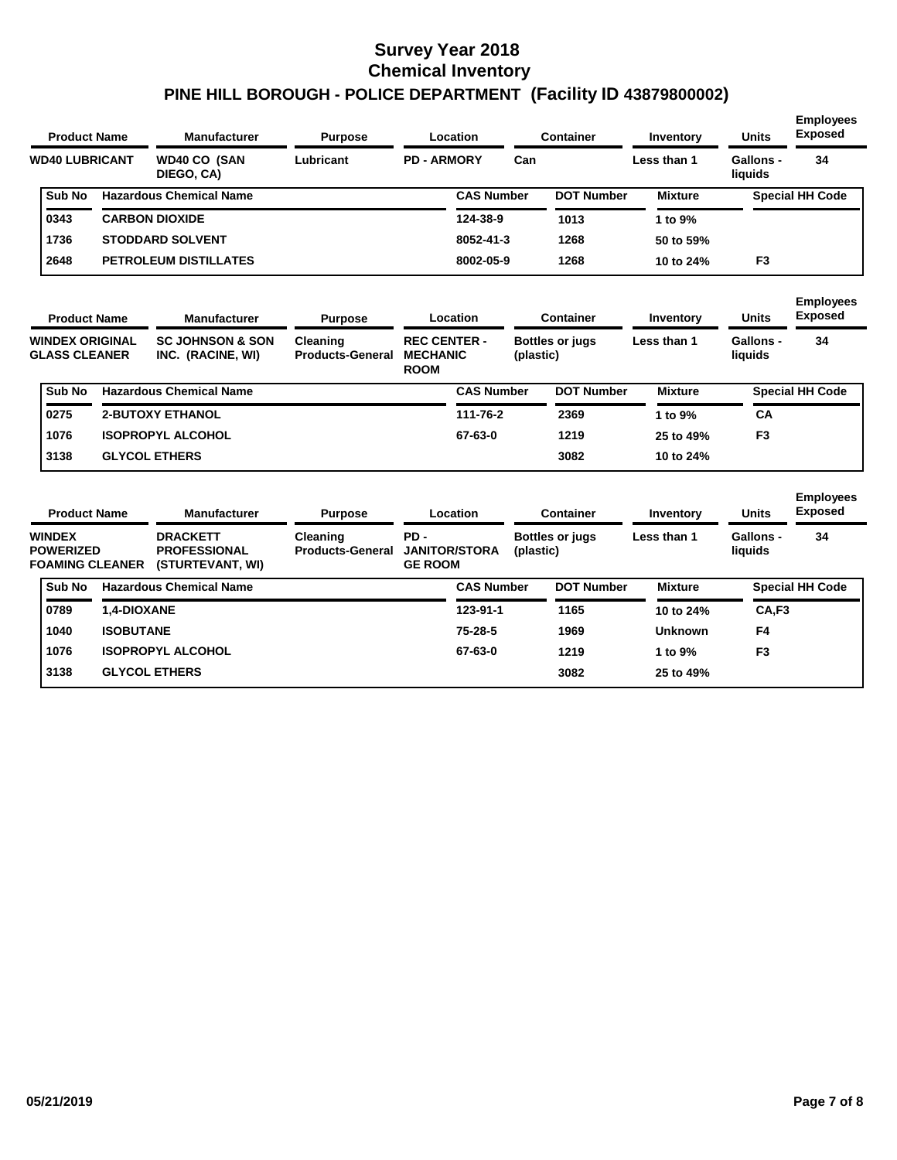| <b>Product Name</b>                                         |                  | <b>Manufacturer</b>                                        | <b>Purpose</b>                      | Location                                              |                   |           | Container              | Inventory      | <b>Units</b>         | <b>Employees</b><br><b>Exposed</b> |
|-------------------------------------------------------------|------------------|------------------------------------------------------------|-------------------------------------|-------------------------------------------------------|-------------------|-----------|------------------------|----------------|----------------------|------------------------------------|
| <b>WD40 LUBRICANT</b>                                       |                  | <b>WD40 CO (SAN</b><br>DIEGO, CA)                          | Lubricant                           | <b>PD - ARMORY</b>                                    |                   | Can       |                        | Less than 1    | Gallons -<br>liquids | 34                                 |
| Sub No                                                      |                  | <b>Hazardous Chemical Name</b>                             |                                     |                                                       | <b>CAS Number</b> |           | <b>DOT Number</b>      | <b>Mixture</b> |                      | <b>Special HH Code</b>             |
| 0343                                                        |                  | <b>CARBON DIOXIDE</b>                                      |                                     |                                                       | 124-38-9          |           | 1013                   | 1 to 9%        |                      |                                    |
| 1736                                                        |                  | <b>STODDARD SOLVENT</b>                                    |                                     |                                                       | 8052-41-3         |           | 1268                   | 50 to 59%      |                      |                                    |
| 2648                                                        |                  | <b>PETROLEUM DISTILLATES</b>                               |                                     |                                                       | 8002-05-9         |           | 1268                   | 10 to 24%      | F <sub>3</sub>       |                                    |
| <b>Product Name</b>                                         |                  | <b>Manufacturer</b>                                        | <b>Purpose</b>                      | Location                                              |                   |           | Container              | Inventory      | <b>Units</b>         | <b>Employees</b><br><b>Exposed</b> |
| <b>WINDEX ORIGINAL</b><br><b>GLASS CLEANER</b>              |                  | <b>SC JOHNSON &amp; SON</b><br>INC. (RACINE, WI)           | Cleaning<br><b>Products-General</b> | <b>REC CENTER -</b><br><b>MECHANIC</b><br><b>ROOM</b> |                   | (plastic) | <b>Bottles or jugs</b> | Less than 1    | Gallons -<br>liquids | 34                                 |
| Sub No                                                      |                  | <b>Hazardous Chemical Name</b>                             |                                     |                                                       | <b>CAS Number</b> |           | <b>DOT Number</b>      | <b>Mixture</b> |                      | <b>Special HH Code</b>             |
| 0275                                                        |                  | <b>2-BUTOXY ETHANOL</b>                                    |                                     |                                                       | 111-76-2          |           | 2369                   | 1 to 9%        | CA                   |                                    |
| 1076                                                        |                  | <b>ISOPROPYL ALCOHOL</b>                                   |                                     |                                                       | 67-63-0           |           | 1219                   | 25 to 49%      | F <sub>3</sub>       |                                    |
| 3138                                                        |                  | <b>GLYCOL ETHERS</b>                                       |                                     |                                                       |                   |           | 3082                   | 10 to 24%      |                      |                                    |
| <b>Product Name</b>                                         |                  | <b>Manufacturer</b>                                        | <b>Purpose</b>                      | Location                                              |                   |           | <b>Container</b>       | Inventory      | <b>Units</b>         | <b>Employees</b><br><b>Exposed</b> |
| <b>WINDEX</b><br><b>POWERIZED</b><br><b>FOAMING CLEANER</b> |                  | <b>DRACKETT</b><br><b>PROFESSIONAL</b><br>(STURTEVANT, WI) | Cleaning<br><b>Products-General</b> | PD-<br><b>JANITOR/STORA</b><br><b>GE ROOM</b>         |                   | (plastic) | <b>Bottles or jugs</b> | Less than 1    | Gallons -<br>liquids | 34                                 |
| Sub No                                                      |                  | <b>Hazardous Chemical Name</b>                             |                                     |                                                       | <b>CAS Number</b> |           | <b>DOT Number</b>      | <b>Mixture</b> |                      | <b>Special HH Code</b>             |
| 0789                                                        | 1,4-DIOXANE      |                                                            |                                     |                                                       | 123-91-1          |           | 1165                   | 10 to 24%      | CA,F3                |                                    |
| 1040                                                        | <b>ISOBUTANE</b> |                                                            |                                     |                                                       | 75-28-5           |           | 1969                   | Unknown        | F4                   |                                    |
| 1076                                                        |                  | <b>ISOPROPYL ALCOHOL</b>                                   |                                     |                                                       | 67-63-0           |           | 1219                   | 1 to 9%        | F <sub>3</sub>       |                                    |

**3138**

**GLYCOL ETHERS**

**25 to 49%**

**3082**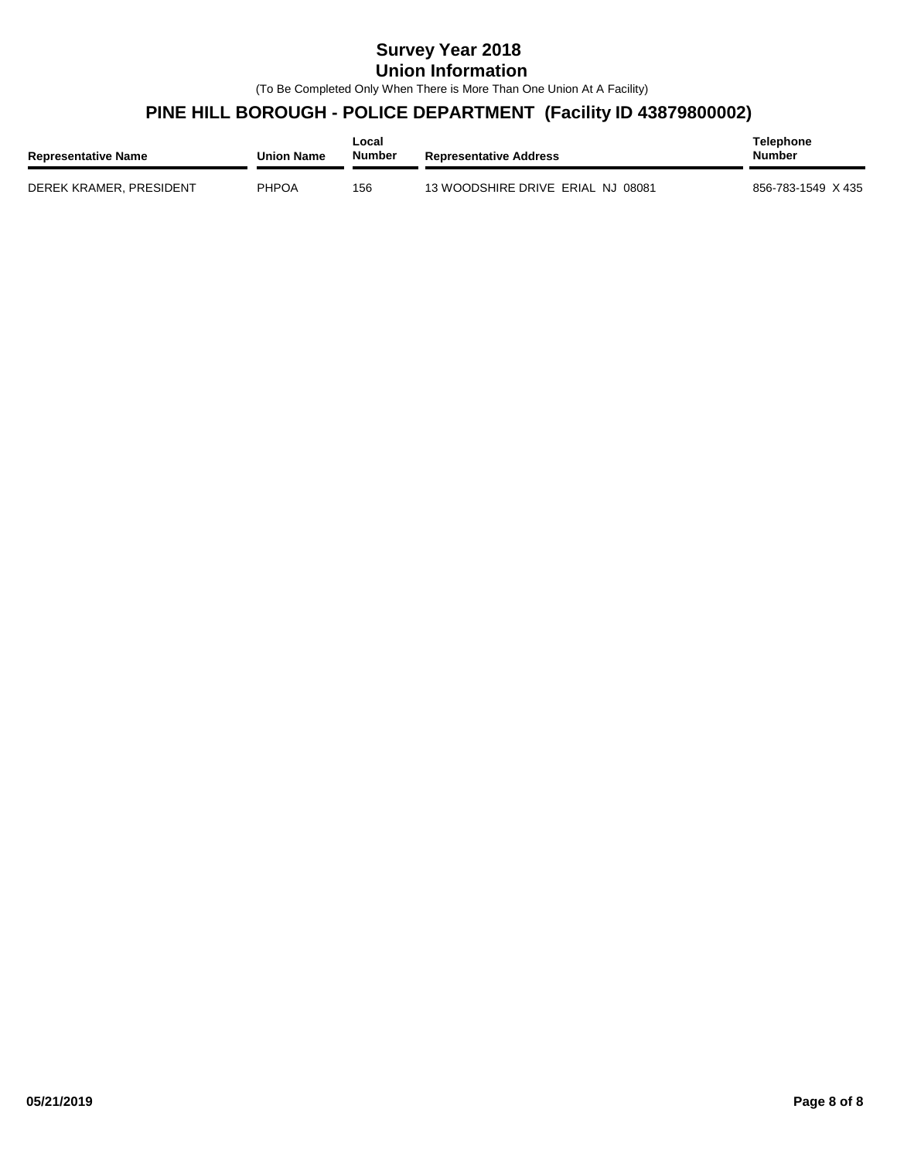#### **Survey Year 2018 Union Information**

(To Be Completed Only When There is More Than One Union At A Facility)

#### **PINE HILL BOROUGH - POLICE DEPARTMENT (Facility ID 43879800002)**

| <b>Representative Name</b> | <b>Union Name</b> | Local<br><b>Number</b> | <b>Representative Address</b>     | <b>Telephone</b><br><b>Number</b> |
|----------------------------|-------------------|------------------------|-----------------------------------|-----------------------------------|
| DEREK KRAMER, PRESIDENT    | PHPOA             | 156                    | 13 WOODSHIRE DRIVE ERIAL NJ 08081 | 856-783-1549 X 435                |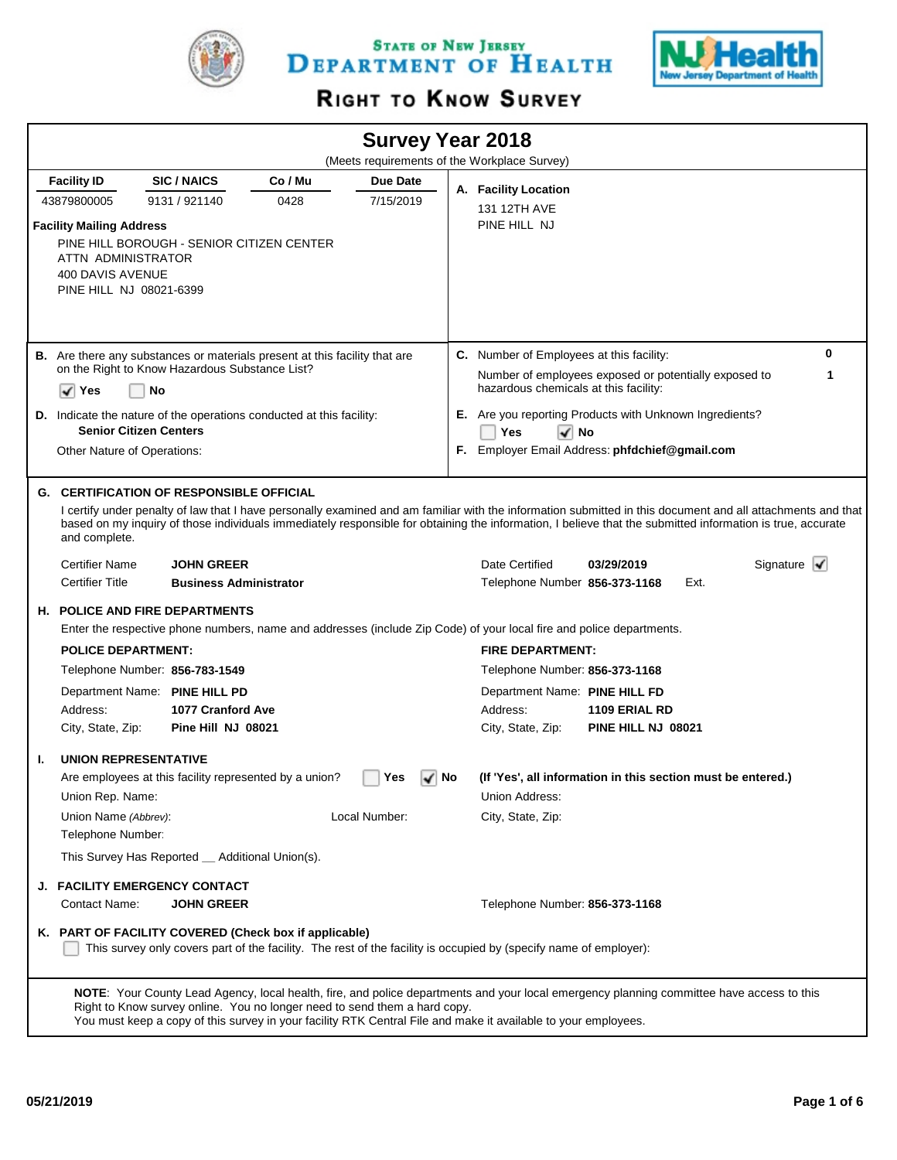

STATE OF NEW JERSEY DEPARTMENT OF HEALTH



# RIGHT TO KNOW SURVEY

|                                                                     |                                                                                                                                                                                             |         | <b>Survey Year 2018</b> |       | (Meets requirements of the Workplace Survey) |                                                                                                                                                                                                                                                                                                                           |                                |
|---------------------------------------------------------------------|---------------------------------------------------------------------------------------------------------------------------------------------------------------------------------------------|---------|-------------------------|-------|----------------------------------------------|---------------------------------------------------------------------------------------------------------------------------------------------------------------------------------------------------------------------------------------------------------------------------------------------------------------------------|--------------------------------|
|                                                                     |                                                                                                                                                                                             |         |                         |       |                                              |                                                                                                                                                                                                                                                                                                                           |                                |
| <b>Facility ID</b>                                                  | <b>SIC/NAICS</b>                                                                                                                                                                            | Co / Mu | Due Date                |       | A. Facility Location                         |                                                                                                                                                                                                                                                                                                                           |                                |
| 43879800005                                                         | 9131 / 921140                                                                                                                                                                               | 0428    | 7/15/2019               |       | 131 12TH AVE                                 |                                                                                                                                                                                                                                                                                                                           |                                |
| <b>Facility Mailing Address</b><br>400 DAVIS AVENUE                 | PINE HILL BOROUGH - SENIOR CITIZEN CENTER<br>ATTN ADMINISTRATOR<br>PINE HILL NJ 08021-6399                                                                                                  |         |                         |       | PINE HILL NJ                                 |                                                                                                                                                                                                                                                                                                                           |                                |
|                                                                     | B. Are there any substances or materials present at this facility that are                                                                                                                  |         |                         |       | C. Number of Employees at this facility:     |                                                                                                                                                                                                                                                                                                                           | 0                              |
| ✔<br>Yes                                                            | on the Right to Know Hazardous Substance List?<br>No                                                                                                                                        |         |                         |       | hazardous chemicals at this facility:        | Number of employees exposed or potentially exposed to                                                                                                                                                                                                                                                                     | 1                              |
|                                                                     | <b>D.</b> Indicate the nature of the operations conducted at this facility:                                                                                                                 |         |                         |       |                                              | <b>E.</b> Are you reporting Products with Unknown Ingredients?                                                                                                                                                                                                                                                            |                                |
|                                                                     | <b>Senior Citizen Centers</b>                                                                                                                                                               |         |                         |       | Yes<br>√ No                                  |                                                                                                                                                                                                                                                                                                                           |                                |
|                                                                     | Other Nature of Operations:                                                                                                                                                                 |         |                         |       |                                              | F. Employer Email Address: phfdchief@gmail.com                                                                                                                                                                                                                                                                            |                                |
|                                                                     |                                                                                                                                                                                             |         |                         |       |                                              |                                                                                                                                                                                                                                                                                                                           |                                |
| and complete.                                                       | <b>G. CERTIFICATION OF RESPONSIBLE OFFICIAL</b>                                                                                                                                             |         |                         |       |                                              | I certify under penalty of law that I have personally examined and am familiar with the information submitted in this document and all attachments and that<br>based on my inquiry of those individuals immediately responsible for obtaining the information, I believe that the submitted information is true, accurate |                                |
| <b>Certifier Name</b>                                               | <b>JOHN GREER</b>                                                                                                                                                                           |         |                         |       | Date Certified                               | 03/29/2019                                                                                                                                                                                                                                                                                                                | Signature $\blacktriangledown$ |
| <b>Certifier Title</b>                                              | <b>Business Administrator</b>                                                                                                                                                               |         |                         |       | Telephone Number 856-373-1168                | Ext.                                                                                                                                                                                                                                                                                                                      |                                |
|                                                                     | <b>H. POLICE AND FIRE DEPARTMENTS</b>                                                                                                                                                       |         |                         |       |                                              |                                                                                                                                                                                                                                                                                                                           |                                |
|                                                                     | Enter the respective phone numbers, name and addresses (include Zip Code) of your local fire and police departments.                                                                        |         |                         |       |                                              |                                                                                                                                                                                                                                                                                                                           |                                |
|                                                                     | <b>POLICE DEPARTMENT:</b>                                                                                                                                                                   |         |                         |       | <b>FIRE DEPARTMENT:</b>                      |                                                                                                                                                                                                                                                                                                                           |                                |
|                                                                     | Telephone Number: 856-783-1549                                                                                                                                                              |         |                         |       | Telephone Number: 856-373-1168               |                                                                                                                                                                                                                                                                                                                           |                                |
| Address:                                                            | Department Name: PINE HILL PD<br>1077 Cranford Ave                                                                                                                                          |         |                         |       | Department Name: PINE HILL FD<br>Address:    | 1109 ERIAL RD                                                                                                                                                                                                                                                                                                             |                                |
| City, State, Zip:                                                   | Pine Hill NJ 08021                                                                                                                                                                          |         |                         |       | City, State, Zip:                            | PINE HILL NJ 08021                                                                                                                                                                                                                                                                                                        |                                |
| ı.<br>Union Rep. Name:<br>Union Name (Abbrev):<br>Telephone Number: | <b>UNION REPRESENTATIVE</b><br>Are employees at this facility represented by a union?<br>This Survey Has Reported _ Additional Union(s).                                                    |         | Yes<br>Local Number:    | √∣ No | Union Address:<br>City, State, Zip:          | (If 'Yes', all information in this section must be entered.)                                                                                                                                                                                                                                                              |                                |
| J.                                                                  | <b>FACILITY EMERGENCY CONTACT</b>                                                                                                                                                           |         |                         |       |                                              |                                                                                                                                                                                                                                                                                                                           |                                |
| Contact Name:                                                       | <b>JOHN GREER</b>                                                                                                                                                                           |         |                         |       | Telephone Number: 856-373-1168               |                                                                                                                                                                                                                                                                                                                           |                                |
|                                                                     | K. PART OF FACILITY COVERED (Check box if applicable)<br>This survey only covers part of the facility. The rest of the facility is occupied by (specify name of employer):                  |         |                         |       |                                              |                                                                                                                                                                                                                                                                                                                           |                                |
|                                                                     | Right to Know survey online. You no longer need to send them a hard copy.<br>You must keep a copy of this survey in your facility RTK Central File and make it available to your employees. |         |                         |       |                                              | NOTE: Your County Lead Agency, local health, fire, and police departments and your local emergency planning committee have access to this                                                                                                                                                                                 |                                |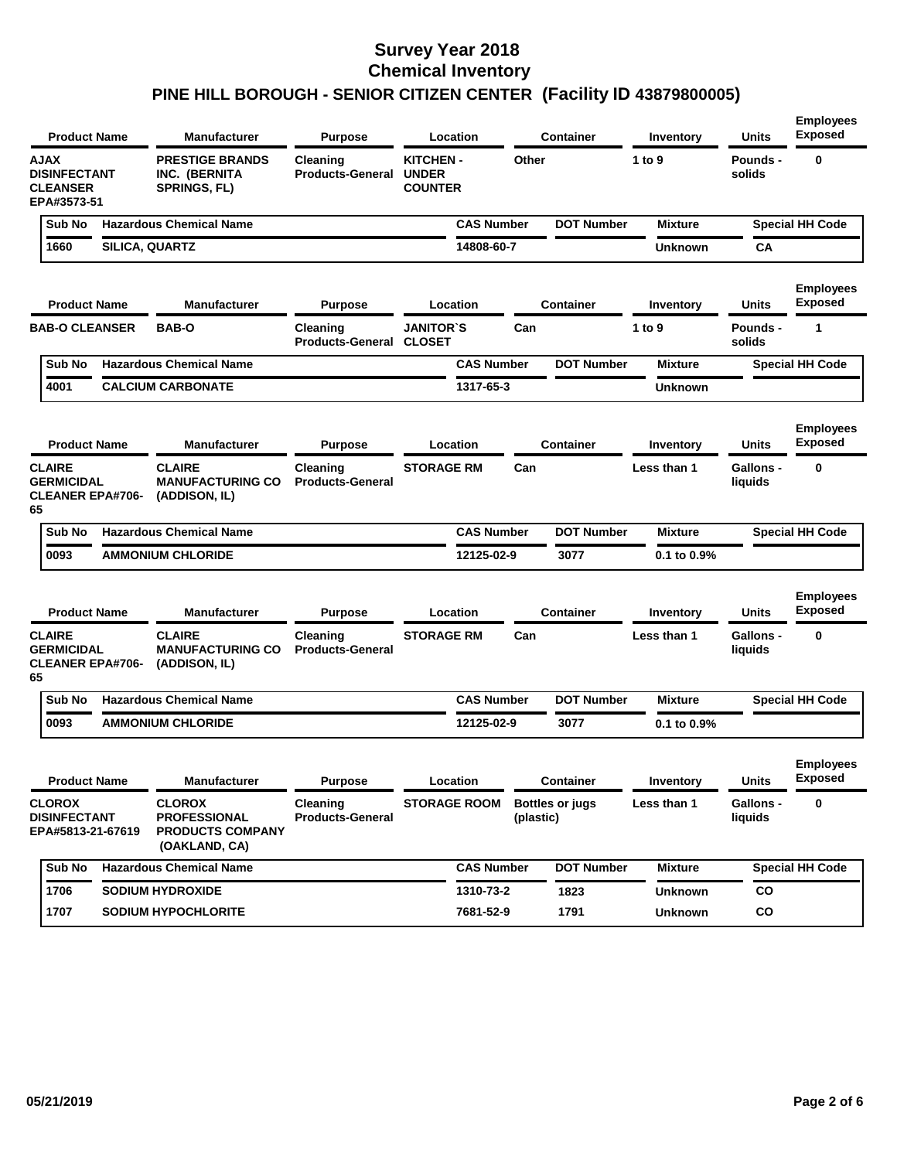|                                                                      | <b>Product Name</b>     | <b>Manufacturer</b>                                                              | <b>Purpose</b>                             | Location                                          |                   | <b>Container</b>       | Inventory      | <b>Units</b>                | <b>Employees</b><br><b>Exposed</b> |
|----------------------------------------------------------------------|-------------------------|----------------------------------------------------------------------------------|--------------------------------------------|---------------------------------------------------|-------------------|------------------------|----------------|-----------------------------|------------------------------------|
| <b>AJAX</b><br><b>DISINFECTANT</b><br><b>CLEANSER</b><br>EPA#3573-51 |                         | <b>PRESTIGE BRANDS</b><br>INC. (BERNITA<br><b>SPRINGS, FL)</b>                   | Cleaning<br><b>Products-General</b>        | <b>KITCHEN-</b><br><b>UNDER</b><br><b>COUNTER</b> | Other             |                        | 1 to 9         | Pounds -<br>solids          | 0                                  |
| Sub No                                                               |                         | <b>Hazardous Chemical Name</b>                                                   |                                            |                                                   | <b>CAS Number</b> | <b>DOT Number</b>      | <b>Mixture</b> |                             | <b>Special HH Code</b>             |
| 1660                                                                 |                         | SILICA, QUARTZ                                                                   |                                            | 14808-60-7                                        |                   |                        | <b>Unknown</b> | CA                          |                                    |
|                                                                      | <b>Product Name</b>     | <b>Manufacturer</b>                                                              | <b>Purpose</b>                             | Location                                          |                   | <b>Container</b>       | Inventory      | Units                       | <b>Employees</b><br><b>Exposed</b> |
| <b>BAB-O CLEANSER</b>                                                |                         | <b>BAB-O</b>                                                                     | Cleaning<br><b>Products-General CLOSET</b> | <b>JANITOR'S</b>                                  | Can               |                        | 1 to 9         | <b>Pounds -</b><br>solids   | 1                                  |
| Sub No                                                               |                         | <b>Hazardous Chemical Name</b>                                                   |                                            |                                                   | <b>CAS Number</b> | <b>DOT Number</b>      | <b>Mixture</b> |                             | <b>Special HH Code</b>             |
| 4001                                                                 |                         | <b>CALCIUM CARBONATE</b>                                                         |                                            | 1317-65-3                                         |                   |                        | <b>Unknown</b> |                             |                                    |
|                                                                      | <b>Product Name</b>     | Manufacturer                                                                     | <b>Purpose</b>                             | Location                                          |                   | <b>Container</b>       | Inventory      | Units                       | <b>Employees</b><br><b>Exposed</b> |
| <b>CLAIRE</b><br><b>GERMICIDAL</b><br>65                             | <b>CLEANER EPA#706-</b> | <b>CLAIRE</b><br><b>MANUFACTURING CO</b><br>(ADDISON, IL)                        | Cleaning<br><b>Products-General</b>        | <b>STORAGE RM</b>                                 | Can               |                        | Less than 1    | Gallons -<br>liquids        | 0                                  |
| Sub No                                                               |                         | <b>Hazardous Chemical Name</b>                                                   |                                            |                                                   | <b>CAS Number</b> | <b>DOT Number</b>      | <b>Mixture</b> |                             | <b>Special HH Code</b>             |
| 0093                                                                 |                         | <b>AMMONIUM CHLORIDE</b>                                                         |                                            | 12125-02-9                                        |                   | 3077                   | 0.1 to 0.9%    |                             |                                    |
|                                                                      | <b>Product Name</b>     | Manufacturer                                                                     | <b>Purpose</b>                             | Location                                          |                   | <b>Container</b>       | Inventory      | Units                       | <b>Employees</b><br><b>Exposed</b> |
| <b>CLAIRE</b><br><b>GERMICIDAL</b><br>65                             | <b>CLEANER EPA#706-</b> | <b>CLAIRE</b><br><b>MANUFACTURING CO</b><br>(ADDISON, IL)                        | Cleaning<br><b>Products-General</b>        | <b>STORAGE RM</b>                                 | Can               |                        | Less than 1    | <b>Gallons -</b><br>liquids | 0                                  |
| Sub No                                                               |                         | <b>Hazardous Chemical Name</b>                                                   |                                            |                                                   | <b>CAS Number</b> | <b>DOT Number</b>      | <b>Mixture</b> |                             | <b>Special HH Code</b>             |
| 0093                                                                 |                         | <b>AMMONIUM CHLORIDE</b>                                                         |                                            | 12125-02-9                                        |                   | 3077                   | 0.1 to 0.9%    |                             |                                    |
|                                                                      | <b>Product Name</b>     | Manufacturer                                                                     | <b>Purpose</b>                             | Location                                          |                   | <b>Container</b>       | Inventory      | <b>Units</b>                | <b>Employees</b><br><b>Exposed</b> |
| <b>CLOROX</b><br><b>DISINFECTANT</b>                                 | EPA#5813-21-67619       | <b>CLOROX</b><br><b>PROFESSIONAL</b><br><b>PRODUCTS COMPANY</b><br>(OAKLAND, CA) | Cleaning<br><b>Products-General</b>        | <b>STORAGE ROOM</b>                               | (plastic)         | <b>Bottles or jugs</b> | Less than 1    | Gallons -<br>liquids        | 0                                  |
| Sub No                                                               |                         | <b>Hazardous Chemical Name</b>                                                   |                                            |                                                   | <b>CAS Number</b> | <b>DOT Number</b>      | <b>Mixture</b> |                             | <b>Special HH Code</b>             |
| 1706                                                                 |                         | <b>SODIUM HYDROXIDE</b>                                                          |                                            | 1310-73-2                                         |                   | 1823                   | <b>Unknown</b> | CO                          |                                    |
| 1707                                                                 |                         | <b>SODIUM HYPOCHLORITE</b>                                                       |                                            | 7681-52-9                                         |                   | 1791                   | <b>Unknown</b> | CO                          |                                    |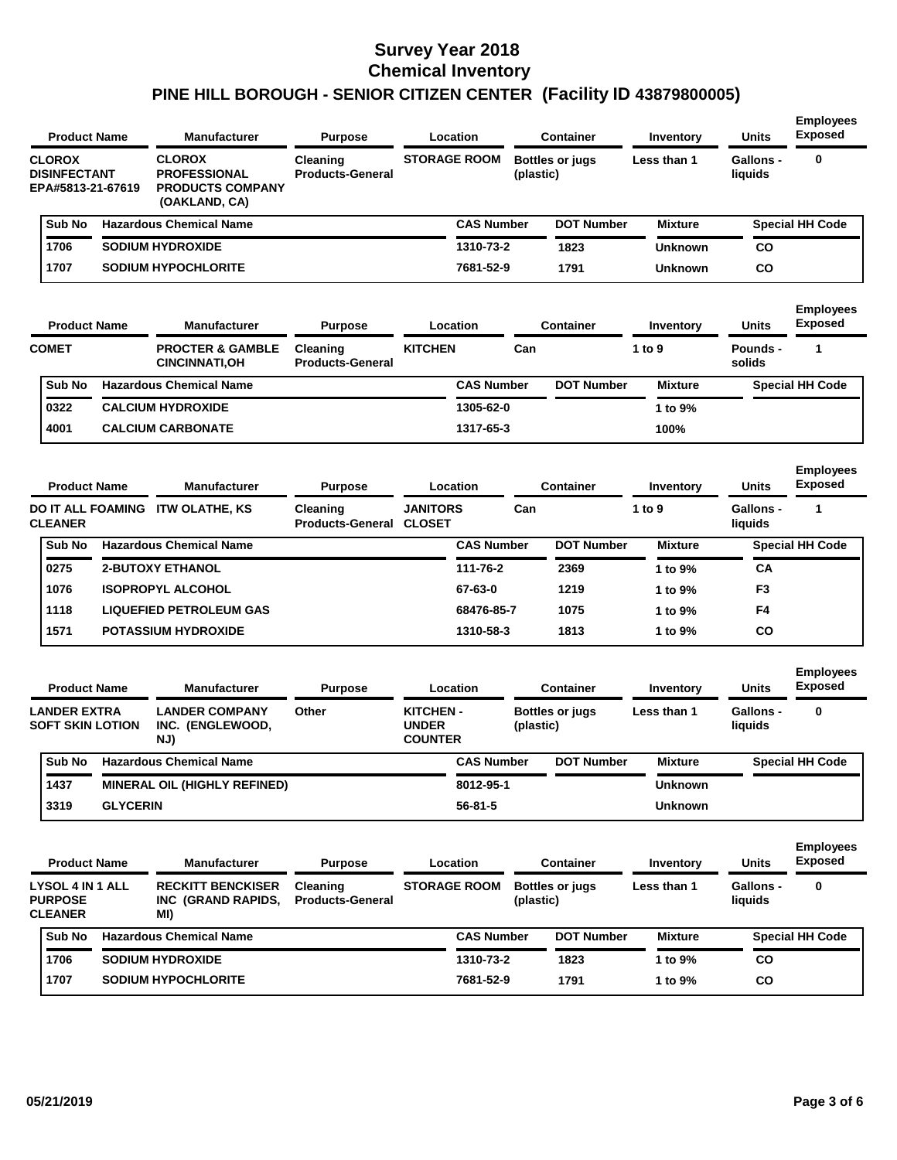| <b>Product Name</b>                                         |                 | <b>Manufacturer</b>                                                              | <b>Purpose</b>                             | Location                                          | <b>Container</b> |                        | Inventory      | Units                       | <b>Exposed</b>                     |
|-------------------------------------------------------------|-----------------|----------------------------------------------------------------------------------|--------------------------------------------|---------------------------------------------------|------------------|------------------------|----------------|-----------------------------|------------------------------------|
| <b>CLOROX</b><br><b>DISINFECTANT</b><br>EPA#5813-21-67619   |                 | <b>CLOROX</b><br><b>PROFESSIONAL</b><br><b>PRODUCTS COMPANY</b><br>(OAKLAND, CA) | Cleaning<br><b>Products-General</b>        | <b>STORAGE ROOM</b>                               | (plastic)        | <b>Bottles or jugs</b> | Less than 1    | <b>Gallons -</b><br>liquids | 0                                  |
| Sub No                                                      |                 | <b>Hazardous Chemical Name</b>                                                   |                                            | <b>CAS Number</b>                                 |                  | <b>DOT Number</b>      | <b>Mixture</b> |                             | <b>Special HH Code</b>             |
| 1706                                                        |                 | <b>SODIUM HYDROXIDE</b>                                                          |                                            | 1310-73-2                                         |                  | 1823                   | <b>Unknown</b> | CO                          |                                    |
| 1707                                                        |                 | <b>SODIUM HYPOCHLORITE</b>                                                       |                                            | 7681-52-9                                         |                  | 1791                   | Unknown        | CO                          |                                    |
| <b>Product Name</b>                                         |                 | <b>Manufacturer</b>                                                              | <b>Purpose</b>                             | Location                                          |                  | <b>Container</b>       | Inventory      | <b>Units</b>                | <b>Employees</b><br><b>Exposed</b> |
| <b>COMET</b>                                                |                 | <b>PROCTER &amp; GAMBLE</b><br><b>CINCINNATI, OH</b>                             | Cleaning<br><b>Products-General</b>        | <b>KITCHEN</b>                                    | Can              |                        | 1 to 9         | <b>Pounds -</b><br>solids   | 1                                  |
| Sub No                                                      |                 | <b>Hazardous Chemical Name</b>                                                   |                                            | <b>CAS Number</b>                                 |                  | <b>DOT Number</b>      | <b>Mixture</b> |                             | <b>Special HH Code</b>             |
| 0322                                                        |                 | <b>CALCIUM HYDROXIDE</b>                                                         |                                            | 1305-62-0                                         |                  |                        | 1 to 9%        |                             |                                    |
| 4001                                                        |                 | <b>CALCIUM CARBONATE</b>                                                         |                                            | 1317-65-3                                         |                  |                        | 100%           |                             |                                    |
| <b>Product Name</b>                                         |                 | <b>Manufacturer</b>                                                              | <b>Purpose</b>                             | Location                                          |                  | <b>Container</b>       | Inventory      | <b>Units</b>                | <b>Employees</b><br><b>Exposed</b> |
| <b>CLEANER</b>                                              |                 | DO IT ALL FOAMING ITW OLATHE, KS                                                 | Cleaning<br><b>Products-General CLOSET</b> | <b>JANITORS</b>                                   | Can              |                        | 1 to 9         | Gallons -<br>liquids        | 1                                  |
| Sub No                                                      |                 | <b>Hazardous Chemical Name</b>                                                   |                                            | <b>CAS Number</b>                                 |                  | <b>DOT Number</b>      | <b>Mixture</b> |                             | <b>Special HH Code</b>             |
| 0275                                                        |                 | <b>2-BUTOXY ETHANOL</b>                                                          |                                            | 111-76-2                                          |                  | 2369                   | 1 to 9%        | CA                          |                                    |
| 1076                                                        |                 | <b>ISOPROPYL ALCOHOL</b>                                                         |                                            | 67-63-0                                           |                  | 1219                   | 1 to 9%        | F3                          |                                    |
| 1118                                                        |                 | <b>LIQUEFIED PETROLEUM GAS</b>                                                   |                                            | 68476-85-7                                        |                  | 1075                   | 1 to 9%        | F4                          |                                    |
| 1571                                                        |                 | <b>POTASSIUM HYDROXIDE</b>                                                       |                                            | 1310-58-3                                         |                  | 1813                   | 1 to 9%        | CO                          |                                    |
| <b>Product Name</b>                                         |                 | <b>Manufacturer</b>                                                              | <b>Purpose</b>                             | Location                                          |                  | <b>Container</b>       | Inventory      | <b>Units</b>                | <b>Employees</b><br><b>Exposed</b> |
| <b>LANDER EXTRA</b><br><b>SOFT SKIN LOTION</b>              |                 | <b>LANDER COMPANY</b><br>INC. (ENGLEWOOD,<br>NJ)                                 | Other                                      | <b>KITCHEN-</b><br><b>UNDER</b><br><b>COUNTER</b> | (plastic)        | <b>Bottles or jugs</b> | Less than 1    | Gallons -<br>liquids        | 0                                  |
| Sub No                                                      |                 | <b>Hazardous Chemical Name</b>                                                   |                                            | <b>CAS Number</b>                                 |                  | <b>DOT Number</b>      | Mixture        |                             | <b>Special HH Code</b>             |
| 1437                                                        |                 | MINERAL OIL (HIGHLY REFINED)                                                     |                                            | 8012-95-1                                         |                  |                        | <b>Unknown</b> |                             |                                    |
| 3319                                                        | <b>GLYCERIN</b> |                                                                                  |                                            | $56 - 81 - 5$                                     |                  |                        | <b>Unknown</b> |                             |                                    |
| <b>Product Name</b>                                         |                 | <b>Manufacturer</b>                                                              | <b>Purpose</b>                             | Location                                          |                  | <b>Container</b>       | Inventory      | Units                       | <b>Employees</b><br><b>Exposed</b> |
| <b>LYSOL 4 IN 1 ALL</b><br><b>PURPOSE</b><br><b>CLEANER</b> |                 | <b>RECKITT BENCKISER</b><br>INC (GRAND RAPIDS,<br>MI)                            | Cleaning<br><b>Products-General</b>        | <b>STORAGE ROOM</b>                               | (plastic)        | <b>Bottles or jugs</b> | Less than 1    | <b>Gallons -</b><br>liquids | 0                                  |
| Sub No                                                      |                 | <b>Hazardous Chemical Name</b>                                                   |                                            | <b>CAS Number</b>                                 |                  | <b>DOT Number</b>      | <b>Mixture</b> |                             | <b>Special HH Code</b>             |
| 1706                                                        |                 | <b>SODIUM HYDROXIDE</b>                                                          |                                            | 1310-73-2                                         |                  | 1823                   | 1 to 9%        | CO                          |                                    |
|                                                             |                 |                                                                                  |                                            |                                                   |                  |                        |                |                             |                                    |

**Employees**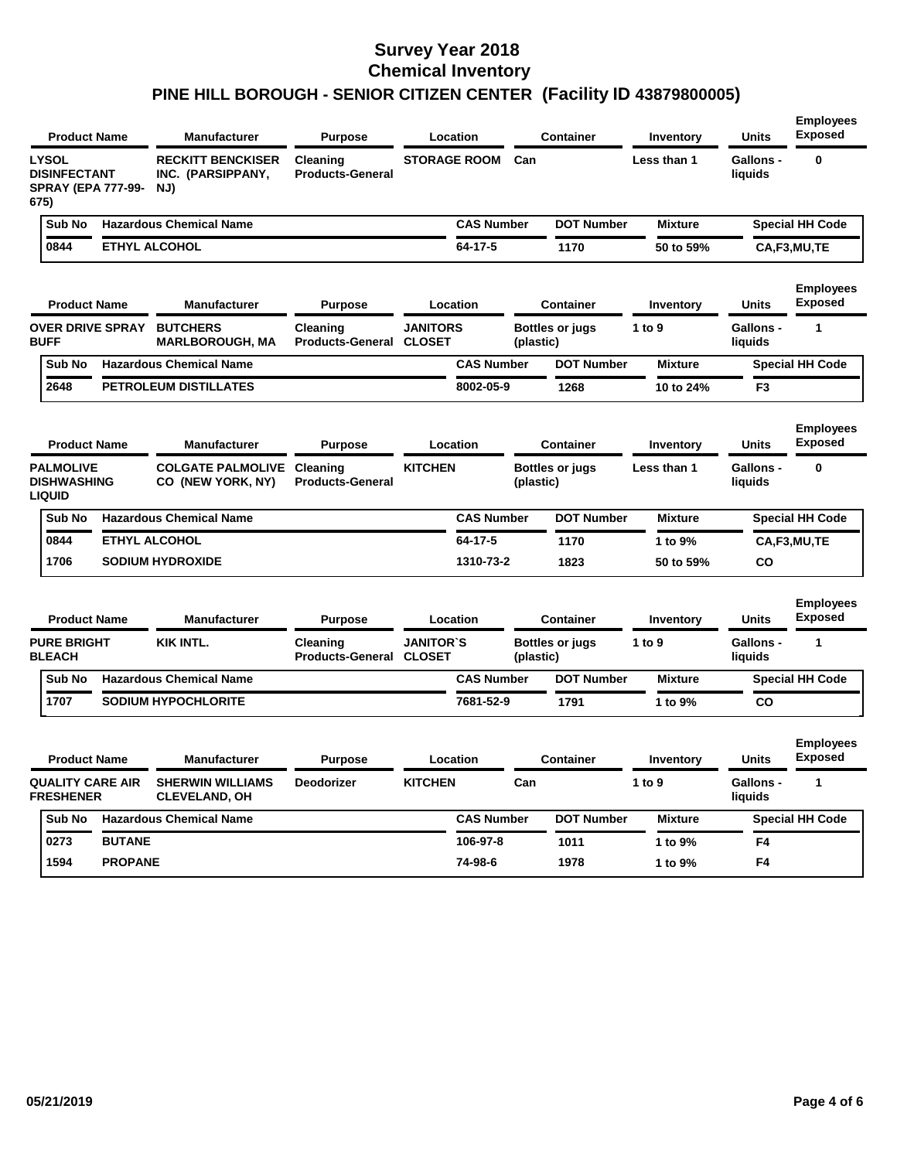|                                                         |        | <b>Product Name</b>       | Manufacturer                                         | <b>Purpose</b>                      |                                   | Location          |           | <b>Container</b>  | Inventory      | Units                       | <b>Employees</b><br><b>Exposed</b> |
|---------------------------------------------------------|--------|---------------------------|------------------------------------------------------|-------------------------------------|-----------------------------------|-------------------|-----------|-------------------|----------------|-----------------------------|------------------------------------|
| <b>LYSOL</b><br><b>DISINFECTANT</b><br>675)             |        | <b>SPRAY (EPA 777-99-</b> | <b>RECKITT BENCKISER</b><br>INC. (PARSIPPANY,<br>NJ) | Cleaning<br><b>Products-General</b> | <b>STORAGE ROOM</b>               |                   | Can       |                   | Less than 1    | <b>Gallons -</b><br>liquids | 0                                  |
|                                                         | Sub No |                           | <b>Hazardous Chemical Name</b>                       |                                     |                                   | <b>CAS Number</b> |           | <b>DOT Number</b> | <b>Mixture</b> |                             | <b>Special HH Code</b>             |
| 0844                                                    |        |                           | ETHYL ALCOHOL                                        |                                     |                                   | 64-17-5           |           | 1170              | 50 to 59%      |                             | CA,F3,MU,TE                        |
|                                                         |        | <b>Product Name</b>       | Manufacturer                                         | <b>Purpose</b>                      |                                   | Location          |           | <b>Container</b>  | Inventory      | Units                       | <b>Employees</b><br><b>Exposed</b> |
| <b>BUFF</b>                                             |        | <b>OVER DRIVE SPRAY</b>   | <b>BUTCHERS</b><br><b>MARLBOROUGH, MA</b>            | Cleaning<br><b>Products-General</b> | <b>JANITORS</b><br><b>CLOSET</b>  |                   | (plastic) | Bottles or jugs   | 1 to 9         | <b>Gallons -</b><br>liquids | 1                                  |
|                                                         | Sub No |                           | <b>Hazardous Chemical Name</b>                       |                                     |                                   | <b>CAS Number</b> |           | <b>DOT Number</b> | <b>Mixture</b> |                             | <b>Special HH Code</b>             |
| 2648                                                    |        |                           | <b>PETROLEUM DISTILLATES</b>                         |                                     |                                   | 8002-05-9         |           | 1268              | 10 to 24%      | F3                          |                                    |
|                                                         |        | <b>Product Name</b>       | Manufacturer                                         | <b>Purpose</b>                      |                                   | Location          |           | <b>Container</b>  | Inventory      | Units                       | <b>Employees</b><br><b>Exposed</b> |
| <b>PALMOLIVE</b><br><b>DISHWASHING</b><br><b>LIQUID</b> |        |                           | <b>COLGATE PALMOLIVE</b><br>CO (NEW YORK, NY)        | Cleaning<br><b>Products-General</b> | <b>KITCHEN</b>                    |                   | (plastic) | Bottles or jugs   | Less than 1    | Gallons -<br>liquids        | 0                                  |
|                                                         | Sub No |                           | <b>Hazardous Chemical Name</b>                       |                                     |                                   | <b>CAS Number</b> |           | <b>DOT Number</b> | <b>Mixture</b> |                             | <b>Special HH Code</b>             |
| 0844                                                    |        |                           | <b>ETHYL ALCOHOL</b>                                 |                                     |                                   | 64-17-5           |           | 1170              | 1 to 9%        |                             | CA,F3,MU,TE                        |
| 1706                                                    |        |                           | <b>SODIUM HYDROXIDE</b>                              |                                     |                                   | 1310-73-2         |           | 1823              | 50 to 59%      | CO                          |                                    |
|                                                         |        | <b>Product Name</b>       | Manufacturer                                         | <b>Purpose</b>                      |                                   | Location          |           | <b>Container</b>  | Inventory      | <b>Units</b>                | <b>Employees</b><br><b>Exposed</b> |
| <b>PURE BRIGHT</b><br><b>BLEACH</b>                     |        |                           | KIK INTL.                                            | Cleaning<br><b>Products-General</b> | <b>JANITOR'S</b><br><b>CLOSET</b> |                   | (plastic) | Bottles or jugs   | 1 to $9$       | <b>Gallons -</b><br>liquids | 1                                  |
|                                                         | Sub No |                           | <b>Hazardous Chemical Name</b>                       |                                     |                                   | <b>CAS Number</b> |           | <b>DOT Number</b> | <b>Mixture</b> |                             | <b>Special HH Code</b>             |
| 1707                                                    |        |                           | <b>SODIUM HYPOCHLORITE</b>                           |                                     |                                   | 7681-52-9         |           | 1791              | 1 to 9%        | CO                          |                                    |
|                                                         |        | <b>Product Name</b>       | Manufacturer                                         | <b>Purpose</b>                      |                                   | Location          |           | <b>Container</b>  | Inventory      | Units                       | <b>Employees</b><br><b>Exposed</b> |
| <b>FRESHENER</b>                                        |        | <b>QUALITY CARE AIR</b>   | <b>SHERWIN WILLIAMS</b><br><b>CLEVELAND, OH</b>      | Deodorizer                          | <b>KITCHEN</b>                    |                   | Can       |                   | 1 to 9         | Gallons -<br>liquids        | 1                                  |
|                                                         | Sub No |                           | <b>Hazardous Chemical Name</b>                       |                                     |                                   | <b>CAS Number</b> |           | <b>DOT Number</b> | <b>Mixture</b> |                             | <b>Special HH Code</b>             |
| 0273                                                    |        | <b>BUTANE</b>             |                                                      |                                     |                                   | 106-97-8          |           | 1011              | 1 to 9%        | F4                          |                                    |
| 1594                                                    |        | <b>PROPANE</b>            |                                                      |                                     |                                   | 74-98-6           |           | 1978              | 1 to 9%        | F4                          |                                    |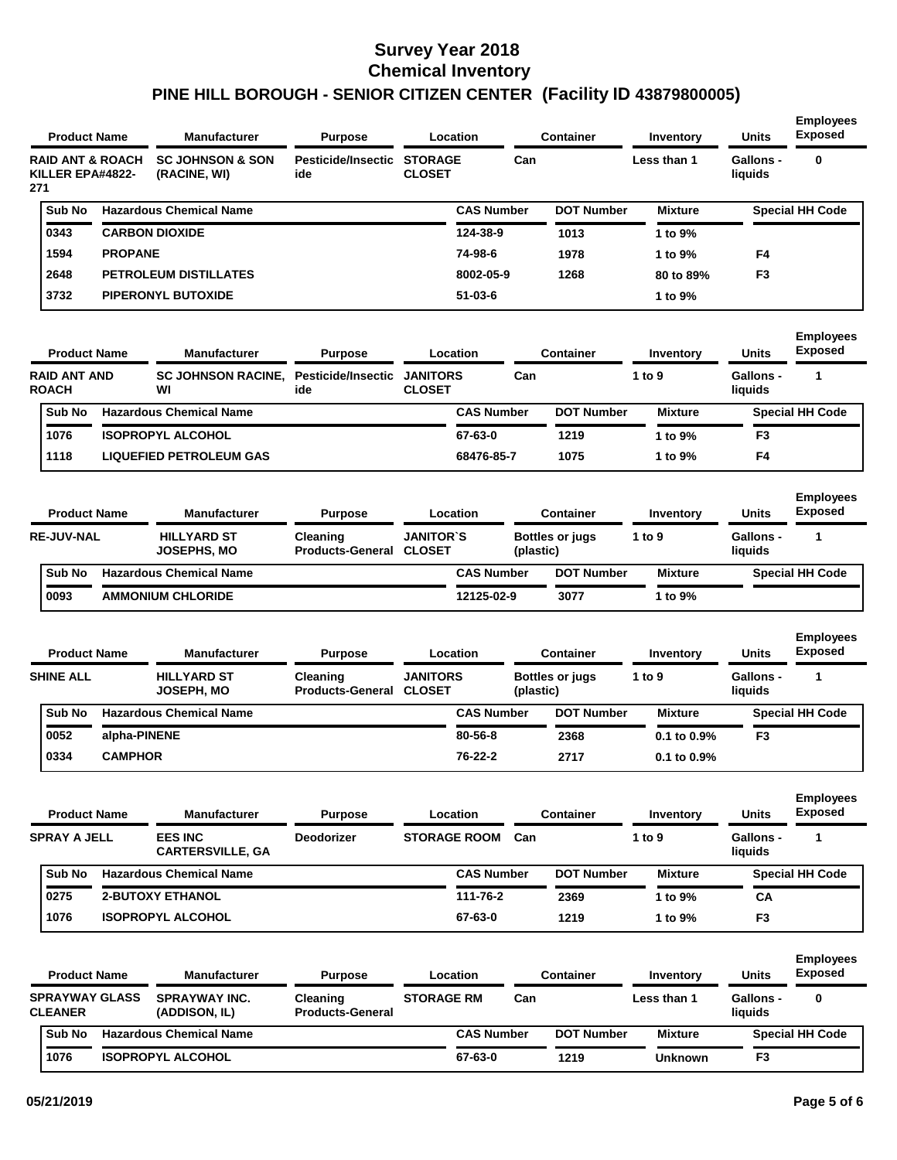| <b>Product Name</b>                                    |                | <b>Manufacturer</b>                              | <b>Purpose</b>                       |                                   | Location          |           | <b>Container</b>       | Inventory           | <b>Units</b>                     | <b>Employees</b><br><b>Exposed</b>      |
|--------------------------------------------------------|----------------|--------------------------------------------------|--------------------------------------|-----------------------------------|-------------------|-----------|------------------------|---------------------|----------------------------------|-----------------------------------------|
| <b>RAID ANT &amp; ROACH</b><br>KILLER EPA#4822-<br>271 |                | <b>SC JOHNSON &amp; SON</b><br>(RACINE, WI)      | Pesticide/Insectic<br>ide            | <b>STORAGE</b><br><b>CLOSET</b>   |                   | Can       |                        | Less than 1         | Gallons -<br>liquids             | $\bf{0}$                                |
| Sub No                                                 |                | <b>Hazardous Chemical Name</b>                   |                                      |                                   | <b>CAS Number</b> |           | <b>DOT Number</b>      | <b>Mixture</b>      |                                  | <b>Special HH Code</b>                  |
| 0343                                                   |                | <b>CARBON DIOXIDE</b>                            |                                      |                                   | 124-38-9          |           | 1013                   | 1 to 9%             |                                  |                                         |
| 1594                                                   | <b>PROPANE</b> |                                                  |                                      |                                   | 74-98-6           |           | 1978                   | 1 to 9%             | F4                               |                                         |
| 2648                                                   |                | <b>PETROLEUM DISTILLATES</b>                     |                                      |                                   | 8002-05-9         |           | 1268                   | 80 to 89%           | F <sub>3</sub>                   |                                         |
| 3732                                                   |                | <b>PIPERONYL BUTOXIDE</b>                        |                                      |                                   | $51 - 03 - 6$     |           |                        | 1 to 9%             |                                  |                                         |
| <b>Product Name</b><br><b>RAID ANT AND</b>             |                | <b>Manufacturer</b><br><b>SC JOHNSON RACINE.</b> | <b>Purpose</b><br>Pesticide/Insectic | <b>JANITORS</b>                   | Location          | Can       | <b>Container</b>       | Inventory<br>1 to 9 | <b>Units</b><br><b>Gallons -</b> | <b>Employees</b><br><b>Exposed</b><br>1 |
| <b>ROACH</b>                                           |                | WI                                               | ide                                  | <b>CLOSET</b>                     |                   |           |                        |                     | liquids                          |                                         |
| Sub No                                                 |                | <b>Hazardous Chemical Name</b>                   |                                      |                                   | <b>CAS Number</b> |           | <b>DOT Number</b>      | <b>Mixture</b>      |                                  | <b>Special HH Code</b>                  |
| 1076                                                   |                | <b>ISOPROPYL ALCOHOL</b>                         |                                      |                                   | 67-63-0           |           | 1219                   | 1 to 9%             | F <sub>3</sub>                   |                                         |
| 1118                                                   |                | <b>LIQUEFIED PETROLEUM GAS</b>                   |                                      |                                   | 68476-85-7        |           | 1075                   | 1 to 9%             | F4                               |                                         |
| <b>Product Name</b>                                    |                | <b>Manufacturer</b>                              | <b>Purpose</b>                       |                                   | Location          |           | <b>Container</b>       | Inventory           | <b>Units</b>                     | <b>Employees</b><br><b>Exposed</b>      |
| <b>RE-JUV-NAL</b>                                      |                | <b>HILLYARD ST</b><br>JOSEPHS. MO                | Cleaning<br><b>Products-General</b>  | <b>JANITOR'S</b><br><b>CLOSET</b> |                   | (plastic) | <b>Bottles or jugs</b> | 1 to 9              | Gallons -<br>liauids             | 1                                       |

|        | JOSEPHS, MO                    | <b>Products-General CLOSET</b> | (plastic)         |                   |                             | liquids                |
|--------|--------------------------------|--------------------------------|-------------------|-------------------|-----------------------------|------------------------|
| Sub No | <b>Hazardous Chemical Name</b> |                                | <b>CAS Number</b> | <b>DOT Number</b> | <b>Mixture</b>              | <b>Special HH Code</b> |
| 0093   | <b>AMMONIUM CHLORIDE</b>       |                                | 12125-02-9        | 3077              | $^{\circ}$ to 9% $^{\circ}$ |                        |

| <b>Product Name</b> | <b>Manufacturer</b>                     | <b>Purpose</b>                      |                                  | Location          |           | <b>Container</b>       | Inventory        | <b>Units</b>         | <b>Employees</b><br><b>Exposed</b> |
|---------------------|-----------------------------------------|-------------------------------------|----------------------------------|-------------------|-----------|------------------------|------------------|----------------------|------------------------------------|
| <b>SHINE ALL</b>    | <b>HILLYARD ST</b><br><b>JOSEPH. MO</b> | Cleaning<br><b>Products-General</b> | <b>JANITORS</b><br><b>CLOSET</b> |                   | (plastic) | <b>Bottles or jugs</b> | 1 to 9           | Gallons -<br>liauids |                                    |
| <b>Sub No</b>       | <b>Hazardous Chemical Name</b>          |                                     |                                  | <b>CAS Number</b> |           | <b>DOT Number</b>      | <b>Mixture</b>   |                      | <b>Special HH Code</b>             |
| 0052                | alpha-PINENE                            |                                     |                                  | 80-56-8           |           | 2368                   | $0.1$ to $0.9\%$ | F <sub>3</sub>       |                                    |
| 0334                | <b>CAMPHOR</b>                          |                                     |                                  | 76-22-2           |           | 2717                   | $0.1$ to $0.9\%$ |                      |                                    |

| <b>Product Name</b> | <b>Manufacturer</b>                       | <b>Purpose</b>    | Location            | Container |                   | Inventory      | <b>Units</b>         | <b>Employees</b><br><b>Exposed</b> |
|---------------------|-------------------------------------------|-------------------|---------------------|-----------|-------------------|----------------|----------------------|------------------------------------|
| <b>SPRAY A JELL</b> | <b>EES INC</b><br><b>CARTERSVILLE, GA</b> | <b>Deodorizer</b> | <b>STORAGE ROOM</b> | Can       |                   | 1 to $9$       | Gallons -<br>liauids |                                    |
| Sub No              | <b>Hazardous Chemical Name</b>            |                   | <b>CAS Number</b>   |           | <b>DOT Number</b> | <b>Mixture</b> |                      | <b>Special HH Code</b>             |
| 0275                | <b>2-BUTOXY ETHANOL</b>                   |                   | 111-76-2            |           | 2369              | 1 to 9%        | CА                   |                                    |
| 1076                | <b>ISOPROPYL ALCOHOL</b>                  |                   | 67-63-0             |           | 1219              | 1 to 9%        | F <sub>3</sub>       |                                    |

| <b>Product Name</b> |                                         | <b>Manufacturer</b><br><b>Purpose</b> |                                       |                                     | Location          |                   | <b>Container</b> | Inventory         | <b>Units</b>   | <b>Employees</b><br><b>Exposed</b> |                        |
|---------------------|-----------------------------------------|---------------------------------------|---------------------------------------|-------------------------------------|-------------------|-------------------|------------------|-------------------|----------------|------------------------------------|------------------------|
|                     | <b>SPRAYWAY GLASS</b><br><b>CLEANER</b> |                                       | <b>SPRAYWAY INC.</b><br>(ADDISON, IL) | Cleaning<br><b>Products-General</b> | <b>STORAGE RM</b> |                   | Can              |                   | Less than 1    | <b>Gallons -</b><br>liquids        | 0                      |
|                     | <b>Sub No</b>                           |                                       | <b>Hazardous Chemical Name</b>        |                                     |                   | <b>CAS Number</b> |                  | <b>DOT Number</b> | Mixture        |                                    | <b>Special HH Code</b> |
|                     | 1076                                    |                                       | <b>ISOPROPYL ALCOHOL</b>              |                                     |                   | 67-63-0           |                  | 1219              | <b>Unknown</b> | F <sub>3</sub>                     |                        |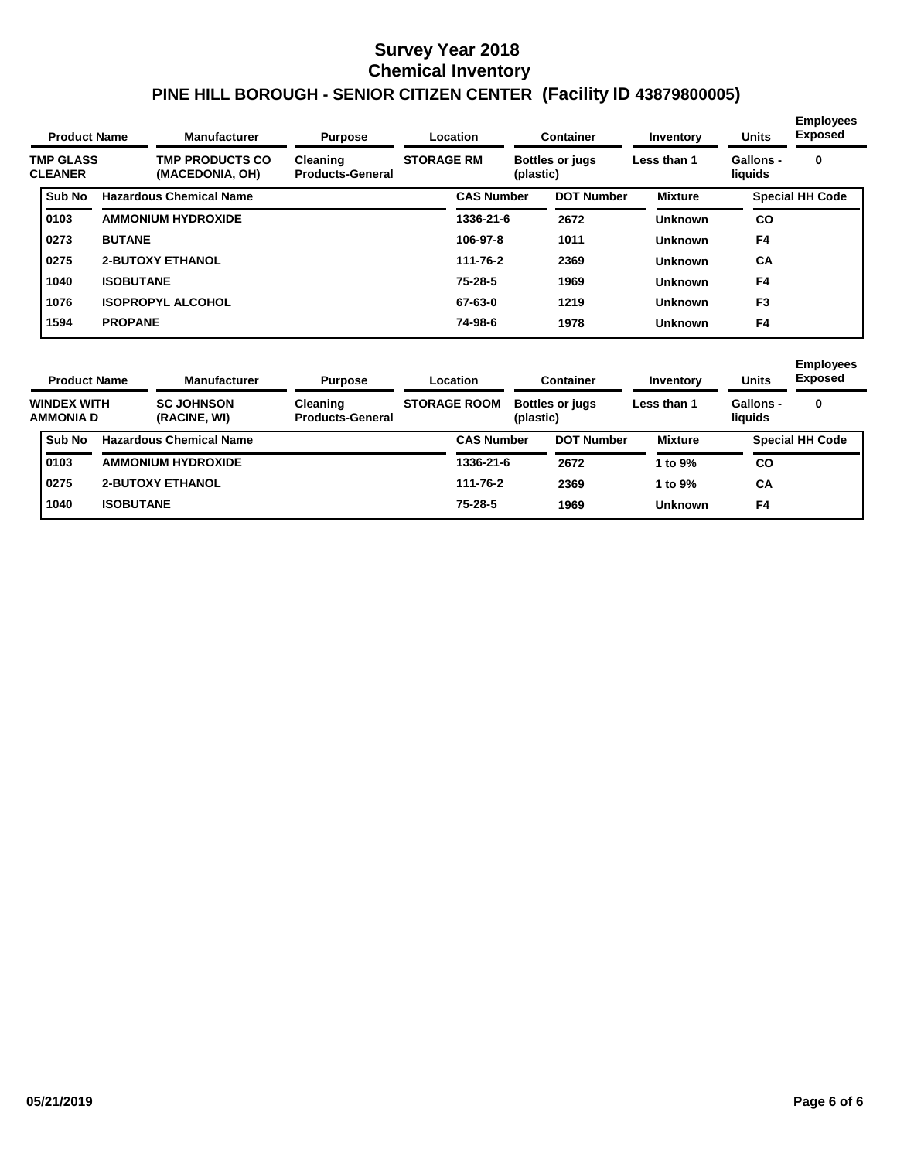| <b>Product Name</b>                |                  | <b>Manufacturer</b><br><b>Purpose</b>     |                                     | Location          | <b>Container</b>                    |                   | Inventory      | <b>Units</b>         | <b>Employees</b><br><b>Exposed</b> |
|------------------------------------|------------------|-------------------------------------------|-------------------------------------|-------------------|-------------------------------------|-------------------|----------------|----------------------|------------------------------------|
| <b>TMP GLASS</b><br><b>CLEANER</b> |                  | <b>TMP PRODUCTS CO</b><br>(MACEDONIA, OH) | Cleaning<br><b>Products-General</b> | <b>STORAGE RM</b> | <b>Bottles or jugs</b><br>(plastic) |                   | Less than 1    | Gallons -<br>liquids | 0                                  |
| <b>Sub No</b>                      |                  | <b>Hazardous Chemical Name</b>            |                                     | <b>CAS Number</b> |                                     | <b>DOT Number</b> | <b>Mixture</b> |                      | <b>Special HH Code</b>             |
| 0103                               |                  | <b>AMMONIUM HYDROXIDE</b>                 |                                     | 1336-21-6         |                                     | 2672              | <b>Unknown</b> | <b>CO</b>            |                                    |
| 0273                               | <b>BUTANE</b>    |                                           |                                     | 106-97-8          |                                     | 1011              | <b>Unknown</b> | F4                   |                                    |
| 0275                               |                  | <b>2-BUTOXY ETHANOL</b>                   |                                     | 111-76-2          |                                     | 2369              | <b>Unknown</b> | <b>CA</b>            |                                    |
| 1040                               | <b>ISOBUTANE</b> |                                           |                                     | $75 - 28 - 5$     |                                     | 1969              | <b>Unknown</b> | F4                   |                                    |
| 1076                               |                  | <b>ISOPROPYL ALCOHOL</b>                  |                                     | 67-63-0           |                                     | 1219              | <b>Unknown</b> | F <sub>3</sub>       |                                    |
| 1594                               | <b>PROPANE</b>   |                                           |                                     | 74-98-6           |                                     | 1978              | <b>Unknown</b> | F4                   |                                    |

|  | <b>Product Name</b><br><b>WINDEX WITH</b><br><b>AMMONIA D</b> |                  | <b>Manufacturer</b>               | <b>Purpose</b>                      |                     | Location          |                                     | Container         | Inventory      | <b>Units</b>         | <b>Employees</b><br><b>Exposed</b> |
|--|---------------------------------------------------------------|------------------|-----------------------------------|-------------------------------------|---------------------|-------------------|-------------------------------------|-------------------|----------------|----------------------|------------------------------------|
|  |                                                               |                  | <b>SC JOHNSON</b><br>(RACINE, WI) | Cleaning<br><b>Products-General</b> | <b>STORAGE ROOM</b> |                   | <b>Bottles or jugs</b><br>(plastic) |                   | Less than 1    | Gallons -<br>liauids | 0                                  |
|  | Sub No                                                        |                  | <b>Hazardous Chemical Name</b>    |                                     |                     | <b>CAS Number</b> |                                     | <b>DOT Number</b> | <b>Mixture</b> |                      | <b>Special HH Code</b>             |
|  | 0103                                                          |                  | <b>AMMONIUM HYDROXIDE</b>         |                                     |                     | 1336-21-6         |                                     | 2672              | 1 to $9\%$     | CO                   |                                    |
|  | 0275                                                          |                  | <b>2-BUTOXY ETHANOL</b>           |                                     |                     | 111-76-2          |                                     | 2369              | 1 to $9\%$     | CA                   |                                    |
|  | 1040                                                          | <b>ISOBUTANE</b> |                                   |                                     |                     | $75 - 28 - 5$     |                                     | 1969              | Unknown        | F4                   |                                    |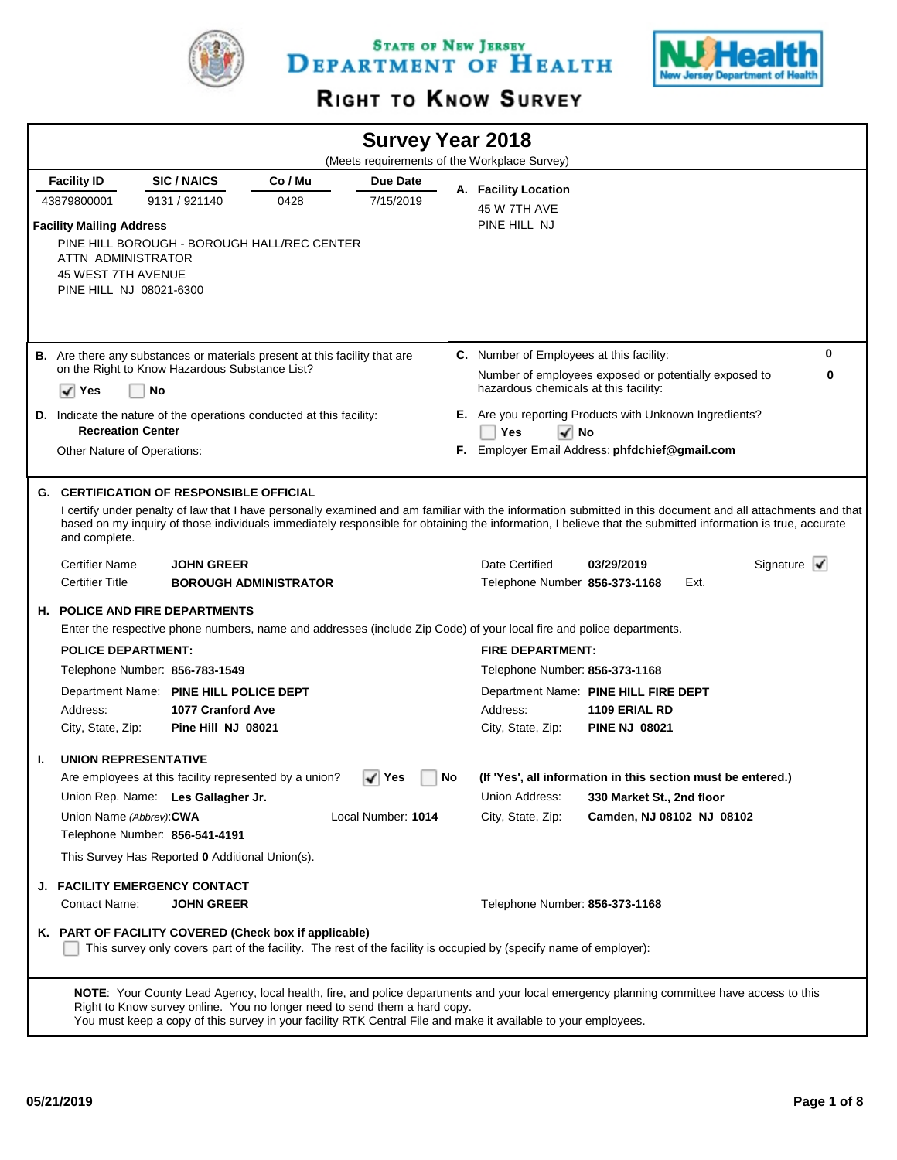

STATE OF NEW JERSEY DEPARTMENT OF HEALTH



# RIGHT TO KNOW SURVEY

|    |                                                                                                                                                                                                               |                                         |                              |                                                 |    | <b>Survey Year 2018</b><br>(Meets requirements of the Workplace Survey)                                              |                                                                                                                                                                                                                                                                                                                                                 |                                            |
|----|---------------------------------------------------------------------------------------------------------------------------------------------------------------------------------------------------------------|-----------------------------------------|------------------------------|-------------------------------------------------|----|----------------------------------------------------------------------------------------------------------------------|-------------------------------------------------------------------------------------------------------------------------------------------------------------------------------------------------------------------------------------------------------------------------------------------------------------------------------------------------|--------------------------------------------|
|    |                                                                                                                                                                                                               |                                         |                              |                                                 |    |                                                                                                                      |                                                                                                                                                                                                                                                                                                                                                 |                                            |
|    | <b>Facility ID</b><br>43879800001                                                                                                                                                                             | <b>SIC/NAICS</b><br>9131 / 921140       | Co / Mu<br>0428              | Due Date<br>7/15/2019                           |    | A. Facility Location                                                                                                 |                                                                                                                                                                                                                                                                                                                                                 |                                            |
|    | <b>Facility Mailing Address</b><br>PINE HILL BOROUGH - BOROUGH HALL/REC CENTER<br>ATTN ADMINISTRATOR<br>45 WEST 7TH AVENUE<br>PINE HILL NJ 08021-6300                                                         |                                         |                              |                                                 |    | 45 W 7TH AVE<br>PINE HILL NJ                                                                                         |                                                                                                                                                                                                                                                                                                                                                 |                                            |
|    | <b>B.</b> Are there any substances or materials present at this facility that are<br>on the Right to Know Hazardous Substance List?<br>No<br>√∣ Yes                                                           |                                         |                              |                                                 |    | <b>C.</b> Number of Employees at this facility:<br>hazardous chemicals at this facility:                             | Number of employees exposed or potentially exposed to                                                                                                                                                                                                                                                                                           | 0<br>0                                     |
|    | <b>D.</b> Indicate the nature of the operations conducted at this facility:<br><b>Recreation Center</b><br>Other Nature of Operations:                                                                        |                                         |                              |                                                 |    | Yes<br>√ No                                                                                                          | E. Are you reporting Products with Unknown Ingredients?<br>F. Employer Email Address: phfdchief@gmail.com                                                                                                                                                                                                                                       |                                            |
|    | <b>G. CERTIFICATION OF RESPONSIBLE OFFICIAL</b><br>and complete.<br><b>Certifier Name</b><br><b>Certifier Title</b>                                                                                           | <b>JOHN GREER</b>                       | <b>BOROUGH ADMINISTRATOR</b> |                                                 |    | Date Certified<br>Telephone Number 856-373-1168                                                                      | I certify under penalty of law that I have personally examined and am familiar with the information submitted in this document and all attachments and that<br>based on my inquiry of those individuals immediately responsible for obtaining the information, I believe that the submitted information is true, accurate<br>03/29/2019<br>Ext. | Signature $\vert \blacktriangleleft \vert$ |
|    | <b>H. POLICE AND FIRE DEPARTMENTS</b>                                                                                                                                                                         |                                         |                              |                                                 |    | Enter the respective phone numbers, name and addresses (include Zip Code) of your local fire and police departments. |                                                                                                                                                                                                                                                                                                                                                 |                                            |
|    | <b>POLICE DEPARTMENT:</b>                                                                                                                                                                                     |                                         |                              |                                                 |    | <b>FIRE DEPARTMENT:</b>                                                                                              |                                                                                                                                                                                                                                                                                                                                                 |                                            |
|    | Telephone Number: 856-783-1549                                                                                                                                                                                |                                         |                              |                                                 |    | Telephone Number: 856-373-1168                                                                                       |                                                                                                                                                                                                                                                                                                                                                 |                                            |
|    | Department Name: PINE HILL POLICE DEPT<br>Address:<br>City, State, Zip:                                                                                                                                       | 1077 Cranford Ave<br>Pine Hill NJ 08021 |                              |                                                 |    | Address:<br>City, State, Zip:                                                                                        | Department Name: PINE HILL FIRE DEPT<br>1109 ERIAL RD<br><b>PINE NJ 08021</b>                                                                                                                                                                                                                                                                   |                                            |
| ı. | <b>UNION REPRESENTATIVE</b>                                                                                                                                                                                   |                                         |                              |                                                 |    |                                                                                                                      |                                                                                                                                                                                                                                                                                                                                                 |                                            |
|    | Are employees at this facility represented by a union?<br>Union Rep. Name: Les Gallagher Jr.<br>Union Name (Abbrev): CWA<br>Telephone Number: 856-541-4191<br>This Survey Has Reported 0 Additional Union(s). |                                         |                              | $\blacktriangleright$ Yes<br>Local Number: 1014 | No | Union Address:<br>City, State, Zip:                                                                                  | (If 'Yes', all information in this section must be entered.)<br>330 Market St., 2nd floor<br>Camden, NJ 08102 NJ 08102                                                                                                                                                                                                                          |                                            |
|    | J. FACILITY EMERGENCY CONTACT<br>Contact Name:                                                                                                                                                                | <b>JOHN GREER</b>                       |                              |                                                 |    | Telephone Number: 856-373-1168                                                                                       |                                                                                                                                                                                                                                                                                                                                                 |                                            |
|    | K. PART OF FACILITY COVERED (Check box if applicable)                                                                                                                                                         |                                         |                              |                                                 |    | This survey only covers part of the facility. The rest of the facility is occupied by (specify name of employer):    |                                                                                                                                                                                                                                                                                                                                                 |                                            |
|    | Right to Know survey online. You no longer need to send them a hard copy.                                                                                                                                     |                                         |                              |                                                 |    | You must keep a copy of this survey in your facility RTK Central File and make it available to your employees.       | NOTE: Your County Lead Agency, local health, fire, and police departments and your local emergency planning committee have access to this                                                                                                                                                                                                       |                                            |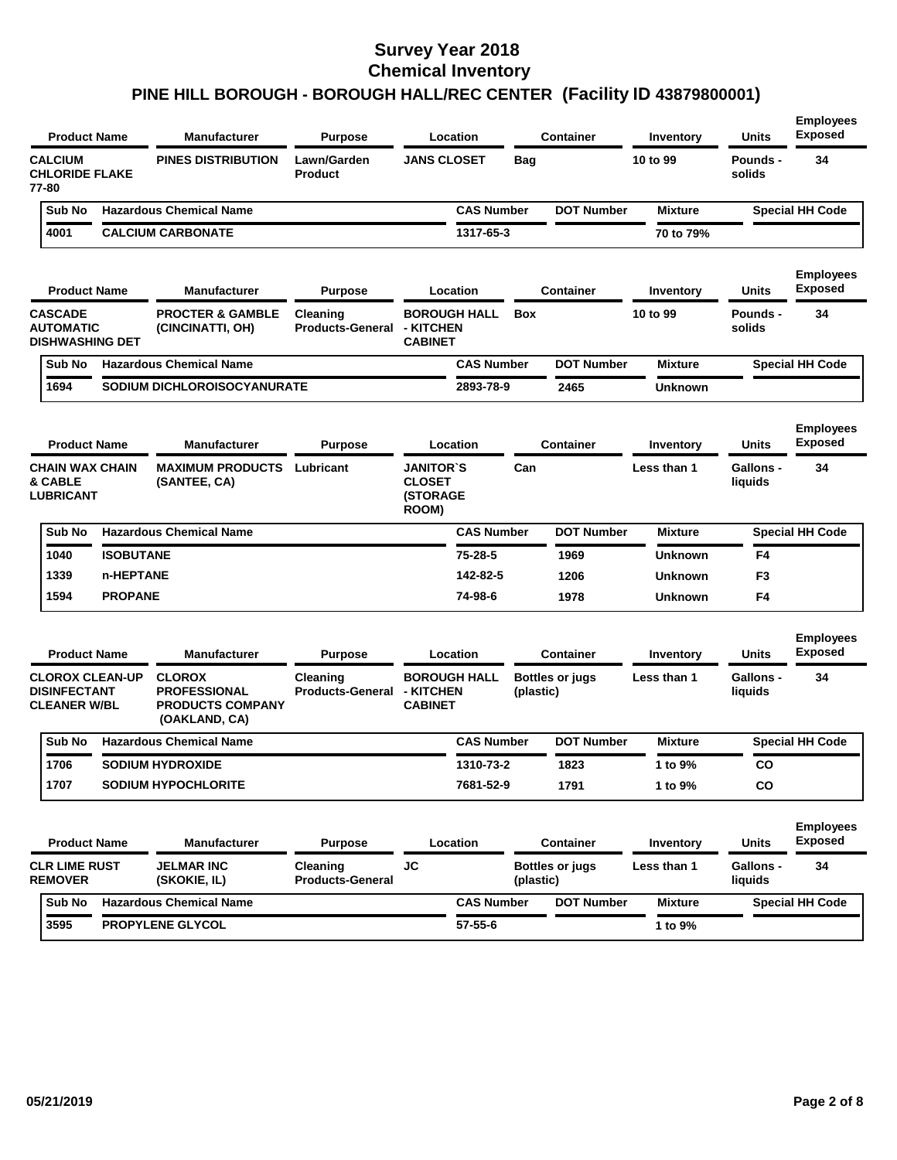| <b>Product Name</b>                                                  |                  | <b>Manufacturer</b>                                                              | <b>Purpose</b>                      | Location                                                      |            | <b>Container</b>       | Inventory        | <b>Units</b>                | <b>Employees</b><br><b>Exposed</b> |
|----------------------------------------------------------------------|------------------|----------------------------------------------------------------------------------|-------------------------------------|---------------------------------------------------------------|------------|------------------------|------------------|-----------------------------|------------------------------------|
| <b>CALCIUM</b><br><b>CHLORIDE FLAKE</b><br>77-80                     |                  | <b>PINES DISTRIBUTION</b>                                                        | Lawn/Garden<br><b>Product</b>       | <b>JANS CLOSET</b>                                            | <b>Bag</b> |                        | 10 to 99         | Pounds -<br>solids          | 34                                 |
| Sub No                                                               |                  | <b>Hazardous Chemical Name</b>                                                   |                                     | <b>CAS Number</b>                                             |            | <b>DOT Number</b>      | <b>Mixture</b>   |                             | <b>Special HH Code</b>             |
| 4001                                                                 |                  | <b>CALCIUM CARBONATE</b>                                                         |                                     | 1317-65-3                                                     |            |                        | 70 to 79%        |                             |                                    |
| <b>Product Name</b>                                                  |                  | <b>Manufacturer</b>                                                              | <b>Purpose</b>                      | Location                                                      |            | <b>Container</b>       | Inventory        | Units                       | <b>Employees</b><br><b>Exposed</b> |
| <b>CASCADE</b><br><b>AUTOMATIC</b><br><b>DISHWASHING DET</b>         |                  | <b>PROCTER &amp; GAMBLE</b><br>(CINCINATTI, OH)                                  | Cleaning<br><b>Products-General</b> | <b>BOROUGH HALL</b><br>- KITCHEN<br><b>CABINET</b>            | <b>Box</b> |                        | 10 to 99         | Pounds -<br>solids          | 34                                 |
| Sub No                                                               |                  | <b>Hazardous Chemical Name</b>                                                   |                                     | <b>CAS Number</b>                                             |            | <b>DOT Number</b>      | <b>Mixture</b>   |                             | <b>Special HH Code</b>             |
| 1694                                                                 |                  | SODIUM DICHLOROISOCYANURATE                                                      |                                     | 2893-78-9                                                     |            | 2465                   | Unknown          |                             |                                    |
| <b>Product Name</b>                                                  |                  | <b>Manufacturer</b>                                                              | <b>Purpose</b>                      | Location                                                      |            | <b>Container</b>       | <b>Inventory</b> | Units                       | <b>Employees</b><br><b>Exposed</b> |
| <b>CHAIN WAX CHAIN</b><br>& CABLE<br><b>LUBRICANT</b>                |                  | <b>MAXIMUM PRODUCTS</b><br>(SANTEE, CA)                                          | Lubricant                           | <b>JANITOR'S</b><br><b>CLOSET</b><br><b>(STORAGE</b><br>ROOM) | Can        |                        | Less than 1      | <b>Gallons -</b><br>liquids | 34                                 |
| Sub No                                                               |                  | <b>Hazardous Chemical Name</b>                                                   |                                     | <b>CAS Number</b>                                             |            | <b>DOT Number</b>      | <b>Mixture</b>   |                             | <b>Special HH Code</b>             |
| 1040                                                                 | <b>ISOBUTANE</b> |                                                                                  |                                     | 75-28-5                                                       |            | 1969                   | Unknown          | F4                          |                                    |
| 1339                                                                 | n-HEPTANE        |                                                                                  |                                     | 142-82-5                                                      |            | 1206                   | <b>Unknown</b>   | F3                          |                                    |
| 1594                                                                 | <b>PROPANE</b>   |                                                                                  |                                     | 74-98-6                                                       |            | 1978                   | Unknown          | F4                          |                                    |
| <b>Product Name</b>                                                  |                  | <b>Manufacturer</b>                                                              | <b>Purpose</b>                      | Location                                                      |            | <b>Container</b>       | Inventory        | <b>Units</b>                | <b>Employees</b><br><b>Exposed</b> |
| <b>CLOROX CLEAN-UP</b><br><b>DISINFECTANT</b><br><b>CLEANER W/BL</b> |                  | <b>CLOROX</b><br><b>PROFESSIONAL</b><br><b>PRODUCTS COMPANY</b><br>(OAKLAND, CA) | Cleaning<br><b>Products-General</b> | <b>BOROUGH HALL</b><br>- KITCHEN<br><b>CABINET</b>            | (plastic)  | <b>Bottles or jugs</b> | Less than 1      | <b>Gallons -</b><br>liquids | 34                                 |
| Sub No                                                               |                  | <b>Hazardous Chemical Name</b>                                                   |                                     | <b>CAS Number</b>                                             |            | <b>DOT Number</b>      | <b>Mixture</b>   |                             | <b>Special HH Code</b>             |
| 1706                                                                 |                  | SODIUM HYDROXIDE                                                                 |                                     | 1310-73-2                                                     |            | 1823                   | 1 to 9%          | CO                          |                                    |
| 1707                                                                 |                  | <b>SODIUM HYPOCHLORITE</b>                                                       |                                     | 7681-52-9                                                     |            | 1791                   | 1 to 9%          | co                          |                                    |
| <b>Product Name</b>                                                  |                  | <b>Manufacturer</b>                                                              | <b>Purpose</b>                      | Location                                                      |            | <b>Container</b>       | Inventory        | Units                       | <b>Employees</b><br><b>Exposed</b> |
| <b>CLR LIME RUST</b><br><b>REMOVER</b>                               |                  | <b>JELMAR INC</b><br>(SKOKIE, IL)                                                | Cleaning<br><b>Products-General</b> | <b>JC</b>                                                     | (plastic)  | <b>Bottles or jugs</b> | Less than 1      | <b>Gallons -</b><br>liquids | 34                                 |
| Sub No                                                               |                  | <b>Hazardous Chemical Name</b>                                                   |                                     | <b>CAS Number</b>                                             |            | <b>DOT Number</b>      | <b>Mixture</b>   |                             | <b>Special HH Code</b>             |
| 3595                                                                 |                  | PROPYLENE GLYCOL                                                                 |                                     | $57 - 55 - 6$                                                 |            |                        | 1 to 9%          |                             |                                    |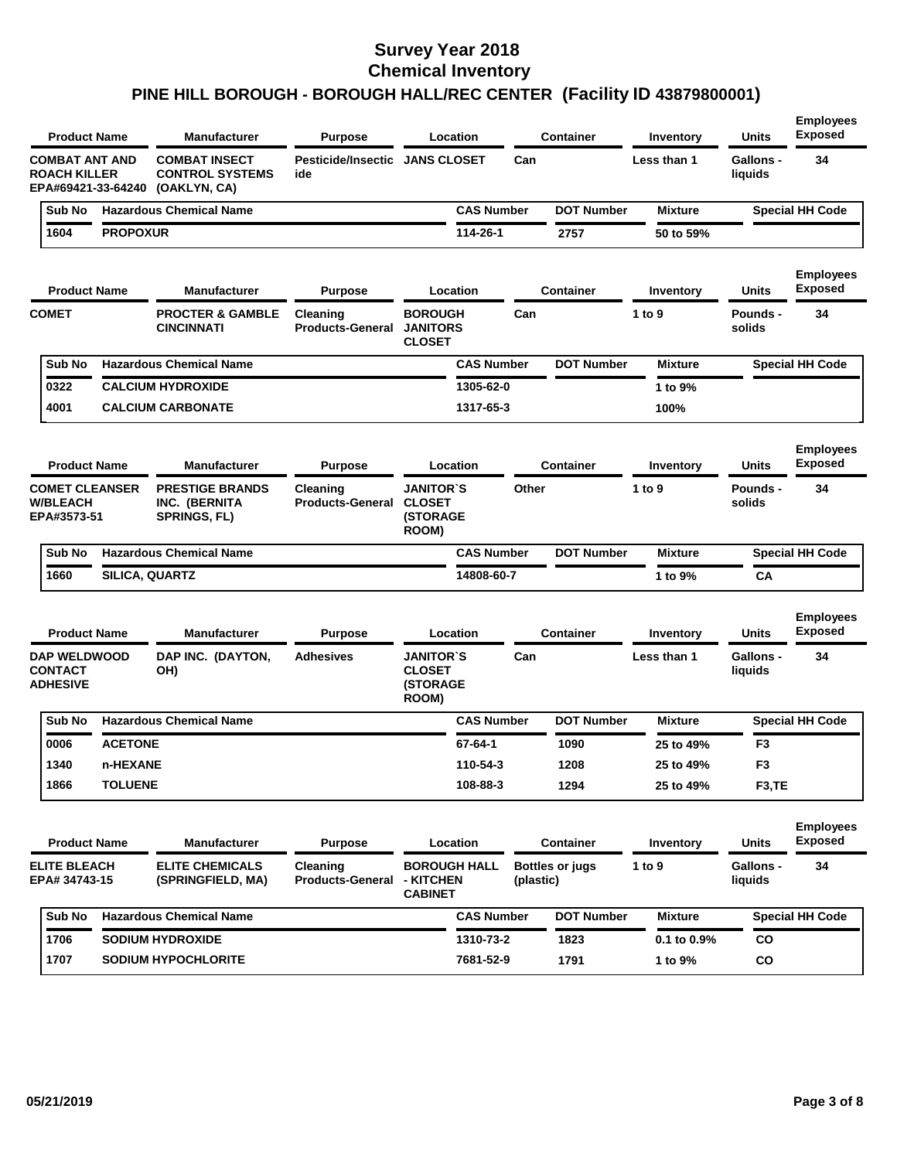| <b>Product Name</b>                                                |                 | <b>Manufacturer</b>                                            | <b>Purpose</b>                               | Location                                                      |                   |           | <b>Container</b>       | Inventory        | Units                       | <b>Exposed</b>                     |
|--------------------------------------------------------------------|-----------------|----------------------------------------------------------------|----------------------------------------------|---------------------------------------------------------------|-------------------|-----------|------------------------|------------------|-----------------------------|------------------------------------|
| <b>COMBAT ANT AND</b><br><b>ROACH KILLER</b><br>EPA#69421-33-64240 |                 | <b>COMBAT INSECT</b><br><b>CONTROL SYSTEMS</b><br>(OAKLYN, CA) | <b>Pesticide/Insectic JANS CLOSET</b><br>ide |                                                               |                   | Can       |                        | Less than 1      | <b>Gallons -</b><br>liquids | 34                                 |
| Sub No                                                             |                 | <b>Hazardous Chemical Name</b>                                 |                                              |                                                               | <b>CAS Number</b> |           | <b>DOT Number</b>      | <b>Mixture</b>   |                             | <b>Special HH Code</b>             |
| 1604                                                               | <b>PROPOXUR</b> |                                                                |                                              |                                                               | 114-26-1          |           | 2757                   | 50 to 59%        |                             |                                    |
| <b>Product Name</b>                                                |                 | <b>Manufacturer</b>                                            | <b>Purpose</b>                               | Location                                                      |                   |           | <b>Container</b>       | Inventory        | <b>Units</b>                | <b>Employees</b><br><b>Exposed</b> |
| <b>COMET</b>                                                       |                 | <b>PROCTER &amp; GAMBLE</b><br><b>CINCINNATI</b>               | Cleaning<br><b>Products-General</b>          | <b>BOROUGH</b><br><b>JANITORS</b><br><b>CLOSET</b>            |                   | Can       |                        | 1 to 9           | <b>Pounds -</b><br>solids   | 34                                 |
| Sub No                                                             |                 | <b>Hazardous Chemical Name</b>                                 |                                              |                                                               | <b>CAS Number</b> |           | <b>DOT Number</b>      | <b>Mixture</b>   |                             | <b>Special HH Code</b>             |
| 0322                                                               |                 | <b>CALCIUM HYDROXIDE</b>                                       |                                              |                                                               | 1305-62-0         |           |                        | 1 to 9%          |                             |                                    |
| 4001                                                               |                 | <b>CALCIUM CARBONATE</b>                                       |                                              |                                                               | 1317-65-3         |           |                        | 100%             |                             |                                    |
| <b>Product Name</b>                                                |                 | <b>Manufacturer</b>                                            | <b>Purpose</b>                               | Location                                                      |                   |           | <b>Container</b>       | Inventory        | <b>Units</b>                | <b>Employees</b><br><b>Exposed</b> |
| <b>COMET CLEANSER</b><br><b>W/BLEACH</b><br>EPA#3573-51            |                 | <b>PRESTIGE BRANDS</b><br>INC. (BERNITA<br><b>SPRINGS, FL)</b> | Cleaning<br><b>Products-General</b>          | <b>JANITOR`S</b><br><b>CLOSET</b><br><b>(STORAGE</b><br>ROOM) |                   | Other     |                        | 1 to 9           | <b>Pounds -</b><br>solids   | 34                                 |
| Sub No                                                             |                 | <b>Hazardous Chemical Name</b>                                 |                                              |                                                               | <b>CAS Number</b> |           | <b>DOT Number</b>      | <b>Mixture</b>   |                             | <b>Special HH Code</b>             |
| 1660                                                               | SILICA, QUARTZ  |                                                                |                                              |                                                               | 14808-60-7        |           |                        | 1 to 9%          | CА                          |                                    |
| <b>Product Name</b>                                                |                 | <b>Manufacturer</b>                                            | <b>Purpose</b>                               | Location                                                      |                   |           | <b>Container</b>       | Inventory        | <b>Units</b>                | <b>Employees</b><br><b>Exposed</b> |
| <b>DAP WELDWOOD</b><br><b>CONTACT</b><br><b>ADHESIVE</b>           |                 | DAP INC. (DAYTON,<br>OH)                                       | <b>Adhesives</b>                             | <b>JANITOR`S</b><br><b>CLOSET</b><br><b>(STORAGE</b><br>ROOM) |                   | Can       |                        | Less than 1      | <b>Gallons -</b><br>liquids | 34                                 |
| Sub No                                                             |                 | <b>Hazardous Chemical Name</b>                                 |                                              |                                                               | <b>CAS Number</b> |           | <b>DOT Number</b>      | <b>Mixture</b>   |                             | <b>Special HH Code</b>             |
| 0006                                                               | <b>ACETONE</b>  |                                                                |                                              |                                                               | 67-64-1           |           | 1090                   | 25 to 49%        | F <sub>3</sub>              |                                    |
| 1340                                                               | n-HEXANE        |                                                                |                                              |                                                               | 110-54-3          |           | 1208                   | 25 to 49%        | F3                          |                                    |
| 1866                                                               | <b>TOLUENE</b>  |                                                                |                                              |                                                               | 108-88-3          |           | 1294                   | 25 to 49%        | F3,TE                       |                                    |
| <b>Product Name</b>                                                |                 | <b>Manufacturer</b>                                            | <b>Purpose</b>                               | Location                                                      |                   |           | <b>Container</b>       | Inventory        | Units                       | <b>Employees</b><br><b>Exposed</b> |
| <b>ELITE BLEACH</b><br>EPA# 34743-15                               |                 | <b>ELITE CHEMICALS</b><br>(SPRINGFIELD, MA)                    | Cleaning<br><b>Products-General</b>          | <b>BOROUGH HALL</b><br>- KITCHEN<br><b>CABINET</b>            |                   | (plastic) | <b>Bottles or jugs</b> | 1 to 9           | Gallons -<br>liquids        | 34                                 |
|                                                                    |                 |                                                                |                                              |                                                               |                   |           | <b>DOT Number</b>      | <b>Mixture</b>   |                             | <b>Special HH Code</b>             |
| Sub No                                                             |                 | <b>Hazardous Chemical Name</b>                                 |                                              |                                                               | <b>CAS Number</b> |           |                        |                  |                             |                                    |
| 1706                                                               |                 | <b>SODIUM HYDROXIDE</b>                                        |                                              |                                                               | 1310-73-2         |           | 1823                   | $0.1$ to $0.9\%$ | CO                          |                                    |

**Employees**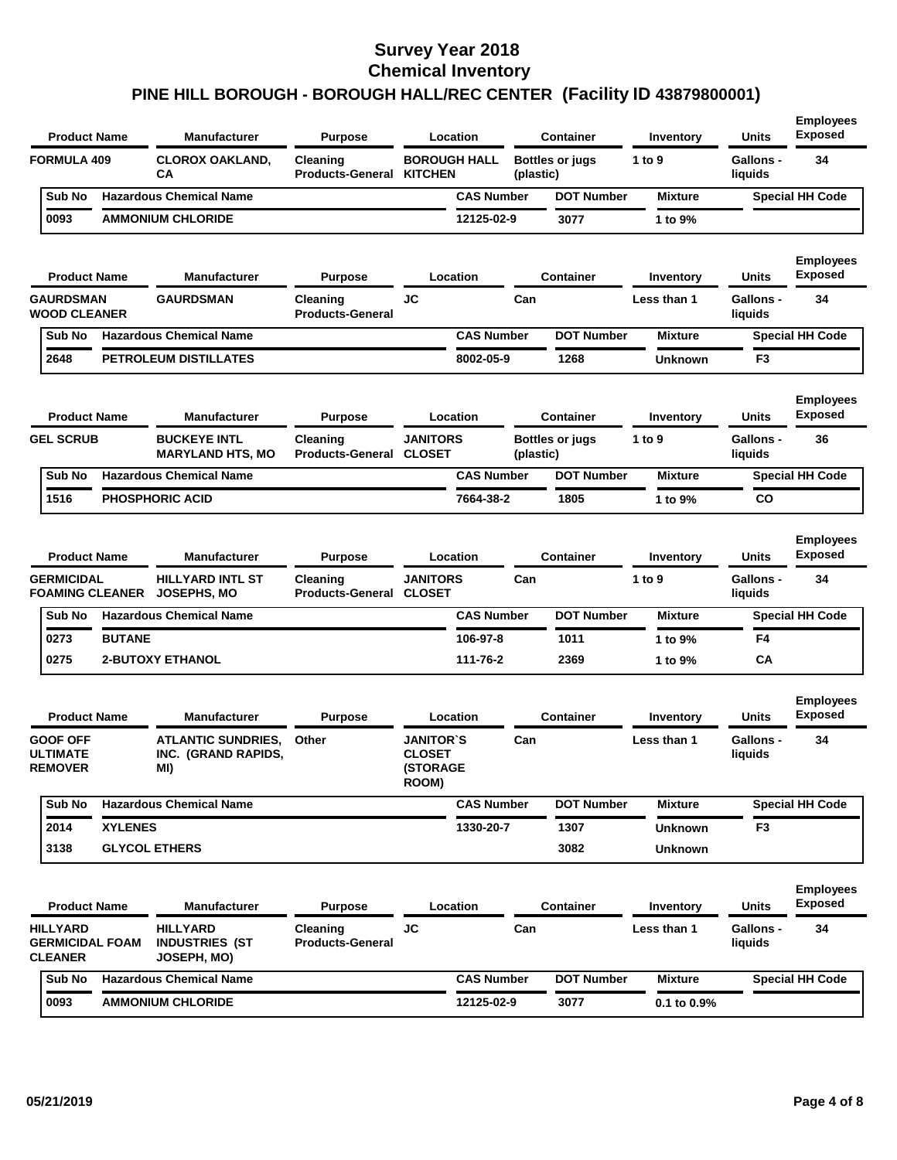| <b>Product Name</b>                                         |                | <b>Manufacturer</b>                                     | <b>Purpose</b>                      |                                                               | Location            |           | Container              | Inventory        | <b>Units</b>                | <b>Employees</b><br><b>Exposed</b> |
|-------------------------------------------------------------|----------------|---------------------------------------------------------|-------------------------------------|---------------------------------------------------------------|---------------------|-----------|------------------------|------------------|-----------------------------|------------------------------------|
| <b>FORMULA 409</b>                                          |                | <b>CLOROX OAKLAND,</b><br>СA                            | Cleaning<br><b>Products-General</b> | <b>KITCHEN</b>                                                | <b>BOROUGH HALL</b> | (plastic) | <b>Bottles or jugs</b> | 1 to $9$         | <b>Gallons -</b><br>liquids | 34                                 |
| Sub No                                                      |                | <b>Hazardous Chemical Name</b>                          |                                     |                                                               | <b>CAS Number</b>   |           | <b>DOT Number</b>      | <b>Mixture</b>   |                             | <b>Special HH Code</b>             |
| 0093                                                        |                | <b>AMMONIUM CHLORIDE</b>                                |                                     |                                                               | 12125-02-9          |           | 3077                   | 1 to 9%          |                             |                                    |
| <b>Product Name</b>                                         |                | <b>Manufacturer</b>                                     | <b>Purpose</b>                      |                                                               | Location            |           | Container              | Inventory        | Units                       | <b>Employees</b><br><b>Exposed</b> |
| <b>GAURDSMAN</b><br><b>WOOD CLEANER</b>                     |                | <b>GAURDSMAN</b>                                        | Cleaning<br><b>Products-General</b> | JC                                                            |                     | Can       |                        | Less than 1      | <b>Gallons -</b><br>liquids | 34                                 |
| Sub No                                                      |                | <b>Hazardous Chemical Name</b>                          |                                     |                                                               | <b>CAS Number</b>   |           | <b>DOT Number</b>      | <b>Mixture</b>   |                             | <b>Special HH Code</b>             |
| 2648                                                        |                | PETROLEUM DISTILLATES                                   |                                     |                                                               | 8002-05-9           |           | 1268                   | Unknown          | F <sub>3</sub>              |                                    |
| <b>Product Name</b>                                         |                | <b>Manufacturer</b>                                     | <b>Purpose</b>                      |                                                               | Location            |           | <b>Container</b>       | Inventory        | Units                       | <b>Employees</b><br><b>Exposed</b> |
| <b>GEL SCRUB</b>                                            |                | <b>BUCKEYE INTL</b><br><b>MARYLAND HTS, MO</b>          | Cleaning<br><b>Products-General</b> | <b>JANITORS</b><br><b>CLOSET</b>                              |                     | (plastic) | <b>Bottles or jugs</b> | 1 to 9           | Gallons -<br>liquids        | 36                                 |
| Sub No                                                      |                | <b>Hazardous Chemical Name</b>                          |                                     |                                                               | <b>CAS Number</b>   |           | <b>DOT Number</b>      | <b>Mixture</b>   |                             | <b>Special HH Code</b>             |
| 1516                                                        |                | <b>PHOSPHORIC ACID</b>                                  |                                     |                                                               | 7664-38-2           |           | 1805                   | 1 to 9%          | CO                          |                                    |
| <b>Product Name</b>                                         |                | <b>Manufacturer</b>                                     | <b>Purpose</b>                      |                                                               | Location            |           | <b>Container</b>       | Inventory        | <b>Units</b>                | <b>Employees</b><br><b>Exposed</b> |
| <b>GERMICIDAL</b><br><b>FOAMING CLEANER</b>                 |                | <b>HILLYARD INTL ST</b><br>JOSEPHS, MO                  | Cleaning<br><b>Products-General</b> | <b>JANITORS</b><br><b>CLOSET</b>                              |                     | Can       |                        | 1 to 9           | <b>Gallons -</b><br>liquids | 34                                 |
| Sub No                                                      |                | <b>Hazardous Chemical Name</b>                          |                                     |                                                               | <b>CAS Number</b>   |           | <b>DOT Number</b>      | <b>Mixture</b>   |                             | <b>Special HH Code</b>             |
| 0273                                                        | <b>BUTANE</b>  |                                                         |                                     |                                                               | 106-97-8            |           | 1011                   | 1 to 9%          | F4                          |                                    |
| 0275                                                        |                | <b>2-BUTOXY ETHANOL</b>                                 |                                     |                                                               | 111-76-2            |           | 2369                   | 1 to 9%          | <b>CA</b>                   |                                    |
| <b>Product Name</b>                                         |                | <b>Manufacturer</b>                                     | <b>Purpose</b>                      |                                                               | Location            |           | <b>Container</b>       | Inventory        | Units                       | <b>Employees</b><br>Exposed        |
| <b>GOOF OFF</b><br><b>ULTIMATE</b><br><b>REMOVER</b>        |                | <b>ATLANTIC SUNDRIES,</b><br>INC. (GRAND RAPIDS,<br>MI) | Other                               | <b>JANITOR`S</b><br><b>CLOSET</b><br><b>(STORAGE</b><br>ROOM) |                     | Can       |                        | Less than 1      | <b>Gallons -</b><br>liquids | 34                                 |
| Sub No                                                      |                | <b>Hazardous Chemical Name</b>                          |                                     |                                                               | <b>CAS Number</b>   |           | <b>DOT Number</b>      | <b>Mixture</b>   |                             | <b>Special HH Code</b>             |
| 2014                                                        | <b>XYLENES</b> |                                                         |                                     |                                                               | 1330-20-7           |           | 1307                   | <b>Unknown</b>   | F3                          |                                    |
| 3138                                                        |                | <b>GLYCOL ETHERS</b>                                    |                                     |                                                               |                     |           | 3082                   | Unknown          |                             |                                    |
| <b>Product Name</b>                                         |                | <b>Manufacturer</b>                                     | <b>Purpose</b>                      |                                                               | Location            |           | <b>Container</b>       | Inventory        | <b>Units</b>                | <b>Employees</b><br><b>Exposed</b> |
| <b>HILLYARD</b><br><b>GERMICIDAL FOAM</b><br><b>CLEANER</b> |                | <b>HILLYARD</b><br><b>INDUSTRIES (ST</b><br>JOSEPH, MO) | Cleaning<br><b>Products-General</b> | <b>JC</b>                                                     |                     | Can       |                        | Less than 1      | Gallons -<br>liquids        | 34                                 |
| Sub No                                                      |                | <b>Hazardous Chemical Name</b>                          |                                     |                                                               | <b>CAS Number</b>   |           | <b>DOT Number</b>      | <b>Mixture</b>   |                             | <b>Special HH Code</b>             |
| 0093                                                        |                | <b>AMMONIUM CHLORIDE</b>                                |                                     |                                                               | 12125-02-9          |           | 3077                   | $0.1$ to $0.9\%$ |                             |                                    |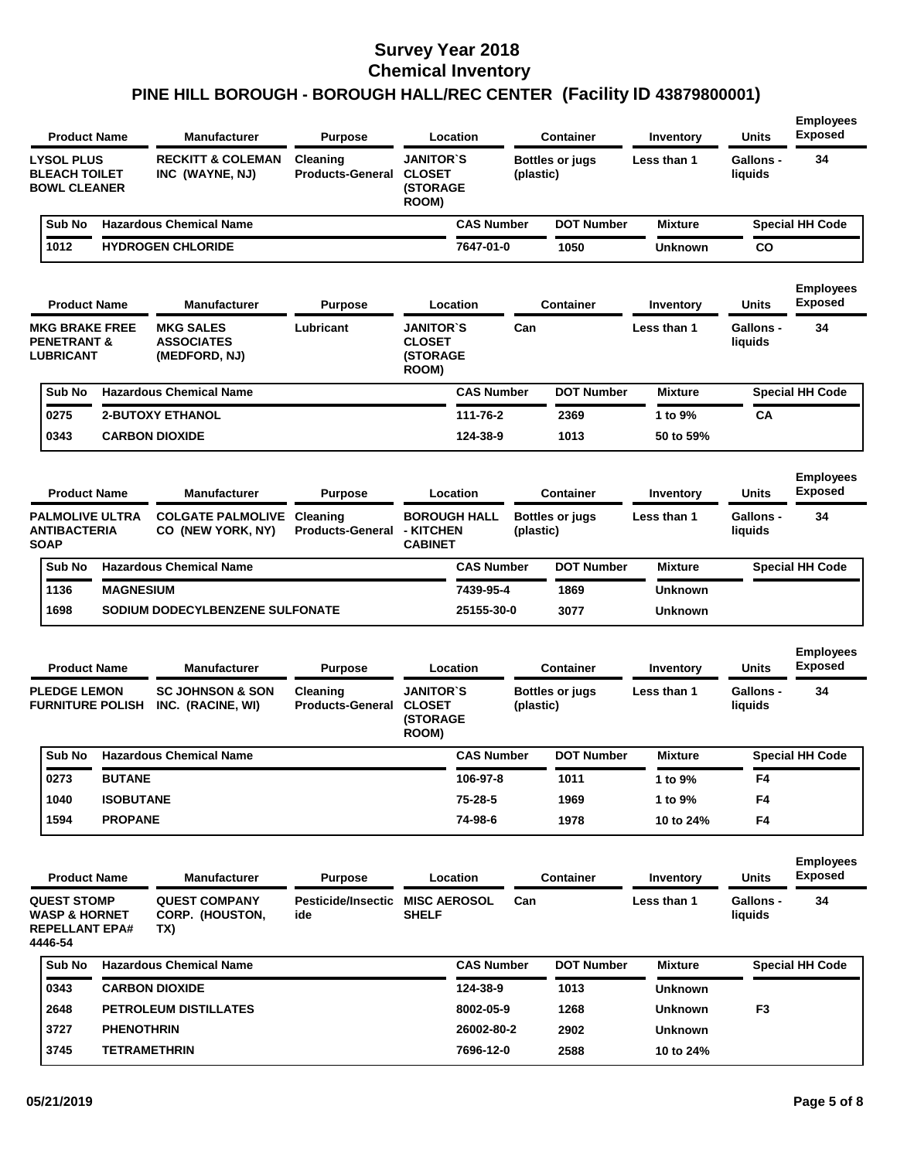| <b>Product Name</b>                                                                |                   | <b>Manufacturer</b>                                    | <b>Purpose</b>                         |                                                               | Location            |           | Container                           | Inventory        | Units                       | <b>Employees</b><br><b>Exposed</b> |
|------------------------------------------------------------------------------------|-------------------|--------------------------------------------------------|----------------------------------------|---------------------------------------------------------------|---------------------|-----------|-------------------------------------|------------------|-----------------------------|------------------------------------|
| <b>LYSOL PLUS</b><br><b>BLEACH TOILET</b><br><b>BOWL CLEANER</b>                   |                   | <b>RECKITT &amp; COLEMAN</b><br>INC (WAYNE, NJ)        | Cleaning<br><b>Products-General</b>    | <b>JANITOR'S</b><br><b>CLOSET</b><br><b>(STORAGE</b><br>ROOM) |                     |           | <b>Bottles or jugs</b><br>(plastic) | Less than 1      | <b>Gallons -</b><br>liquids | 34                                 |
| Sub No                                                                             |                   | <b>Hazardous Chemical Name</b>                         |                                        |                                                               | <b>CAS Number</b>   |           | <b>DOT Number</b>                   | <b>Mixture</b>   |                             | <b>Special HH Code</b>             |
| 1012                                                                               |                   | <b>HYDROGEN CHLORIDE</b>                               |                                        |                                                               | 7647-01-0           |           | 1050                                | <b>Unknown</b>   | CO                          |                                    |
| <b>Product Name</b>                                                                |                   | <b>Manufacturer</b>                                    | <b>Purpose</b>                         |                                                               | Location            |           | Container                           | Inventory        | <b>Units</b>                | <b>Employees</b><br><b>Exposed</b> |
| <b>MKG BRAKE FREE</b><br><b>PENETRANT &amp;</b><br><b>LUBRICANT</b>                |                   | <b>MKG SALES</b><br><b>ASSOCIATES</b><br>(MEDFORD, NJ) | Lubricant                              | <b>JANITOR'S</b><br><b>CLOSET</b><br><b>(STORAGE</b><br>ROOM) |                     | Can       |                                     | Less than 1      | Gallons -<br>liquids        | 34                                 |
| Sub No                                                                             |                   | <b>Hazardous Chemical Name</b>                         |                                        |                                                               | <b>CAS Number</b>   |           | <b>DOT Number</b>                   | <b>Mixture</b>   |                             | <b>Special HH Code</b>             |
| 0275                                                                               |                   | <b>2-BUTOXY ETHANOL</b>                                |                                        |                                                               | 111-76-2            |           | 2369                                | 1 to 9%          | CА                          |                                    |
| 0343                                                                               |                   | <b>CARBON DIOXIDE</b>                                  |                                        |                                                               | 124-38-9            |           | 1013                                | 50 to 59%        |                             |                                    |
| <b>Product Name</b>                                                                |                   | <b>Manufacturer</b>                                    | <b>Purpose</b>                         |                                                               | Location            |           | Container                           | <b>Inventory</b> | <b>Units</b>                | <b>Employees</b><br><b>Exposed</b> |
| <b>PALMOLIVE ULTRA</b><br><b>ANTIBACTERIA</b><br><b>SOAP</b>                       |                   | <b>COLGATE PALMOLIVE</b><br>CO (NEW YORK, NY)          | Cleaning<br><b>Products-General</b>    | - KITCHEN<br><b>CABINET</b>                                   | <b>BOROUGH HALL</b> | (plastic) | <b>Bottles or jugs</b>              | Less than 1      | <b>Gallons -</b><br>liquids | 34                                 |
| Sub No                                                                             |                   | <b>Hazardous Chemical Name</b>                         |                                        |                                                               | <b>CAS Number</b>   |           | <b>DOT Number</b>                   | <b>Mixture</b>   |                             | <b>Special HH Code</b>             |
| 1136                                                                               | <b>MAGNESIUM</b>  |                                                        |                                        |                                                               | 7439-95-4           |           | 1869                                | <b>Unknown</b>   |                             |                                    |
| 1698                                                                               |                   | SODIUM DODECYLBENZENE SULFONATE                        |                                        |                                                               | 25155-30-0          |           | 3077                                | <b>Unknown</b>   |                             |                                    |
| <b>Product Name</b>                                                                |                   | <b>Manufacturer</b>                                    | <b>Purpose</b>                         |                                                               | Location            |           | Container                           | Inventory        | Units                       | <b>Employees</b><br><b>Exposed</b> |
| <b>PLEDGE LEMON</b><br><b>FURNITURE POLISH</b>                                     |                   | <b>SC JOHNSON &amp; SON</b><br>INC. (RACINE, WI)       | Cleaning<br><b>Products-General</b>    | <b>JANITOR'S</b><br><b>CLOSET</b><br><b>(STORAGE</b><br>ROOM) |                     | (plastic) | <b>Bottles or jugs</b>              | Less than 1      | <b>Gallons -</b><br>liquids | 34                                 |
| Sub No                                                                             |                   | <b>Hazardous Chemical Name</b>                         |                                        |                                                               | <b>CAS Number</b>   |           | <b>DOT Number</b>                   | <b>Mixture</b>   |                             | <b>Special HH Code</b>             |
| 0273                                                                               | <b>BUTANE</b>     |                                                        |                                        |                                                               | 106-97-8            |           | 1011                                | 1 to 9%          | F4                          |                                    |
| 1040                                                                               | <b>ISOBUTANE</b>  |                                                        |                                        |                                                               | 75-28-5             |           | 1969                                | 1 to 9%          | F4                          |                                    |
| 1594                                                                               | <b>PROPANE</b>    |                                                        |                                        |                                                               | 74-98-6             |           | 1978                                | 10 to 24%        | F4                          |                                    |
| <b>Product Name</b>                                                                |                   | <b>Manufacturer</b>                                    | <b>Purpose</b>                         |                                                               | Location            |           | <b>Container</b>                    | Inventory        | Units                       | <b>Employees</b><br><b>Exposed</b> |
| <b>QUEST STOMP</b><br><b>WASP &amp; HORNET</b><br><b>REPELLANT EPA#</b><br>4446-54 |                   | <b>QUEST COMPANY</b><br>CORP. (HOUSTON,<br>TX)         | Pesticide/Insectic MISC AEROSOL<br>ide | <b>SHELF</b>                                                  |                     | Can       |                                     | Less than 1      | <b>Gallons -</b><br>liquids | 34                                 |
| Sub No                                                                             |                   | <b>Hazardous Chemical Name</b>                         |                                        |                                                               | <b>CAS Number</b>   |           | <b>DOT Number</b>                   | <b>Mixture</b>   |                             | <b>Special HH Code</b>             |
| 0343                                                                               |                   | <b>CARBON DIOXIDE</b>                                  |                                        |                                                               | 124-38-9            |           | 1013                                | <b>Unknown</b>   |                             |                                    |
| 2648                                                                               |                   | PETROLEUM DISTILLATES                                  |                                        |                                                               | 8002-05-9           |           | 1268                                | <b>Unknown</b>   | F <sub>3</sub>              |                                    |
| 3727                                                                               | <b>PHENOTHRIN</b> |                                                        |                                        |                                                               | 26002-80-2          |           | 2902                                | <b>Unknown</b>   |                             |                                    |
|                                                                                    |                   |                                                        |                                        |                                                               |                     |           |                                     |                  |                             |                                    |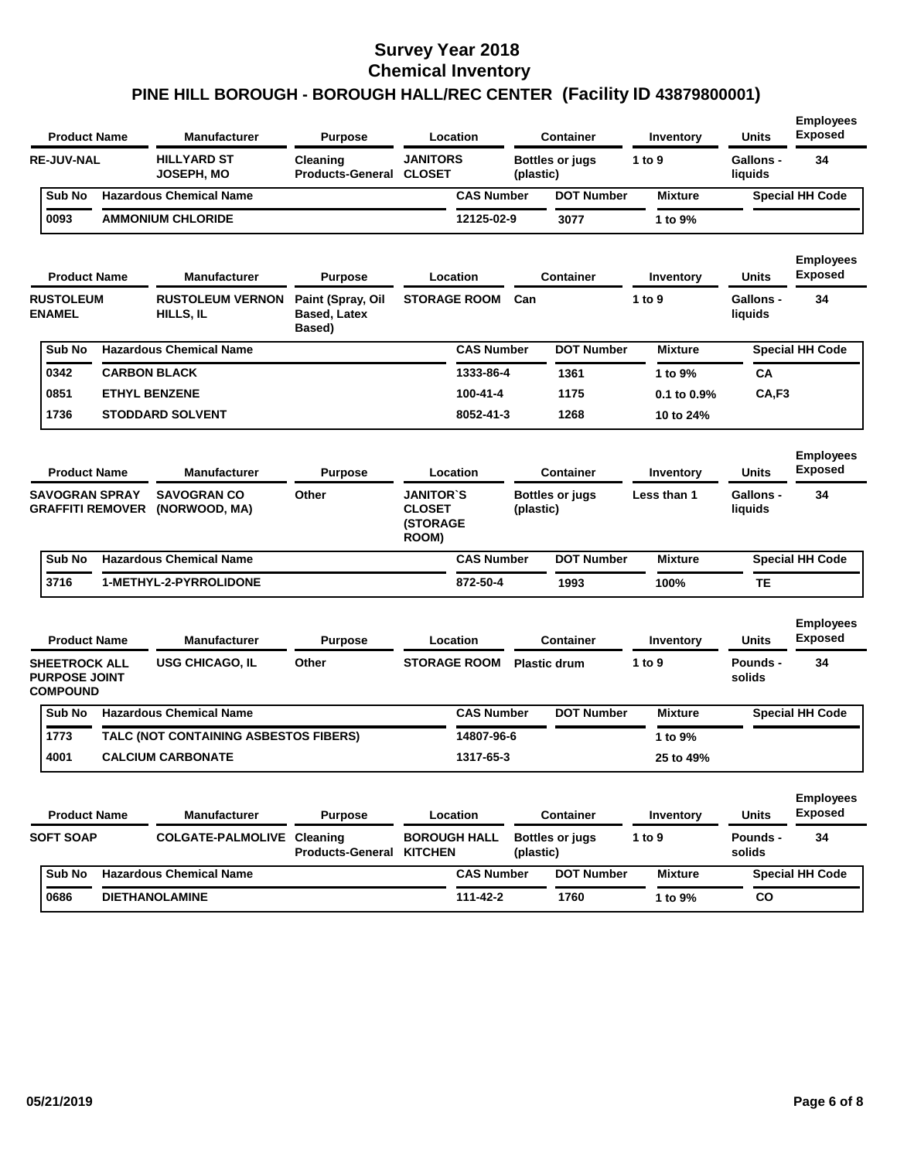| <b>Product Name</b> |                                                                 |  | <b>Manufacturer</b>                   | <b>Purpose</b>                                     |                                                               | Location            |           | <b>Container</b>       | Inventory      | <b>Units</b>                | <b>Employees</b><br><b>Exposed</b> |
|---------------------|-----------------------------------------------------------------|--|---------------------------------------|----------------------------------------------------|---------------------------------------------------------------|---------------------|-----------|------------------------|----------------|-----------------------------|------------------------------------|
|                     | <b>RE-JUV-NAL</b>                                               |  | <b>HILLYARD ST</b><br>JOSEPH, MO      | Cleaning<br><b>Products-General</b>                | <b>JANITORS</b><br><b>CLOSET</b>                              |                     | (plastic) | <b>Bottles or jugs</b> | 1 to 9         | <b>Gallons -</b><br>liquids | 34                                 |
|                     | Sub No                                                          |  | <b>Hazardous Chemical Name</b>        |                                                    |                                                               | <b>CAS Number</b>   |           | <b>DOT Number</b>      | <b>Mixture</b> |                             | <b>Special HH Code</b>             |
|                     | 0093                                                            |  | <b>AMMONIUM CHLORIDE</b>              |                                                    |                                                               | 12125-02-9          |           | 3077                   | 1 to 9%        |                             |                                    |
|                     | <b>Product Name</b>                                             |  | <b>Manufacturer</b>                   | <b>Purpose</b>                                     |                                                               | Location            |           | <b>Container</b>       | Inventory      | Units                       | <b>Employees</b><br><b>Exposed</b> |
|                     | <b>RUSTOLEUM</b><br><b>ENAMEL</b>                               |  | <b>RUSTOLEUM VERNON</b><br>HILLS, IL  | Paint (Spray, Oil<br><b>Based, Latex</b><br>Based) |                                                               | <b>STORAGE ROOM</b> | Can       |                        | 1 to 9         | <b>Gallons -</b><br>liquids | 34                                 |
|                     | Sub No                                                          |  | <b>Hazardous Chemical Name</b>        |                                                    |                                                               | <b>CAS Number</b>   |           | <b>DOT Number</b>      | <b>Mixture</b> |                             | <b>Special HH Code</b>             |
|                     | 0342                                                            |  | <b>CARBON BLACK</b>                   |                                                    |                                                               | 1333-86-4           |           | 1361                   | 1 to 9%        | СA                          |                                    |
|                     | 0851                                                            |  | <b>ETHYL BENZENE</b>                  |                                                    |                                                               | 100-41-4            |           | 1175                   | 0.1 to 0.9%    | CA,F3                       |                                    |
|                     | 1736                                                            |  | <b>STODDARD SOLVENT</b>               |                                                    |                                                               | 8052-41-3           |           | 1268                   | 10 to 24%      |                             |                                    |
|                     | <b>Product Name</b>                                             |  | <b>Manufacturer</b>                   | <b>Purpose</b>                                     |                                                               | Location            |           | Container              | Inventory      | <b>Units</b>                | <b>Employees</b><br><b>Exposed</b> |
|                     | <b>SAVOGRAN SPRAY</b><br><b>GRAFFITI REMOVER</b>                |  | <b>SAVOGRAN CO</b><br>(NORWOOD, MA)   | Other                                              | <b>JANITOR`S</b><br><b>CLOSET</b><br><b>(STORAGE</b><br>ROOM) |                     | (plastic) | <b>Bottles or jugs</b> | Less than 1    | <b>Gallons -</b><br>liquids | 34                                 |
|                     | Sub No                                                          |  | <b>Hazardous Chemical Name</b>        |                                                    |                                                               | <b>CAS Number</b>   |           | <b>DOT Number</b>      | <b>Mixture</b> |                             | <b>Special HH Code</b>             |
|                     | 3716                                                            |  | 1-METHYL-2-PYRROLIDONE                |                                                    |                                                               | 872-50-4            |           | 1993                   | 100%           | TE                          |                                    |
|                     | <b>Product Name</b>                                             |  | <b>Manufacturer</b>                   | <b>Purpose</b>                                     |                                                               | Location            |           | <b>Container</b>       | Inventory      | <b>Units</b>                | <b>Employees</b><br><b>Exposed</b> |
|                     | <b>SHEETROCK ALL</b><br><b>PURPOSE JOINT</b><br><b>COMPOUND</b> |  | <b>USG CHICAGO, IL</b>                | Other                                              | <b>STORAGE ROOM</b>                                           |                     |           | <b>Plastic drum</b>    | 1 to 9         | Pounds -<br>solids          | 34                                 |
|                     | Sub No                                                          |  | <b>Hazardous Chemical Name</b>        |                                                    |                                                               | <b>CAS Number</b>   |           | <b>DOT Number</b>      | <b>Mixture</b> |                             | <b>Special HH Code</b>             |
|                     | 1773                                                            |  | TALC (NOT CONTAINING ASBESTOS FIBERS) |                                                    |                                                               | 14807-96-6          |           |                        | 1 to 9%        |                             |                                    |
|                     | 4001                                                            |  | <b>CALCIUM CARBONATE</b>              |                                                    |                                                               | 1317-65-3           |           |                        | 25 to 49%      |                             |                                    |
|                     | <b>Product Name</b>                                             |  | <b>Manufacturer</b>                   | <b>Purpose</b>                                     |                                                               | Location            |           | <b>Container</b>       | Inventory      | <b>Units</b>                | <b>Employees</b><br><b>Exposed</b> |
|                     | <b>SOFT SOAP</b>                                                |  | <b>COLGATE-PALMOLIVE Cleaning</b>     | <b>Products-General</b>                            | <b>BOROUGH HALL</b><br><b>KITCHEN</b>                         |                     | (plastic) | <b>Bottles or jugs</b> | 1 to $9$       | Pounds -<br>solids          | 34                                 |
|                     | Sub No                                                          |  | <b>Hazardous Chemical Name</b>        |                                                    |                                                               | <b>CAS Number</b>   |           | <b>DOT Number</b>      | <b>Mixture</b> |                             | <b>Special HH Code</b>             |
|                     | 0686                                                            |  | <b>DIETHANOLAMINE</b>                 |                                                    |                                                               | 111-42-2            |           | 1760                   | 1 to 9%        | CO                          |                                    |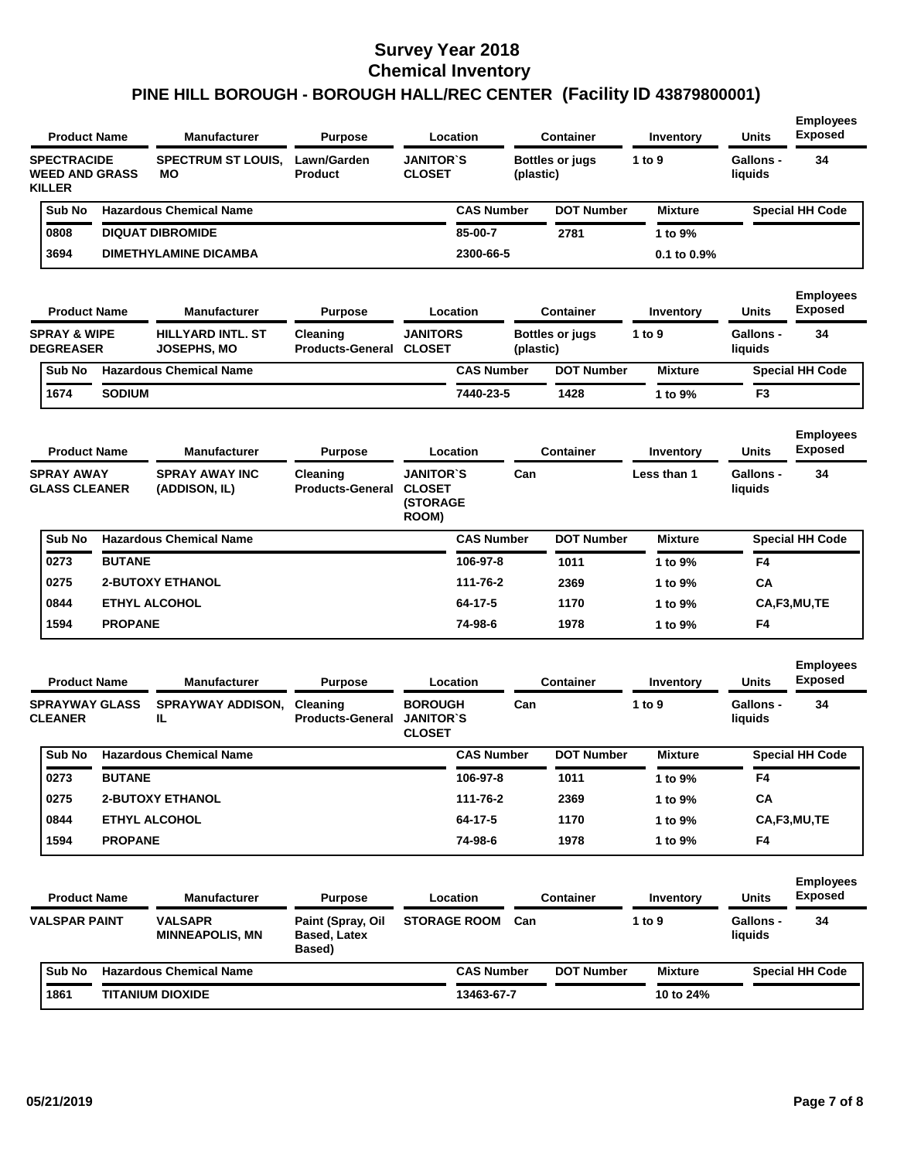| <b>Product Name</b>                                          |                                                                                               | <b>Manufacturer</b>                          | <b>Purpose</b>                                     | Location                                            |                   | <b>Container</b>       | Inventory                | <b>Units</b>                     | <b>Employees</b><br><b>Exposed</b>       |
|--------------------------------------------------------------|-----------------------------------------------------------------------------------------------|----------------------------------------------|----------------------------------------------------|-----------------------------------------------------|-------------------|------------------------|--------------------------|----------------------------------|------------------------------------------|
| <b>SPECTRACIDE</b><br><b>WEED AND GRASS</b><br><b>KILLER</b> |                                                                                               | <b>SPECTRUM ST LOUIS,</b><br>мо              | Lawn/Garden<br>Product                             | <b>JANITOR`S</b><br><b>CLOSET</b>                   | (plastic)         | <b>Bottles or jugs</b> | 1 to 9                   | <b>Gallons -</b><br>liquids      | 34                                       |
| Sub No                                                       |                                                                                               | <b>Hazardous Chemical Name</b>               |                                                    |                                                     | <b>CAS Number</b> | <b>DOT Number</b>      | <b>Mixture</b>           |                                  | <b>Special HH Code</b>                   |
| 0808                                                         |                                                                                               | <b>DIQUAT DIBROMIDE</b>                      |                                                    |                                                     | 85-00-7           | 2781                   | 1 to 9%                  |                                  |                                          |
| 3694                                                         |                                                                                               | <b>DIMETHYLAMINE DICAMBA</b>                 |                                                    |                                                     | 2300-66-5         |                        | $0.1$ to $0.9\%$         |                                  |                                          |
|                                                              |                                                                                               |                                              |                                                    |                                                     |                   |                        |                          |                                  | <b>Employees</b>                         |
| <b>Product Name</b>                                          |                                                                                               | <b>Manufacturer</b>                          | <b>Purpose</b>                                     | Location                                            |                   | <b>Container</b>       | Inventory                | <b>Units</b>                     | <b>Exposed</b>                           |
|                                                              | <b>SPRAY &amp; WIPE</b><br><b>HILLYARD INTL. ST</b><br><b>DEGREASER</b><br><b>JOSEPHS, MO</b> |                                              | Cleaning<br><b>Products-General</b>                | <b>JANITORS</b><br><b>CLOSET</b>                    | (plastic)         | <b>Bottles or jugs</b> | 1 to $9$                 | <b>Gallons -</b><br>liquids      | 34                                       |
| Sub No                                                       |                                                                                               | <b>Hazardous Chemical Name</b>               |                                                    |                                                     | <b>CAS Number</b> | <b>DOT Number</b>      | <b>Mixture</b>           |                                  | <b>Special HH Code</b>                   |
| 1674                                                         | <b>SODIUM</b>                                                                                 |                                              |                                                    |                                                     | 7440-23-5         | 1428                   | 1 to 9%                  | F3                               |                                          |
| <b>Product Name</b><br><b>SPRAY AWAY</b>                     |                                                                                               | <b>Manufacturer</b><br><b>SPRAY AWAY INC</b> | <b>Purpose</b><br>Cleaning                         | Location<br><b>JANITOR`S</b>                        | Can               | <b>Container</b>       | Inventory<br>Less than 1 | <b>Units</b><br><b>Gallons -</b> | <b>Employees</b><br><b>Exposed</b><br>34 |
| <b>GLASS CLEANER</b>                                         |                                                                                               | (ADDISON, IL)                                | <b>Products-General</b>                            | <b>CLOSET</b><br><b>(STORAGE</b><br>ROOM)           |                   |                        |                          | liquids                          |                                          |
| Sub No                                                       |                                                                                               | <b>Hazardous Chemical Name</b>               |                                                    |                                                     | <b>CAS Number</b> | <b>DOT Number</b>      | <b>Mixture</b>           |                                  | <b>Special HH Code</b>                   |
| 0273                                                         | <b>BUTANE</b>                                                                                 |                                              |                                                    |                                                     | 106-97-8          | 1011                   | 1 to 9%                  | F4                               |                                          |
| 0275                                                         |                                                                                               | <b>2-BUTOXY ETHANOL</b>                      |                                                    |                                                     | 111-76-2          | 2369                   | 1 to 9%                  | СA                               |                                          |
| 0844                                                         |                                                                                               | <b>ETHYL ALCOHOL</b>                         |                                                    |                                                     | 64-17-5           | 1170                   | 1 to 9%                  |                                  | CA,F3,MU,TE                              |
| 1594                                                         | <b>PROPANE</b>                                                                                |                                              |                                                    |                                                     | 74-98-6           | 1978                   | 1 to 9%                  | F4                               |                                          |
| <b>Product Name</b>                                          |                                                                                               | <b>Manufacturer</b>                          | <b>Purpose</b>                                     | Location                                            |                   | <b>Container</b>       | Inventory                | <b>Units</b>                     | <b>Employees</b><br><b>Exposed</b>       |
| <b>SPRAYWAY GLASS</b><br><b>CLEANER</b>                      |                                                                                               | <b>SPRAYWAY ADDISON.</b><br>IL               | Cleaning<br><b>Products-General</b>                | <b>BOROUGH</b><br><b>JANITOR'S</b><br><b>CLOSET</b> | Can               |                        | 1 to $9$                 | <b>Gallons -</b><br>liquids      | 34                                       |
| Sub No                                                       |                                                                                               | <b>Hazardous Chemical Name</b>               |                                                    |                                                     | <b>CAS Number</b> | <b>DOT Number</b>      | <b>Mixture</b>           |                                  | <b>Special HH Code</b>                   |
| 0273                                                         | <b>BUTANE</b>                                                                                 |                                              |                                                    |                                                     | 106-97-8          | 1011                   | 1 to 9%                  | F4                               |                                          |
| 0275                                                         |                                                                                               | <b>2-BUTOXY ETHANOL</b>                      |                                                    |                                                     | 111-76-2          | 2369                   | 1 to 9%                  | CA                               |                                          |
| 0844                                                         |                                                                                               | <b>ETHYL ALCOHOL</b>                         |                                                    |                                                     | $64 - 17 - 5$     | 1170                   | 1 to 9%                  |                                  | CA,F3,MU,TE                              |
| 1594                                                         | <b>PROPANE</b>                                                                                |                                              |                                                    |                                                     | 74-98-6           | 1978                   | 1 to 9%                  | F4                               |                                          |
| <b>Product Name</b>                                          |                                                                                               | <b>Manufacturer</b>                          | <b>Purpose</b>                                     | <b>Location</b>                                     |                   | <b>Container</b>       | Inventory                | Units                            | <b>Employees</b><br><b>Exposed</b>       |
| <b>VALSPAR PAINT</b>                                         |                                                                                               | <b>VALSAPR</b><br><b>MINNEAPOLIS, MN</b>     | Paint (Spray, Oil<br><b>Based, Latex</b><br>Based) | <b>STORAGE ROOM Can</b>                             |                   |                        | 1 to 9                   | Gallons -<br>liquids             | 34                                       |
|                                                              |                                                                                               |                                              |                                                    |                                                     |                   |                        |                          |                                  |                                          |
| Sub No                                                       |                                                                                               | <b>Hazardous Chemical Name</b>               |                                                    |                                                     | <b>CAS Number</b> | <b>DOT Number</b>      | <b>Mixture</b>           |                                  | <b>Special HH Code</b>                   |